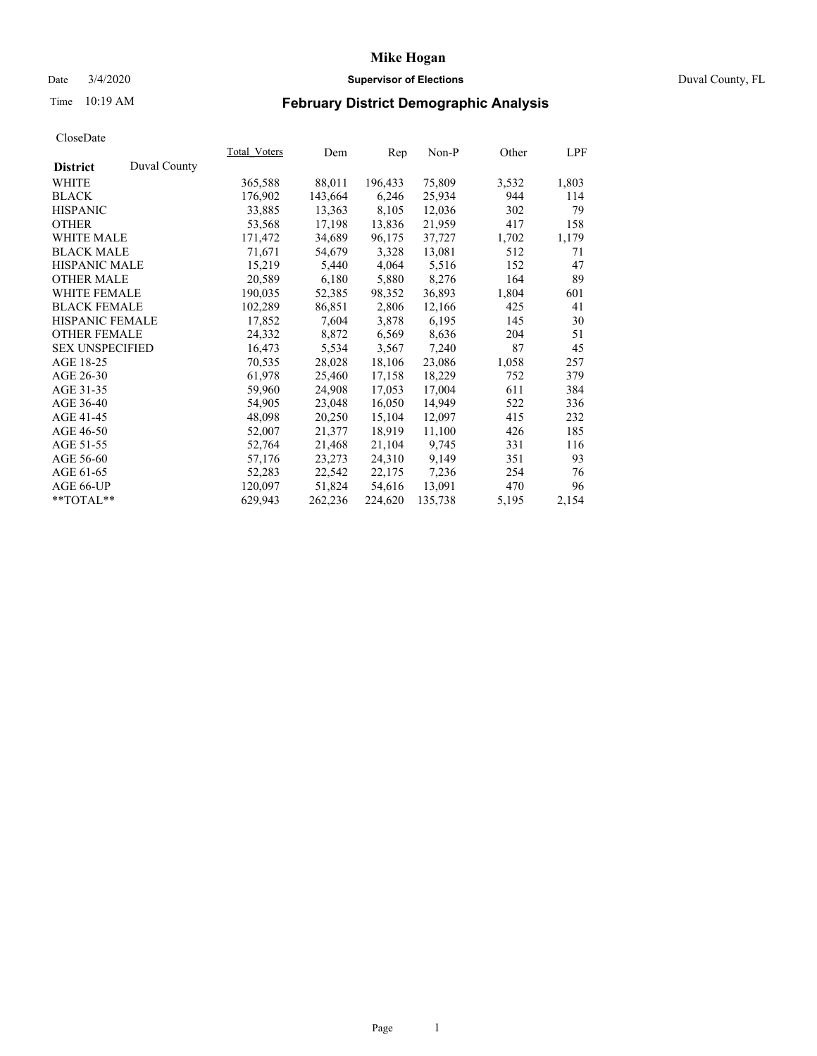### Date 3/4/2020 **Supervisor of Elections** Duval County, FL

# Time 10:19 AM **February District Demographic Analysis**

|                        |              | Total Voters | Dem     | Rep     | Non-P   | Other | LPF   |
|------------------------|--------------|--------------|---------|---------|---------|-------|-------|
| <b>District</b>        | Duval County |              |         |         |         |       |       |
| <b>WHITE</b>           |              | 365,588      | 88,011  | 196,433 | 75,809  | 3,532 | 1,803 |
| <b>BLACK</b>           |              | 176,902      | 143,664 | 6,246   | 25,934  | 944   | 114   |
| <b>HISPANIC</b>        |              | 33,885       | 13,363  | 8,105   | 12,036  | 302   | 79    |
| <b>OTHER</b>           |              | 53,568       | 17,198  | 13,836  | 21,959  | 417   | 158   |
| WHITE MALE             |              | 171,472      | 34,689  | 96,175  | 37,727  | 1,702 | 1,179 |
| <b>BLACK MALE</b>      |              | 71,671       | 54,679  | 3,328   | 13,081  | 512   | 71    |
| <b>HISPANIC MALE</b>   |              | 15,219       | 5,440   | 4,064   | 5,516   | 152   | 47    |
| <b>OTHER MALE</b>      |              | 20,589       | 6,180   | 5,880   | 8,276   | 164   | 89    |
| <b>WHITE FEMALE</b>    |              | 190,035      | 52,385  | 98,352  | 36,893  | 1,804 | 601   |
| <b>BLACK FEMALE</b>    |              | 102,289      | 86,851  | 2,806   | 12,166  | 425   | 41    |
| <b>HISPANIC FEMALE</b> |              | 17,852       | 7,604   | 3,878   | 6,195   | 145   | 30    |
| <b>OTHER FEMALE</b>    |              | 24,332       | 8,872   | 6,569   | 8,636   | 204   | 51    |
| <b>SEX UNSPECIFIED</b> |              | 16,473       | 5,534   | 3,567   | 7,240   | 87    | 45    |
| AGE 18-25              |              | 70,535       | 28,028  | 18,106  | 23,086  | 1,058 | 257   |
| AGE 26-30              |              | 61,978       | 25,460  | 17,158  | 18,229  | 752   | 379   |
| AGE 31-35              |              | 59,960       | 24,908  | 17,053  | 17,004  | 611   | 384   |
| AGE 36-40              |              | 54,905       | 23,048  | 16,050  | 14,949  | 522   | 336   |
| AGE 41-45              |              | 48,098       | 20,250  | 15,104  | 12,097  | 415   | 232   |
| AGE 46-50              |              | 52,007       | 21,377  | 18,919  | 11,100  | 426   | 185   |
| AGE 51-55              |              | 52,764       | 21,468  | 21,104  | 9,745   | 331   | 116   |
| AGE 56-60              |              | 57,176       | 23,273  | 24,310  | 9,149   | 351   | 93    |
| AGE 61-65              |              | 52,283       | 22,542  | 22,175  | 7,236   | 254   | 76    |
| AGE 66-UP              |              | 120,097      | 51,824  | 54,616  | 13,091  | 470   | 96    |
| $*$ $TOTAL**$          |              | 629,943      | 262,236 | 224,620 | 135,738 | 5,195 | 2,154 |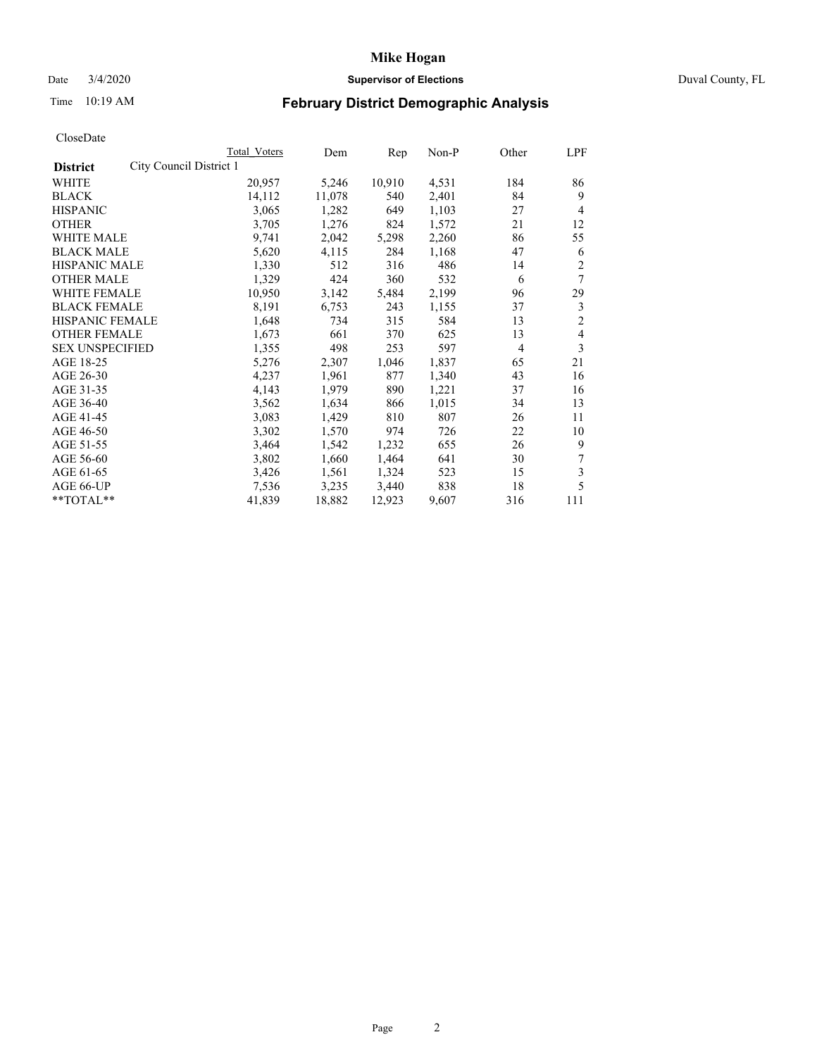## Date 3/4/2020 **Supervisor of Elections** Duval County, FL

# Time 10:19 AM **February District Demographic Analysis**

|                                            | Total Voters | Dem    | Rep    | Non-P | Other          | LPF            |
|--------------------------------------------|--------------|--------|--------|-------|----------------|----------------|
| City Council District 1<br><b>District</b> |              |        |        |       |                |                |
| WHITE                                      | 20,957       | 5,246  | 10,910 | 4,531 | 184            | 86             |
| <b>BLACK</b>                               | 14,112       | 11,078 | 540    | 2,401 | 84             | 9              |
| <b>HISPANIC</b>                            | 3,065        | 1,282  | 649    | 1,103 | 27             | $\overline{4}$ |
| <b>OTHER</b>                               | 3,705        | 1,276  | 824    | 1,572 | 21             | 12             |
| WHITE MALE                                 | 9,741        | 2,042  | 5,298  | 2,260 | 86             | 55             |
| <b>BLACK MALE</b>                          | 5,620        | 4,115  | 284    | 1,168 | 47             | 6              |
| <b>HISPANIC MALE</b>                       | 1,330        | 512    | 316    | 486   | 14             | 2              |
| <b>OTHER MALE</b>                          | 1,329        | 424    | 360    | 532   | 6              | 7              |
| <b>WHITE FEMALE</b>                        | 10,950       | 3,142  | 5,484  | 2,199 | 96             | 29             |
| <b>BLACK FEMALE</b>                        | 8,191        | 6,753  | 243    | 1,155 | 37             | 3              |
| HISPANIC FEMALE                            | 1,648        | 734    | 315    | 584   | 13             | $\overline{c}$ |
| <b>OTHER FEMALE</b>                        | 1,673        | 661    | 370    | 625   | 13             | $\overline{4}$ |
| <b>SEX UNSPECIFIED</b>                     | 1,355        | 498    | 253    | 597   | $\overline{4}$ | 3              |
| AGE 18-25                                  | 5,276        | 2,307  | 1,046  | 1,837 | 65             | 21             |
| AGE 26-30                                  | 4,237        | 1,961  | 877    | 1,340 | 43             | 16             |
| AGE 31-35                                  | 4,143        | 1,979  | 890    | 1,221 | 37             | 16             |
| AGE 36-40                                  | 3,562        | 1,634  | 866    | 1,015 | 34             | 13             |
| AGE 41-45                                  | 3,083        | 1,429  | 810    | 807   | 26             | 11             |
| AGE 46-50                                  | 3,302        | 1,570  | 974    | 726   | 22             | 10             |
| AGE 51-55                                  | 3,464        | 1,542  | 1,232  | 655   | 26             | 9              |
| AGE 56-60                                  | 3,802        | 1,660  | 1,464  | 641   | 30             | 7              |
| AGE 61-65                                  | 3,426        | 1,561  | 1,324  | 523   | 15             | 3              |
| AGE 66-UP                                  | 7,536        | 3,235  | 3,440  | 838   | 18             | 5              |
| **TOTAL**                                  | 41,839       | 18,882 | 12,923 | 9,607 | 316            | 111            |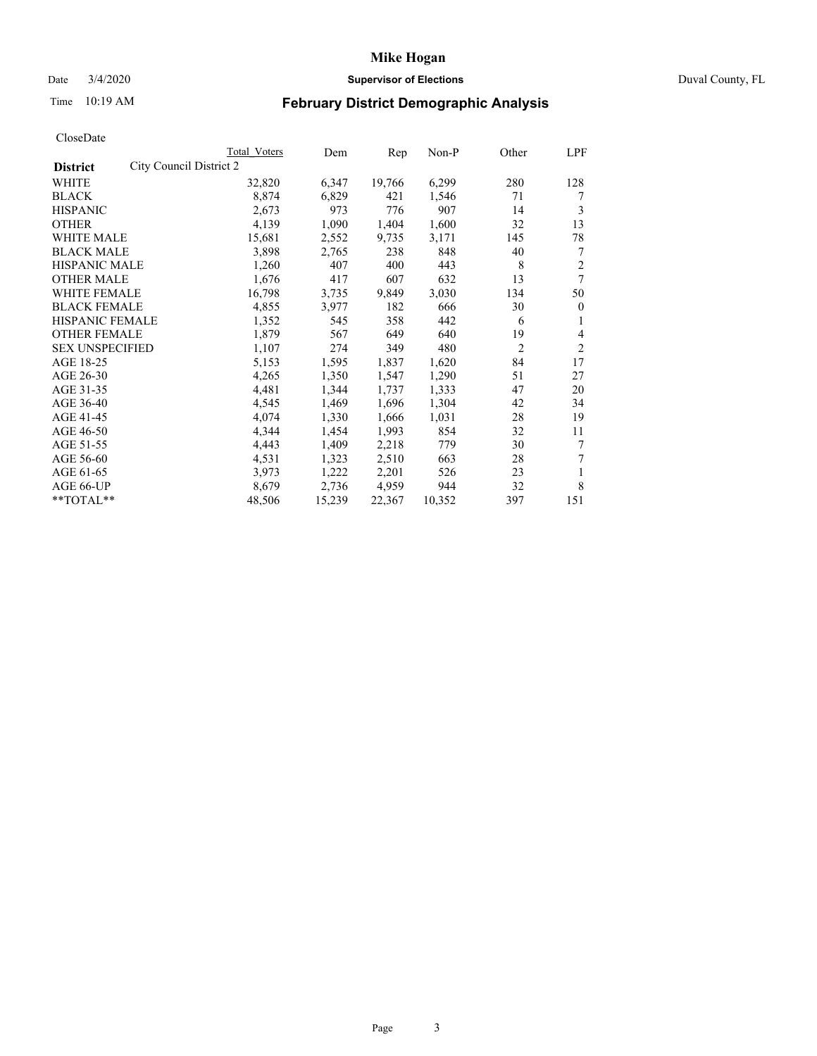## Date 3/4/2020 **Supervisor of Elections** Duval County, FL

# Time 10:19 AM **February District Demographic Analysis**

|                                            | Total Voters | Dem    | Rep    | Non-P  | Other          | LPF            |
|--------------------------------------------|--------------|--------|--------|--------|----------------|----------------|
| City Council District 2<br><b>District</b> |              |        |        |        |                |                |
| WHITE                                      | 32,820       | 6,347  | 19,766 | 6,299  | 280            | 128            |
| <b>BLACK</b>                               | 8,874        | 6,829  | 421    | 1,546  | 71             | 7              |
| <b>HISPANIC</b>                            | 2,673        | 973    | 776    | 907    | 14             | 3              |
| <b>OTHER</b>                               | 4,139        | 1,090  | 1,404  | 1,600  | 32             | 13             |
| <b>WHITE MALE</b>                          | 15,681       | 2,552  | 9,735  | 3,171  | 145            | 78             |
| <b>BLACK MALE</b>                          | 3,898        | 2,765  | 238    | 848    | 40             | 7              |
| <b>HISPANIC MALE</b>                       | 1,260        | 407    | 400    | 443    | 8              | 2              |
| <b>OTHER MALE</b>                          | 1,676        | 417    | 607    | 632    | 13             | 7              |
| <b>WHITE FEMALE</b>                        | 16,798       | 3,735  | 9,849  | 3,030  | 134            | 50             |
| <b>BLACK FEMALE</b>                        | 4,855        | 3,977  | 182    | 666    | 30             | $\theta$       |
| HISPANIC FEMALE                            | 1,352        | 545    | 358    | 442    | 6              | 1              |
| <b>OTHER FEMALE</b>                        | 1,879        | 567    | 649    | 640    | 19             | 4              |
| <b>SEX UNSPECIFIED</b>                     | 1,107        | 274    | 349    | 480    | $\overline{c}$ | $\overline{2}$ |
| AGE 18-25                                  | 5,153        | 1,595  | 1,837  | 1,620  | 84             | 17             |
| AGE 26-30                                  | 4,265        | 1,350  | 1,547  | 1,290  | 51             | 27             |
| AGE 31-35                                  | 4,481        | 1,344  | 1,737  | 1,333  | 47             | 20             |
| AGE 36-40                                  | 4,545        | 1,469  | 1,696  | 1,304  | 42             | 34             |
| AGE 41-45                                  | 4,074        | 1,330  | 1,666  | 1,031  | 28             | 19             |
| AGE 46-50                                  | 4,344        | 1,454  | 1,993  | 854    | 32             | 11             |
| AGE 51-55                                  | 4,443        | 1,409  | 2,218  | 779    | 30             | 7              |
| AGE 56-60                                  | 4,531        | 1,323  | 2,510  | 663    | 28             | 7              |
| AGE 61-65                                  | 3,973        | 1,222  | 2,201  | 526    | 23             | 1              |
| AGE 66-UP                                  | 8,679        | 2,736  | 4,959  | 944    | 32             | 8              |
| **TOTAL**                                  | 48,506       | 15,239 | 22,367 | 10,352 | 397            | 151            |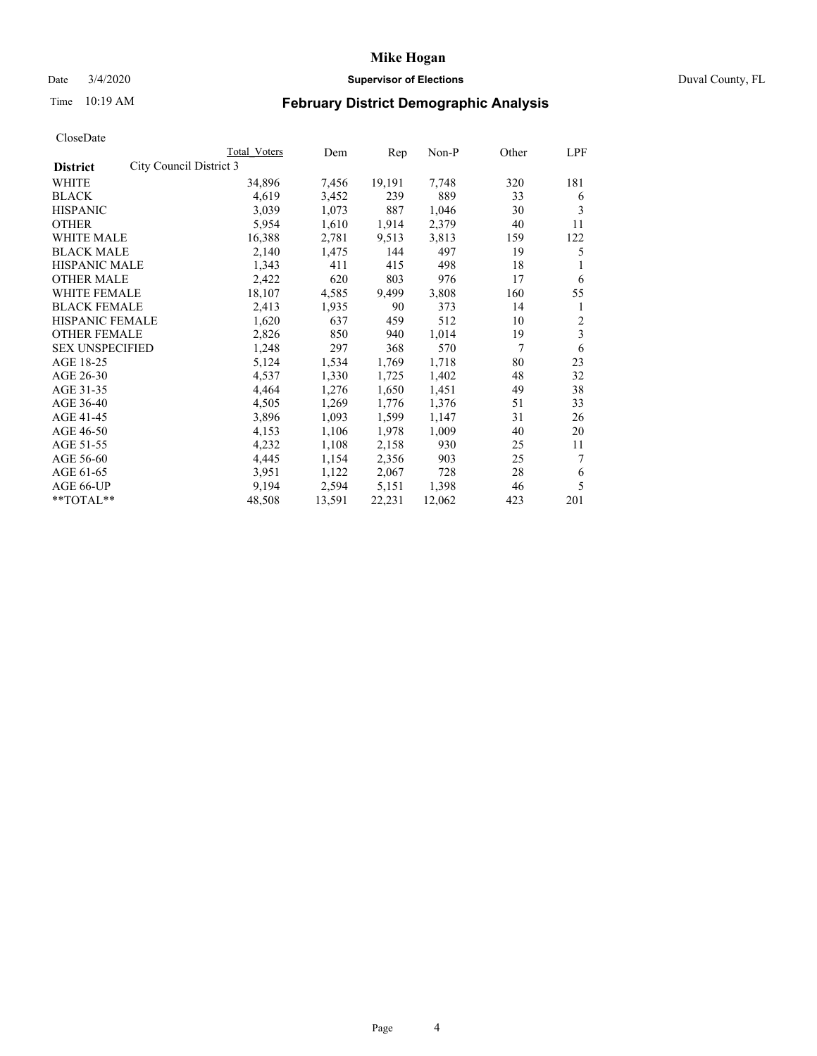## Date 3/4/2020 **Supervisor of Elections** Duval County, FL

# Time 10:19 AM **February District Demographic Analysis**

|                                            | Total Voters | Dem    | Rep    | Non-P  | Other | LPF |
|--------------------------------------------|--------------|--------|--------|--------|-------|-----|
| City Council District 3<br><b>District</b> |              |        |        |        |       |     |
| <b>WHITE</b>                               | 34,896       | 7,456  | 19,191 | 7,748  | 320   | 181 |
| <b>BLACK</b>                               | 4,619        | 3,452  | 239    | 889    | 33    | 6   |
| <b>HISPANIC</b>                            | 3,039        | 1,073  | 887    | 1,046  | 30    | 3   |
| <b>OTHER</b>                               | 5,954        | 1,610  | 1,914  | 2,379  | 40    | 11  |
| WHITE MALE                                 | 16,388       | 2,781  | 9,513  | 3,813  | 159   | 122 |
| <b>BLACK MALE</b>                          | 2,140        | 1,475  | 144    | 497    | 19    | 5   |
| HISPANIC MALE                              | 1,343        | 411    | 415    | 498    | 18    |     |
| <b>OTHER MALE</b>                          | 2,422        | 620    | 803    | 976    | 17    | 6   |
| <b>WHITE FEMALE</b>                        | 18,107       | 4,585  | 9,499  | 3,808  | 160   | 55  |
| <b>BLACK FEMALE</b>                        | 2,413        | 1,935  | 90     | 373    | 14    | 1   |
| HISPANIC FEMALE                            | 1,620        | 637    | 459    | 512    | 10    | 2   |
| <b>OTHER FEMALE</b>                        | 2,826        | 850    | 940    | 1,014  | 19    | 3   |
| <b>SEX UNSPECIFIED</b>                     | 1,248        | 297    | 368    | 570    | 7     | 6   |
| AGE 18-25                                  | 5,124        | 1,534  | 1,769  | 1,718  | 80    | 23  |
| AGE 26-30                                  | 4,537        | 1,330  | 1,725  | 1,402  | 48    | 32  |
| AGE 31-35                                  | 4,464        | 1,276  | 1,650  | 1,451  | 49    | 38  |
| AGE 36-40                                  | 4,505        | 1,269  | 1,776  | 1,376  | 51    | 33  |
| AGE 41-45                                  | 3,896        | 1,093  | 1,599  | 1,147  | 31    | 26  |
| AGE 46-50                                  | 4,153        | 1,106  | 1,978  | 1,009  | 40    | 20  |
| AGE 51-55                                  | 4,232        | 1,108  | 2,158  | 930    | 25    | 11  |
| AGE 56-60                                  | 4,445        | 1,154  | 2,356  | 903    | 25    | 7   |
| AGE 61-65                                  | 3,951        | 1,122  | 2,067  | 728    | 28    | 6   |
| AGE 66-UP                                  | 9,194        | 2,594  | 5,151  | 1,398  | 46    | 5   |
| **TOTAL**                                  | 48,508       | 13,591 | 22,231 | 12,062 | 423   | 201 |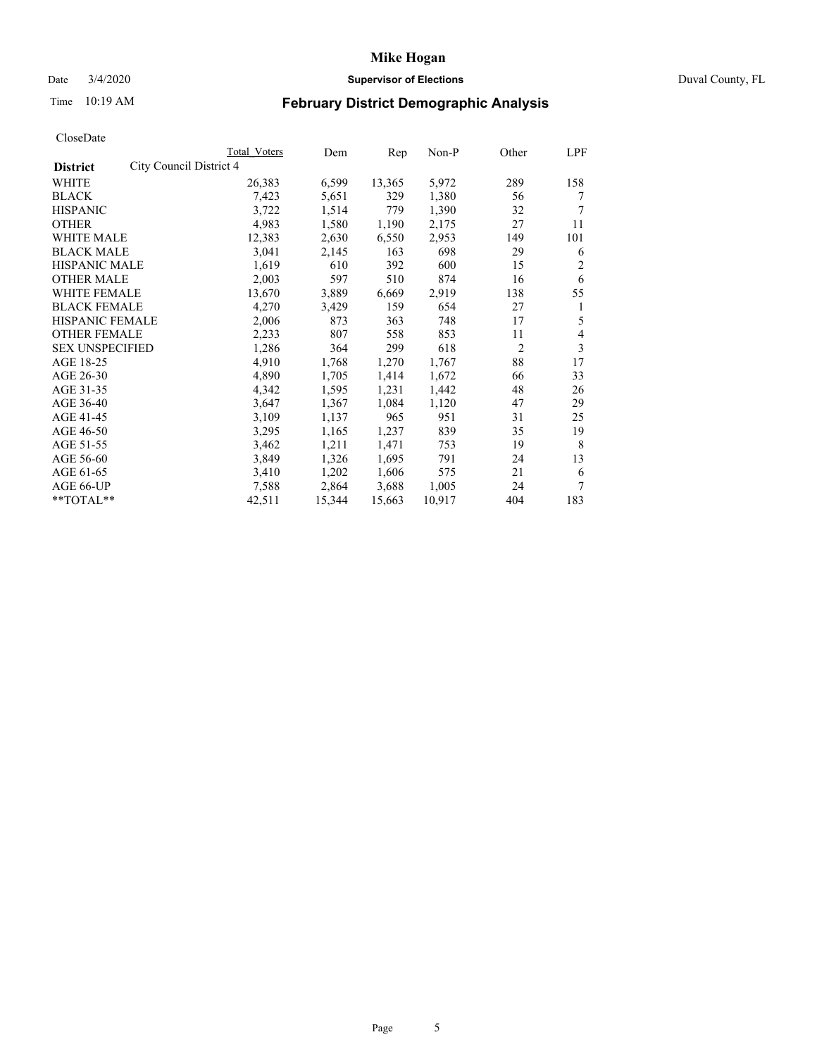## Date 3/4/2020 **Supervisor of Elections** Duval County, FL

# Time 10:19 AM **February District Demographic Analysis**

|                                            | Total Voters | Dem    | Rep    | Non-P  | Other | LPF |
|--------------------------------------------|--------------|--------|--------|--------|-------|-----|
| City Council District 4<br><b>District</b> |              |        |        |        |       |     |
| <b>WHITE</b>                               | 26,383       | 6,599  | 13,365 | 5,972  | 289   | 158 |
| <b>BLACK</b>                               | 7,423        | 5,651  | 329    | 1,380  | 56    | 7   |
| <b>HISPANIC</b>                            | 3,722        | 1,514  | 779    | 1,390  | 32    | 7   |
| <b>OTHER</b>                               | 4,983        | 1,580  | 1,190  | 2,175  | 27    | 11  |
| WHITE MALE                                 | 12,383       | 2,630  | 6,550  | 2,953  | 149   | 101 |
| <b>BLACK MALE</b>                          | 3,041        | 2,145  | 163    | 698    | 29    | 6   |
| HISPANIC MALE                              | 1,619        | 610    | 392    | 600    | 15    | 2   |
| <b>OTHER MALE</b>                          | 2,003        | 597    | 510    | 874    | 16    | 6   |
| <b>WHITE FEMALE</b>                        | 13,670       | 3,889  | 6,669  | 2,919  | 138   | 55  |
| <b>BLACK FEMALE</b>                        | 4,270        | 3,429  | 159    | 654    | 27    | 1   |
| HISPANIC FEMALE                            | 2,006        | 873    | 363    | 748    | 17    | 5   |
| <b>OTHER FEMALE</b>                        | 2,233        | 807    | 558    | 853    | 11    | 4   |
| <b>SEX UNSPECIFIED</b>                     | 1,286        | 364    | 299    | 618    | 2     | 3   |
| AGE 18-25                                  | 4,910        | 1,768  | 1,270  | 1,767  | 88    | 17  |
| AGE 26-30                                  | 4,890        | 1,705  | 1,414  | 1,672  | 66    | 33  |
| AGE 31-35                                  | 4,342        | 1,595  | 1,231  | 1,442  | 48    | 26  |
| AGE 36-40                                  | 3,647        | 1,367  | 1,084  | 1,120  | 47    | 29  |
| AGE 41-45                                  | 3,109        | 1,137  | 965    | 951    | 31    | 25  |
| AGE 46-50                                  | 3,295        | 1,165  | 1,237  | 839    | 35    | 19  |
| AGE 51-55                                  | 3,462        | 1,211  | 1,471  | 753    | 19    | 8   |
| AGE 56-60                                  | 3,849        | 1,326  | 1,695  | 791    | 24    | 13  |
| AGE 61-65                                  | 3,410        | 1,202  | 1,606  | 575    | 21    | 6   |
| AGE 66-UP                                  | 7.588        | 2,864  | 3,688  | 1,005  | 24    | 7   |
| **TOTAL**                                  | 42,511       | 15,344 | 15,663 | 10,917 | 404   | 183 |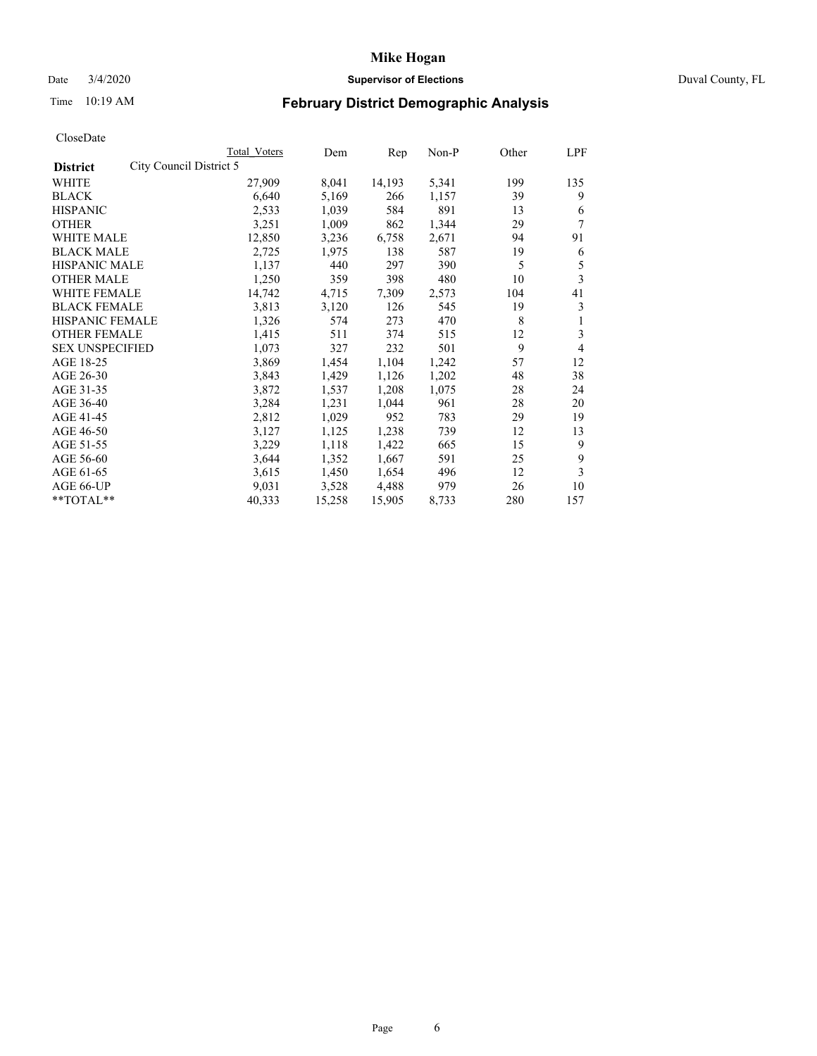## Date 3/4/2020 **Supervisor of Elections** Duval County, FL

# Time 10:19 AM **February District Demographic Analysis**

|                                            | Total Voters | Dem    | Rep    | Non-P | Other | LPF |
|--------------------------------------------|--------------|--------|--------|-------|-------|-----|
| City Council District 5<br><b>District</b> |              |        |        |       |       |     |
| WHITE                                      | 27,909       | 8,041  | 14,193 | 5,341 | 199   | 135 |
| <b>BLACK</b>                               | 6,640        | 5,169  | 266    | 1,157 | 39    | 9   |
| <b>HISPANIC</b>                            | 2,533        | 1,039  | 584    | 891   | 13    | 6   |
| <b>OTHER</b>                               | 3,251        | 1,009  | 862    | 1,344 | 29    | 7   |
| WHITE MALE                                 | 12,850       | 3,236  | 6,758  | 2,671 | 94    | 91  |
| <b>BLACK MALE</b>                          | 2,725        | 1,975  | 138    | 587   | 19    | 6   |
| <b>HISPANIC MALE</b>                       | 1,137        | 440    | 297    | 390   | 5     | 5   |
| <b>OTHER MALE</b>                          | 1,250        | 359    | 398    | 480   | 10    | 3   |
| <b>WHITE FEMALE</b>                        | 14,742       | 4,715  | 7,309  | 2,573 | 104   | 41  |
| <b>BLACK FEMALE</b>                        | 3,813        | 3,120  | 126    | 545   | 19    | 3   |
| <b>HISPANIC FEMALE</b>                     | 1,326        | 574    | 273    | 470   | 8     | 1   |
| <b>OTHER FEMALE</b>                        | 1,415        | 511    | 374    | 515   | 12    | 3   |
| <b>SEX UNSPECIFIED</b>                     | 1,073        | 327    | 232    | 501   | 9     | 4   |
| AGE 18-25                                  | 3,869        | 1,454  | 1,104  | 1,242 | 57    | 12  |
| AGE 26-30                                  | 3,843        | 1,429  | 1,126  | 1,202 | 48    | 38  |
| AGE 31-35                                  | 3,872        | 1,537  | 1,208  | 1,075 | 28    | 24  |
| AGE 36-40                                  | 3,284        | 1,231  | 1,044  | 961   | 28    | 20  |
| AGE 41-45                                  | 2,812        | 1,029  | 952    | 783   | 29    | 19  |
| AGE 46-50                                  | 3,127        | 1,125  | 1,238  | 739   | 12    | 13  |
| AGE 51-55                                  | 3,229        | 1,118  | 1,422  | 665   | 15    | 9   |
| AGE 56-60                                  | 3,644        | 1,352  | 1,667  | 591   | 25    | 9   |
| AGE 61-65                                  | 3,615        | 1,450  | 1,654  | 496   | 12    | 3   |
| AGE 66-UP                                  | 9,031        | 3,528  | 4,488  | 979   | 26    | 10  |
| **TOTAL**                                  | 40,333       | 15,258 | 15,905 | 8,733 | 280   | 157 |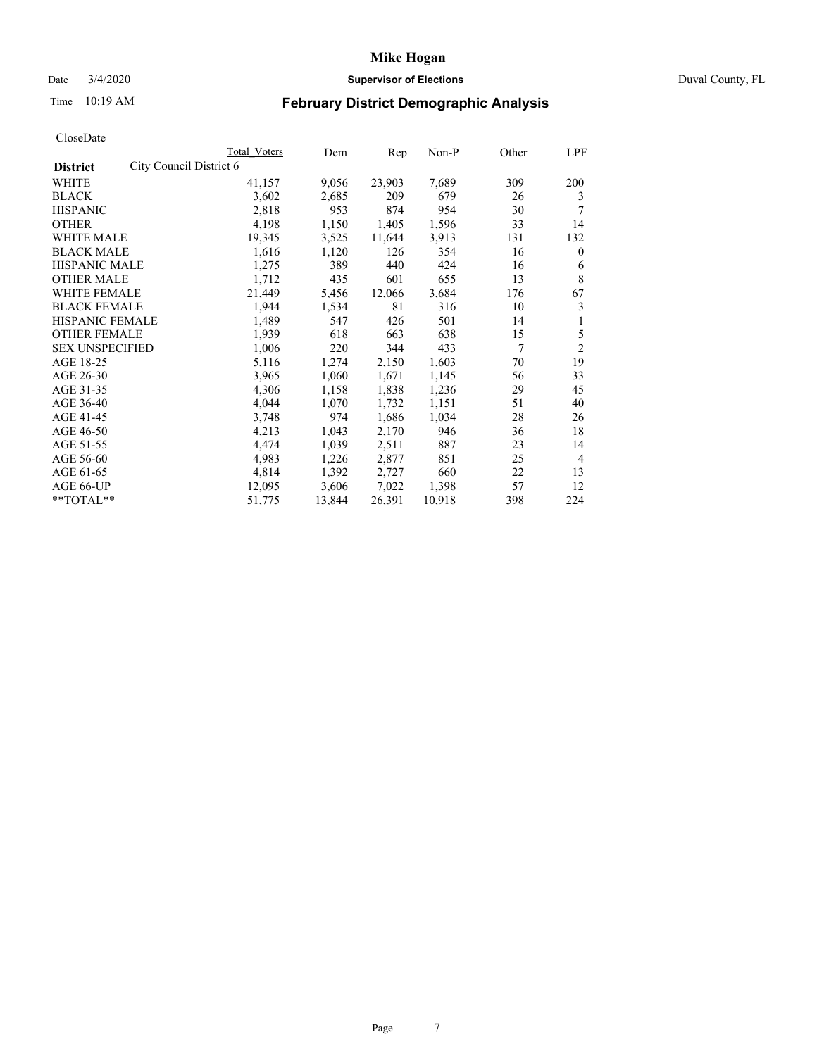## Date 3/4/2020 **Supervisor of Elections** Duval County, FL

# Time 10:19 AM **February District Demographic Analysis**

|                                            | Total Voters | Dem    | Rep    | Non-P  | Other | LPF            |
|--------------------------------------------|--------------|--------|--------|--------|-------|----------------|
| City Council District 6<br><b>District</b> |              |        |        |        |       |                |
| WHITE                                      | 41,157       | 9,056  | 23,903 | 7,689  | 309   | 200            |
| <b>BLACK</b>                               | 3,602        | 2,685  | 209    | 679    | 26    | 3              |
| <b>HISPANIC</b>                            | 2,818        | 953    | 874    | 954    | 30    | 7              |
| <b>OTHER</b>                               | 4,198        | 1,150  | 1,405  | 1,596  | 33    | 14             |
| WHITE MALE                                 | 19,345       | 3,525  | 11,644 | 3,913  | 131   | 132            |
| <b>BLACK MALE</b>                          | 1,616        | 1,120  | 126    | 354    | 16    | $\mathbf{0}$   |
| HISPANIC MALE                              | 1,275        | 389    | 440    | 424    | 16    | 6              |
| <b>OTHER MALE</b>                          | 1,712        | 435    | 601    | 655    | 13    | 8              |
| <b>WHITE FEMALE</b>                        | 21,449       | 5,456  | 12,066 | 3,684  | 176   | 67             |
| <b>BLACK FEMALE</b>                        | 1,944        | 1,534  | 81     | 316    | 10    | 3              |
| HISPANIC FEMALE                            | 1,489        | 547    | 426    | 501    | 14    | 1              |
| <b>OTHER FEMALE</b>                        | 1,939        | 618    | 663    | 638    | 15    | 5              |
| <b>SEX UNSPECIFIED</b>                     | 1,006        | 220    | 344    | 433    | 7     | $\overline{c}$ |
| AGE 18-25                                  | 5,116        | 1,274  | 2,150  | 1,603  | 70    | 19             |
| AGE 26-30                                  | 3,965        | 1,060  | 1,671  | 1,145  | 56    | 33             |
| AGE 31-35                                  | 4,306        | 1,158  | 1,838  | 1,236  | 29    | 45             |
| AGE 36-40                                  | 4,044        | 1,070  | 1,732  | 1,151  | 51    | 40             |
| AGE 41-45                                  | 3,748        | 974    | 1,686  | 1,034  | 28    | 26             |
| AGE 46-50                                  | 4,213        | 1,043  | 2,170  | 946    | 36    | 18             |
| AGE 51-55                                  | 4,474        | 1,039  | 2,511  | 887    | 23    | 14             |
| AGE 56-60                                  | 4,983        | 1,226  | 2,877  | 851    | 25    | $\overline{4}$ |
| AGE 61-65                                  | 4,814        | 1,392  | 2,727  | 660    | 22    | 13             |
| AGE 66-UP                                  | 12,095       | 3,606  | 7,022  | 1,398  | 57    | 12             |
| **TOTAL**                                  | 51,775       | 13,844 | 26,391 | 10,918 | 398   | 224            |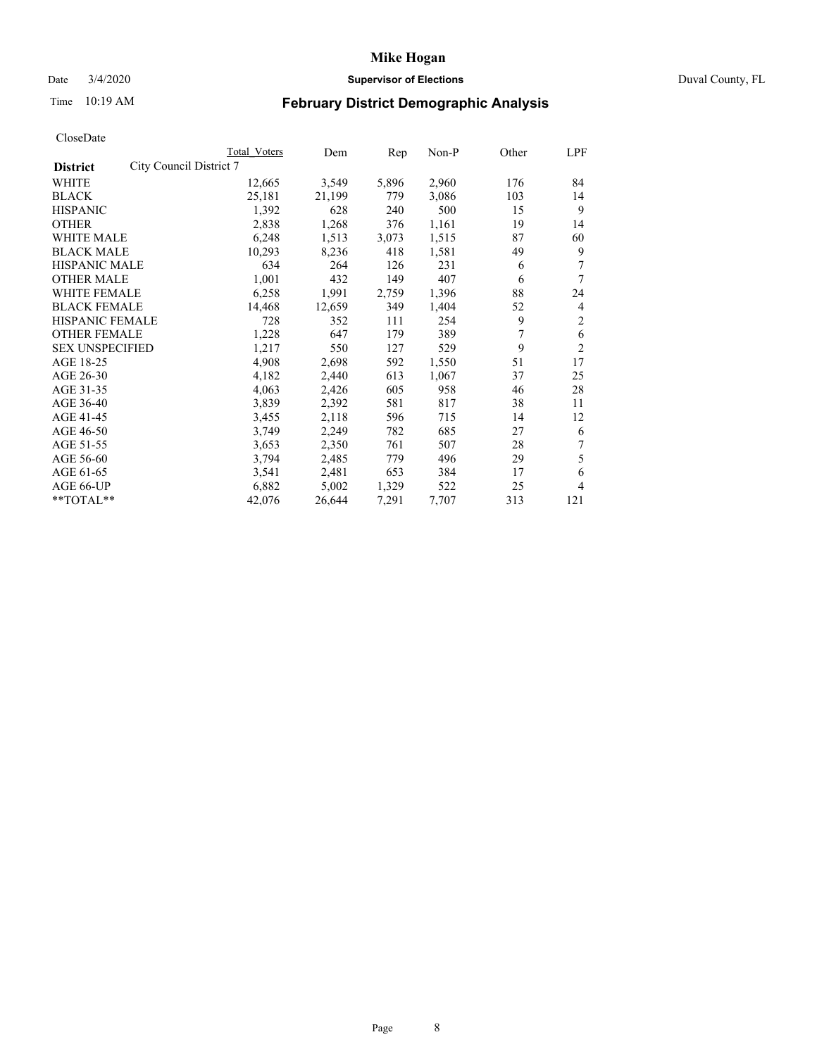## Date 3/4/2020 **Supervisor of Elections** Duval County, FL

# Time 10:19 AM **February District Demographic Analysis**

|                                            | Total Voters | Dem    | Rep   | Non-P | Other | LPF            |
|--------------------------------------------|--------------|--------|-------|-------|-------|----------------|
| City Council District 7<br><b>District</b> |              |        |       |       |       |                |
| WHITE                                      | 12,665       | 3,549  | 5,896 | 2,960 | 176   | 84             |
| <b>BLACK</b>                               | 25,181       | 21,199 | 779   | 3,086 | 103   | 14             |
| <b>HISPANIC</b>                            | 1,392        | 628    | 240   | 500   | 15    | 9              |
| <b>OTHER</b>                               | 2,838        | 1,268  | 376   | 1,161 | 19    | 14             |
| WHITE MALE                                 | 6,248        | 1,513  | 3,073 | 1,515 | 87    | 60             |
| <b>BLACK MALE</b>                          | 10,293       | 8,236  | 418   | 1,581 | 49    | 9              |
| HISPANIC MALE                              | 634          | 264    | 126   | 231   | 6     | 7              |
| <b>OTHER MALE</b>                          | 1,001        | 432    | 149   | 407   | 6     | 7              |
| <b>WHITE FEMALE</b>                        | 6,258        | 1,991  | 2,759 | 1,396 | 88    | 24             |
| <b>BLACK FEMALE</b>                        | 14,468       | 12,659 | 349   | 1,404 | 52    | 4              |
| <b>HISPANIC FEMALE</b>                     | 728          | 352    | 111   | 254   | 9     | 2              |
| <b>OTHER FEMALE</b>                        | 1,228        | 647    | 179   | 389   | 7     | 6              |
| <b>SEX UNSPECIFIED</b>                     | 1,217        | 550    | 127   | 529   | 9     | $\overline{c}$ |
| AGE 18-25                                  | 4,908        | 2,698  | 592   | 1,550 | 51    | 17             |
| AGE 26-30                                  | 4,182        | 2,440  | 613   | 1,067 | 37    | 25             |
| AGE 31-35                                  | 4,063        | 2,426  | 605   | 958   | 46    | 28             |
| AGE 36-40                                  | 3,839        | 2,392  | 581   | 817   | 38    | 11             |
| AGE 41-45                                  | 3,455        | 2,118  | 596   | 715   | 14    | 12             |
| AGE 46-50                                  | 3,749        | 2,249  | 782   | 685   | 27    | 6              |
| AGE 51-55                                  | 3,653        | 2,350  | 761   | 507   | 28    | 7              |
| AGE 56-60                                  | 3,794        | 2,485  | 779   | 496   | 29    | 5              |
| AGE 61-65                                  | 3,541        | 2,481  | 653   | 384   | 17    | 6              |
| AGE 66-UP                                  | 6,882        | 5,002  | 1,329 | 522   | 25    | 4              |
| **TOTAL**                                  | 42,076       | 26,644 | 7,291 | 7,707 | 313   | 121            |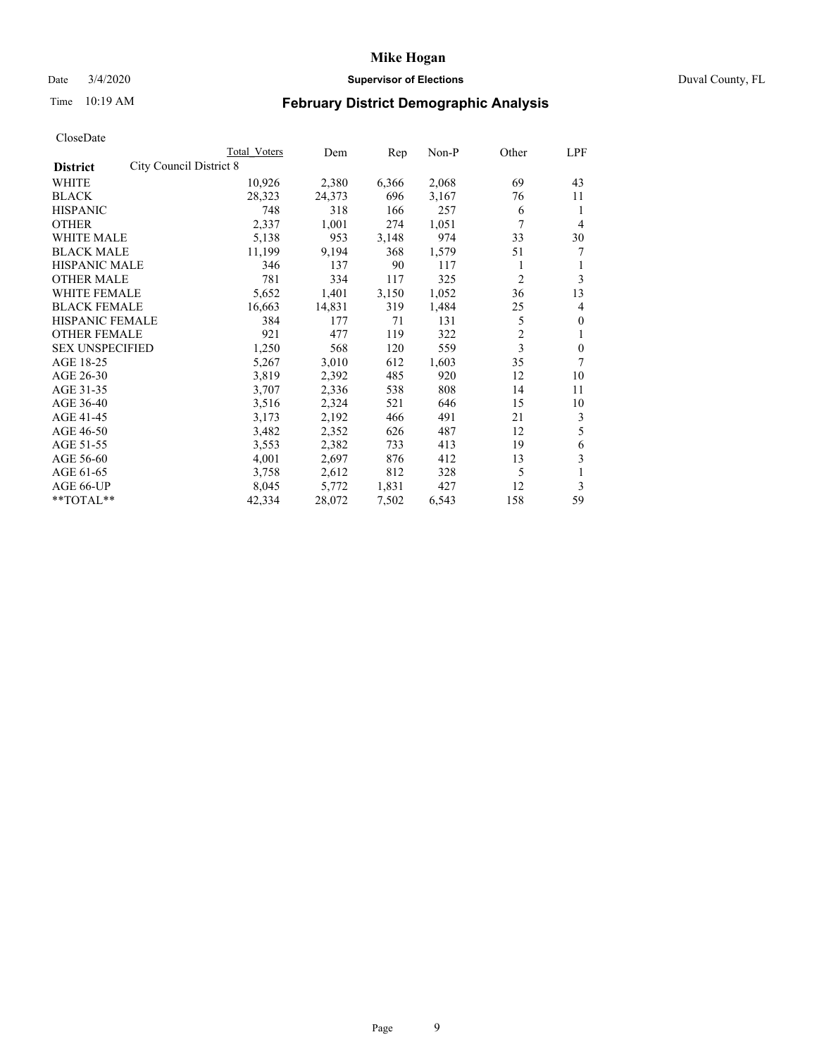## Date 3/4/2020 **Supervisor of Elections** Duval County, FL

# Time 10:19 AM **February District Demographic Analysis**

|                                            | Total Voters | Dem    | Rep   | Non-P | Other          | LPF          |
|--------------------------------------------|--------------|--------|-------|-------|----------------|--------------|
| City Council District 8<br><b>District</b> |              |        |       |       |                |              |
| <b>WHITE</b>                               | 10,926       | 2,380  | 6,366 | 2,068 | 69             | 43           |
| <b>BLACK</b>                               | 28,323       | 24,373 | 696   | 3,167 | 76             | 11           |
| <b>HISPANIC</b>                            | 748          | 318    | 166   | 257   | 6              | 1            |
| <b>OTHER</b>                               | 2,337        | 1,001  | 274   | 1,051 | 7              | 4            |
| <b>WHITE MALE</b>                          | 5,138        | 953    | 3,148 | 974   | 33             | 30           |
| <b>BLACK MALE</b>                          | 11,199       | 9,194  | 368   | 1,579 | 51             | 7            |
| HISPANIC MALE                              | 346          | 137    | 90    | 117   | 1              | 1            |
| <b>OTHER MALE</b>                          | 781          | 334    | 117   | 325   | $\overline{c}$ | 3            |
| <b>WHITE FEMALE</b>                        | 5,652        | 1,401  | 3,150 | 1,052 | 36             | 13           |
| <b>BLACK FEMALE</b>                        | 16,663       | 14,831 | 319   | 1,484 | 25             | 4            |
| <b>HISPANIC FEMALE</b>                     | 384          | 177    | 71    | 131   | 5              | $\mathbf{0}$ |
| <b>OTHER FEMALE</b>                        | 921          | 477    | 119   | 322   | $\overline{c}$ | 1            |
| <b>SEX UNSPECIFIED</b>                     | 1,250        | 568    | 120   | 559   | 3              | $\mathbf{0}$ |
| AGE 18-25                                  | 5,267        | 3,010  | 612   | 1,603 | 35             | 7            |
| AGE 26-30                                  | 3,819        | 2,392  | 485   | 920   | 12             | 10           |
| AGE 31-35                                  | 3,707        | 2,336  | 538   | 808   | 14             | 11           |
| AGE 36-40                                  | 3,516        | 2,324  | 521   | 646   | 15             | 10           |
| AGE 41-45                                  | 3,173        | 2,192  | 466   | 491   | 21             | 3            |
| AGE 46-50                                  | 3,482        | 2,352  | 626   | 487   | 12             | 5            |
| AGE 51-55                                  | 3,553        | 2,382  | 733   | 413   | 19             | 6            |
| AGE 56-60                                  | 4,001        | 2,697  | 876   | 412   | 13             | 3            |
| AGE 61-65                                  | 3,758        | 2,612  | 812   | 328   | 5              | 1            |
| AGE 66-UP                                  | 8,045        | 5,772  | 1,831 | 427   | 12             | 3            |
| **TOTAL**                                  | 42,334       | 28,072 | 7,502 | 6,543 | 158            | 59           |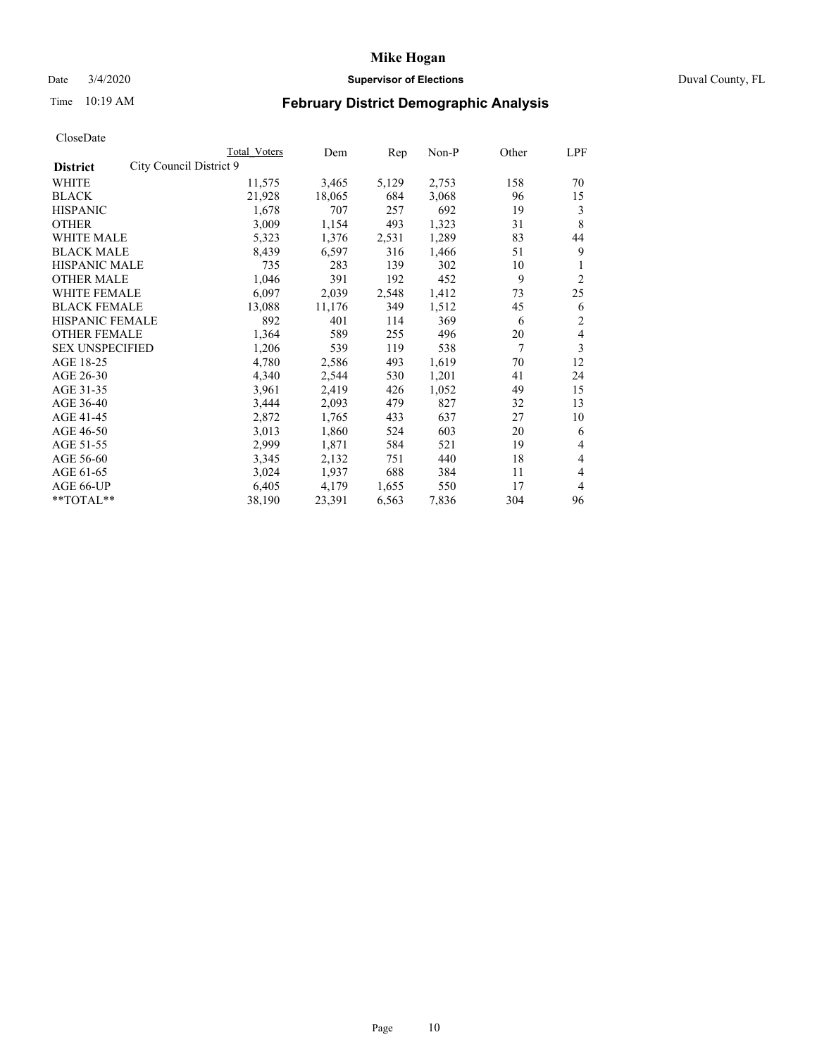## Date 3/4/2020 **Supervisor of Elections** Duval County, FL

# Time 10:19 AM **February District Demographic Analysis**

|                                            | Total Voters | Dem    | Rep   | Non-P | Other | LPF            |
|--------------------------------------------|--------------|--------|-------|-------|-------|----------------|
| City Council District 9<br><b>District</b> |              |        |       |       |       |                |
| <b>WHITE</b>                               | 11,575       | 3,465  | 5,129 | 2,753 | 158   | 70             |
| <b>BLACK</b>                               | 21,928       | 18,065 | 684   | 3,068 | 96    | 15             |
| <b>HISPANIC</b>                            | 1,678        | 707    | 257   | 692   | 19    | 3              |
| <b>OTHER</b>                               | 3,009        | 1,154  | 493   | 1,323 | 31    | 8              |
| WHITE MALE                                 | 5,323        | 1,376  | 2,531 | 1,289 | 83    | 44             |
| <b>BLACK MALE</b>                          | 8,439        | 6,597  | 316   | 1,466 | 51    | 9              |
| HISPANIC MALE                              | 735          | 283    | 139   | 302   | 10    |                |
| <b>OTHER MALE</b>                          | 1,046        | 391    | 192   | 452   | 9     | $\overline{c}$ |
| <b>WHITE FEMALE</b>                        | 6,097        | 2,039  | 2,548 | 1,412 | 73    | 25             |
| <b>BLACK FEMALE</b>                        | 13,088       | 11,176 | 349   | 1,512 | 45    | 6              |
| <b>HISPANIC FEMALE</b>                     | 892          | 401    | 114   | 369   | 6     | 2              |
| <b>OTHER FEMALE</b>                        | 1,364        | 589    | 255   | 496   | 20    | 4              |
| <b>SEX UNSPECIFIED</b>                     | 1,206        | 539    | 119   | 538   | 7     | 3              |
| AGE 18-25                                  | 4,780        | 2,586  | 493   | 1,619 | 70    | 12             |
| AGE 26-30                                  | 4,340        | 2,544  | 530   | 1,201 | 41    | 24             |
| AGE 31-35                                  | 3.961        | 2,419  | 426   | 1,052 | 49    | 15             |
| AGE 36-40                                  | 3,444        | 2,093  | 479   | 827   | 32    | 13             |
| AGE 41-45                                  | 2,872        | 1,765  | 433   | 637   | 27    | 10             |
| AGE 46-50                                  | 3,013        | 1,860  | 524   | 603   | 20    | 6              |
| AGE 51-55                                  | 2,999        | 1,871  | 584   | 521   | 19    | 4              |
| AGE 56-60                                  | 3,345        | 2,132  | 751   | 440   | 18    | 4              |
| AGE 61-65                                  | 3,024        | 1,937  | 688   | 384   | 11    | 4              |
| AGE 66-UP                                  | 6,405        | 4,179  | 1,655 | 550   | 17    | 4              |
| **TOTAL**                                  | 38,190       | 23,391 | 6,563 | 7,836 | 304   | 96             |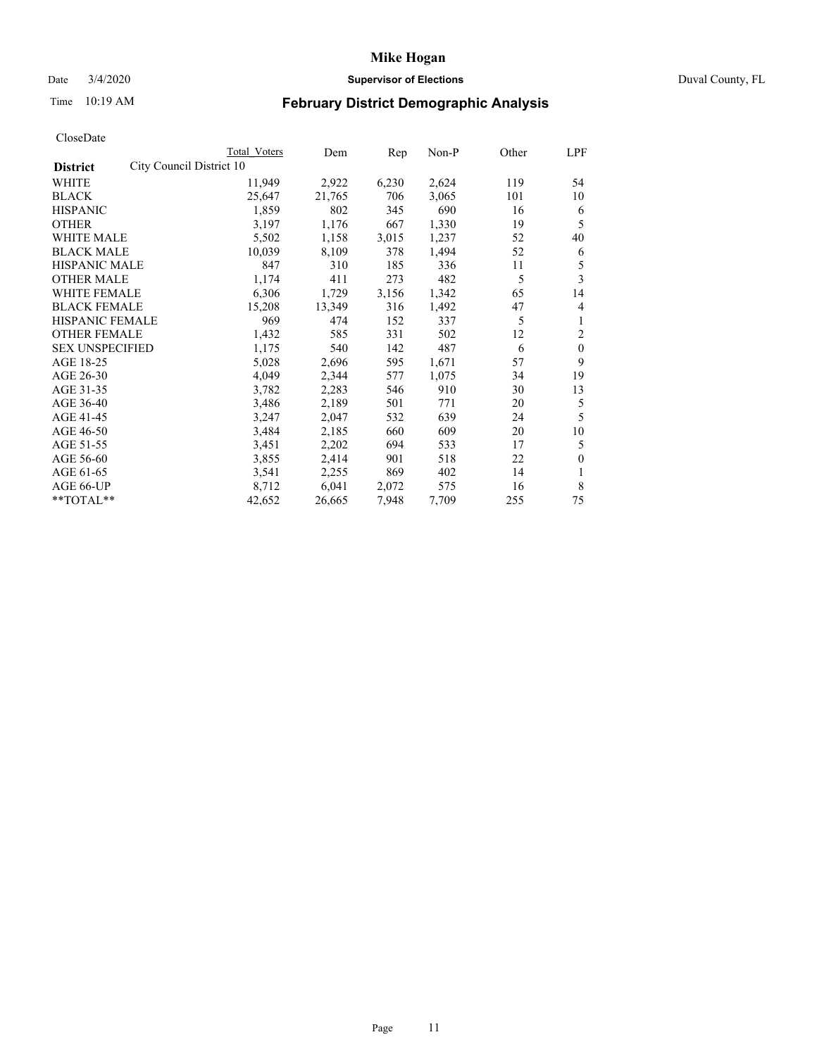### Date 3/4/2020 **Supervisor of Elections** Duval County, FL

# Time 10:19 AM **February District Demographic Analysis**

|                                             | <b>Total Voters</b> | Dem    | Rep   | Non-P | Other | LPF          |
|---------------------------------------------|---------------------|--------|-------|-------|-------|--------------|
| City Council District 10<br><b>District</b> |                     |        |       |       |       |              |
| WHITE                                       | 11,949              | 2,922  | 6,230 | 2,624 | 119   | 54           |
| <b>BLACK</b>                                | 25,647              | 21,765 | 706   | 3,065 | 101   | 10           |
| <b>HISPANIC</b>                             | 1,859               | 802    | 345   | 690   | 16    | 6            |
| <b>OTHER</b>                                | 3,197               | 1,176  | 667   | 1,330 | 19    | 5            |
| WHITE MALE                                  | 5,502               | 1,158  | 3,015 | 1,237 | 52    | 40           |
| <b>BLACK MALE</b>                           | 10,039              | 8,109  | 378   | 1,494 | 52    | 6            |
| <b>HISPANIC MALE</b>                        | 847                 | 310    | 185   | 336   | 11    | 5            |
| <b>OTHER MALE</b>                           | 1,174               | 411    | 273   | 482   | 5     | 3            |
| <b>WHITE FEMALE</b>                         | 6,306               | 1,729  | 3,156 | 1,342 | 65    | 14           |
| <b>BLACK FEMALE</b>                         | 15,208              | 13,349 | 316   | 1,492 | 47    | 4            |
| <b>HISPANIC FEMALE</b>                      | 969                 | 474    | 152   | 337   | 5     | 1            |
| <b>OTHER FEMALE</b>                         | 1,432               | 585    | 331   | 502   | 12    | 2            |
| <b>SEX UNSPECIFIED</b>                      | 1,175               | 540    | 142   | 487   | 6     | $\mathbf{0}$ |
| AGE 18-25                                   | 5,028               | 2,696  | 595   | 1,671 | 57    | 9            |
| AGE 26-30                                   | 4,049               | 2,344  | 577   | 1,075 | 34    | 19           |
| AGE 31-35                                   | 3,782               | 2,283  | 546   | 910   | 30    | 13           |
| AGE 36-40                                   | 3,486               | 2,189  | 501   | 771   | 20    | 5            |
| AGE 41-45                                   | 3,247               | 2,047  | 532   | 639   | 24    | 5            |
| AGE 46-50                                   | 3,484               | 2,185  | 660   | 609   | 20    | 10           |
| AGE 51-55                                   | 3,451               | 2,202  | 694   | 533   | 17    | 5            |
| AGE 56-60                                   | 3,855               | 2,414  | 901   | 518   | 22    | $\mathbf{0}$ |
| AGE 61-65                                   | 3,541               | 2,255  | 869   | 402   | 14    | 1            |
| AGE 66-UP                                   | 8,712               | 6,041  | 2,072 | 575   | 16    | 8            |
| **TOTAL**                                   | 42,652              | 26,665 | 7,948 | 7,709 | 255   | 75           |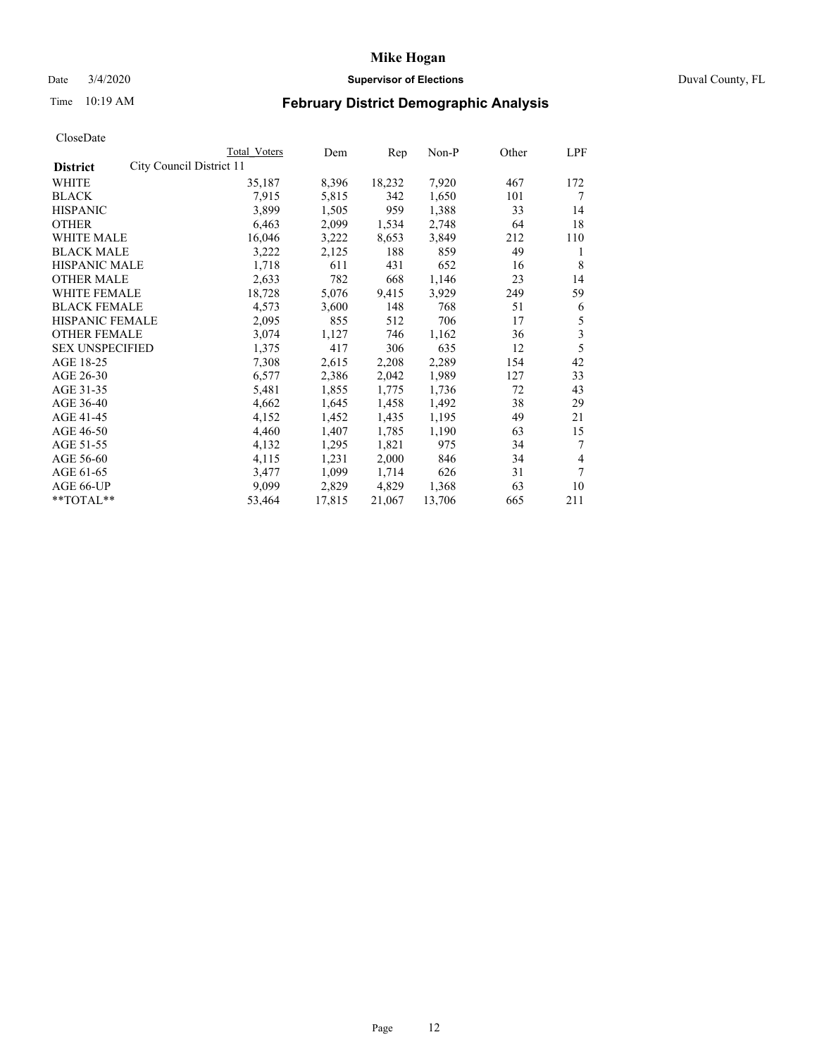## Date 3/4/2020 **Supervisor of Elections** Duval County, FL

# Time 10:19 AM **February District Demographic Analysis**

|                                             | Total Voters | Dem    | Rep    | Non-P  | Other | LPF |
|---------------------------------------------|--------------|--------|--------|--------|-------|-----|
| City Council District 11<br><b>District</b> |              |        |        |        |       |     |
| <b>WHITE</b>                                | 35,187       | 8,396  | 18,232 | 7,920  | 467   | 172 |
| <b>BLACK</b>                                | 7.915        | 5,815  | 342    | 1,650  | 101   | 7   |
| <b>HISPANIC</b>                             | 3,899        | 1,505  | 959    | 1,388  | 33    | 14  |
| <b>OTHER</b>                                | 6,463        | 2,099  | 1,534  | 2,748  | 64    | 18  |
| WHITE MALE                                  | 16,046       | 3,222  | 8,653  | 3,849  | 212   | 110 |
| <b>BLACK MALE</b>                           | 3,222        | 2,125  | 188    | 859    | 49    | 1   |
| HISPANIC MALE                               | 1,718        | 611    | 431    | 652    | 16    | 8   |
| <b>OTHER MALE</b>                           | 2,633        | 782    | 668    | 1,146  | 23    | 14  |
| <b>WHITE FEMALE</b>                         | 18,728       | 5,076  | 9,415  | 3,929  | 249   | 59  |
| <b>BLACK FEMALE</b>                         | 4,573        | 3,600  | 148    | 768    | 51    | 6   |
| HISPANIC FEMALE                             | 2,095        | 855    | 512    | 706    | 17    | 5   |
| <b>OTHER FEMALE</b>                         | 3,074        | 1,127  | 746    | 1,162  | 36    | 3   |
| <b>SEX UNSPECIFIED</b>                      | 1,375        | 417    | 306    | 635    | 12    | 5   |
| AGE 18-25                                   | 7,308        | 2,615  | 2,208  | 2,289  | 154   | 42  |
| AGE 26-30                                   | 6,577        | 2,386  | 2,042  | 1,989  | 127   | 33  |
| AGE 31-35                                   | 5,481        | 1,855  | 1,775  | 1,736  | 72    | 43  |
| AGE 36-40                                   | 4,662        | 1,645  | 1,458  | 1,492  | 38    | 29  |
| AGE 41-45                                   | 4,152        | 1,452  | 1,435  | 1,195  | 49    | 21  |
| AGE 46-50                                   | 4,460        | 1,407  | 1,785  | 1,190  | 63    | 15  |
| AGE 51-55                                   | 4,132        | 1,295  | 1,821  | 975    | 34    | 7   |
| AGE 56-60                                   | 4,115        | 1,231  | 2,000  | 846    | 34    | 4   |
| AGE 61-65                                   | 3,477        | 1,099  | 1,714  | 626    | 31    | 7   |
| AGE 66-UP                                   | 9,099        | 2,829  | 4,829  | 1,368  | 63    | 10  |
| **TOTAL**                                   | 53,464       | 17,815 | 21,067 | 13,706 | 665   | 211 |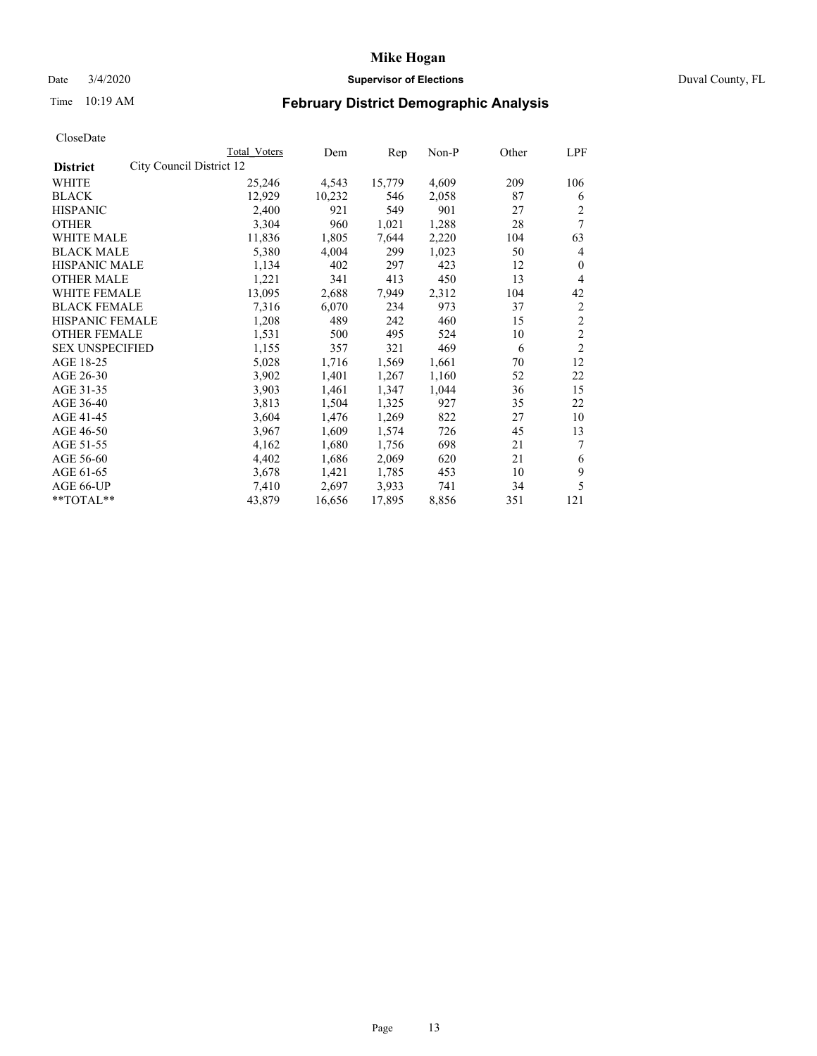## Date 3/4/2020 **Supervisor of Elections** Duval County, FL

# Time 10:19 AM **February District Demographic Analysis**

|                                             | Total Voters | Dem    | Rep    | $Non-P$ | Other | LPF            |
|---------------------------------------------|--------------|--------|--------|---------|-------|----------------|
| City Council District 12<br><b>District</b> |              |        |        |         |       |                |
| WHITE                                       | 25,246       | 4,543  | 15,779 | 4,609   | 209   | 106            |
| <b>BLACK</b>                                | 12,929       | 10,232 | 546    | 2,058   | 87    | 6              |
| <b>HISPANIC</b>                             | 2,400        | 921    | 549    | 901     | 27    | $\overline{c}$ |
| <b>OTHER</b>                                | 3,304        | 960    | 1,021  | 1,288   | 28    | 7              |
| <b>WHITE MALE</b>                           | 11,836       | 1,805  | 7,644  | 2,220   | 104   | 63             |
| <b>BLACK MALE</b>                           | 5,380        | 4,004  | 299    | 1,023   | 50    | 4              |
| <b>HISPANIC MALE</b>                        | 1,134        | 402    | 297    | 423     | 12    | 0              |
| <b>OTHER MALE</b>                           | 1,221        | 341    | 413    | 450     | 13    | 4              |
| <b>WHITE FEMALE</b>                         | 13,095       | 2,688  | 7,949  | 2,312   | 104   | 42             |
| <b>BLACK FEMALE</b>                         | 7,316        | 6,070  | 234    | 973     | 37    | $\overline{c}$ |
| HISPANIC FEMALE                             | 1,208        | 489    | 242    | 460     | 15    | $\overline{c}$ |
| <b>OTHER FEMALE</b>                         | 1,531        | 500    | 495    | 524     | 10    | $\overline{c}$ |
| <b>SEX UNSPECIFIED</b>                      | 1,155        | 357    | 321    | 469     | 6     | $\overline{2}$ |
| AGE 18-25                                   | 5,028        | 1,716  | 1,569  | 1,661   | 70    | 12             |
| AGE 26-30                                   | 3,902        | 1,401  | 1,267  | 1,160   | 52    | 22             |
| AGE 31-35                                   | 3,903        | 1,461  | 1,347  | 1,044   | 36    | 15             |
| AGE 36-40                                   | 3,813        | 1,504  | 1,325  | 927     | 35    | 22             |
| AGE 41-45                                   | 3,604        | 1,476  | 1,269  | 822     | 27    | 10             |
| AGE 46-50                                   | 3,967        | 1,609  | 1,574  | 726     | 45    | 13             |
| AGE 51-55                                   | 4,162        | 1,680  | 1,756  | 698     | 21    | 7              |
| AGE 56-60                                   | 4,402        | 1,686  | 2,069  | 620     | 21    | 6              |
| AGE 61-65                                   | 3,678        | 1,421  | 1,785  | 453     | 10    | 9              |
| AGE 66-UP                                   | 7,410        | 2,697  | 3,933  | 741     | 34    | 5              |
| **TOTAL**                                   | 43,879       | 16,656 | 17,895 | 8,856   | 351   | 121            |
|                                             |              |        |        |         |       |                |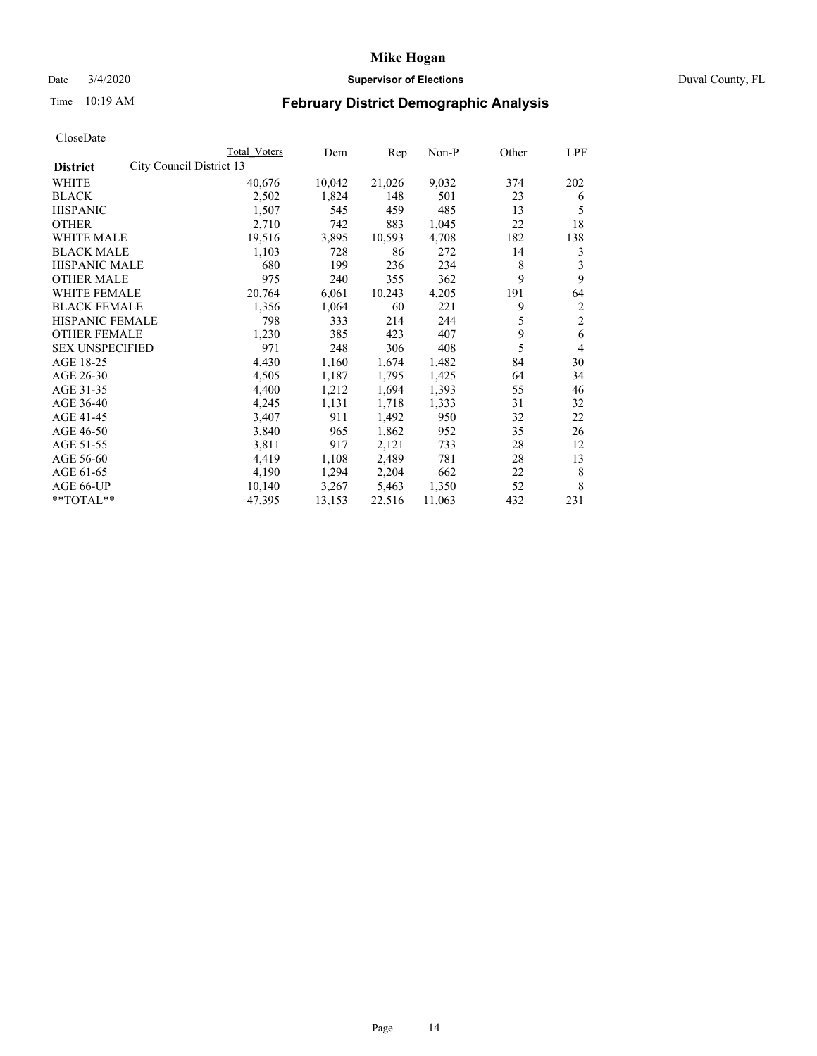## Date 3/4/2020 **Supervisor of Elections** Duval County, FL

# Time 10:19 AM **February District Demographic Analysis**

|                                             | Total Voters | Dem    | Rep    | $Non-P$ | Other | LPF            |
|---------------------------------------------|--------------|--------|--------|---------|-------|----------------|
| City Council District 13<br><b>District</b> |              |        |        |         |       |                |
| WHITE                                       | 40,676       | 10,042 | 21,026 | 9,032   | 374   | 202            |
| <b>BLACK</b>                                | 2,502        | 1,824  | 148    | 501     | 23    | 6              |
| <b>HISPANIC</b>                             | 1,507        | 545    | 459    | 485     | 13    | 5              |
| <b>OTHER</b>                                | 2,710        | 742    | 883    | 1,045   | 22    | 18             |
| <b>WHITE MALE</b>                           | 19,516       | 3,895  | 10,593 | 4,708   | 182   | 138            |
| <b>BLACK MALE</b>                           | 1,103        | 728    | 86     | 272     | 14    | 3              |
| <b>HISPANIC MALE</b>                        | 680          | 199    | 236    | 234     | 8     | 3              |
| <b>OTHER MALE</b>                           | 975          | 240    | 355    | 362     | 9     | 9              |
| <b>WHITE FEMALE</b>                         | 20,764       | 6,061  | 10,243 | 4,205   | 191   | 64             |
| <b>BLACK FEMALE</b>                         | 1,356        | 1,064  | 60     | 221     | 9     | $\overline{c}$ |
| <b>HISPANIC FEMALE</b>                      | 798          | 333    | 214    | 244     | 5     | $\overline{2}$ |
| <b>OTHER FEMALE</b>                         | 1,230        | 385    | 423    | 407     | 9     | 6              |
| <b>SEX UNSPECIFIED</b>                      | 971          | 248    | 306    | 408     | 5     | 4              |
| AGE 18-25                                   | 4,430        | 1,160  | 1,674  | 1,482   | 84    | 30             |
| AGE 26-30                                   | 4,505        | 1,187  | 1,795  | 1,425   | 64    | 34             |
| AGE 31-35                                   | 4,400        | 1,212  | 1,694  | 1,393   | 55    | 46             |
| AGE 36-40                                   | 4,245        | 1,131  | 1,718  | 1,333   | 31    | 32             |
| AGE 41-45                                   | 3,407        | 911    | 1,492  | 950     | 32    | 22             |
| AGE 46-50                                   | 3,840        | 965    | 1,862  | 952     | 35    | 26             |
| AGE 51-55                                   | 3,811        | 917    | 2,121  | 733     | 28    | 12             |
| AGE 56-60                                   | 4,419        | 1,108  | 2,489  | 781     | 28    | 13             |
| AGE 61-65                                   | 4,190        | 1,294  | 2,204  | 662     | 22    | 8              |
| AGE 66-UP                                   | 10,140       | 3,267  | 5,463  | 1,350   | 52    | 8              |
| **TOTAL**                                   | 47,395       | 13,153 | 22,516 | 11,063  | 432   | 231            |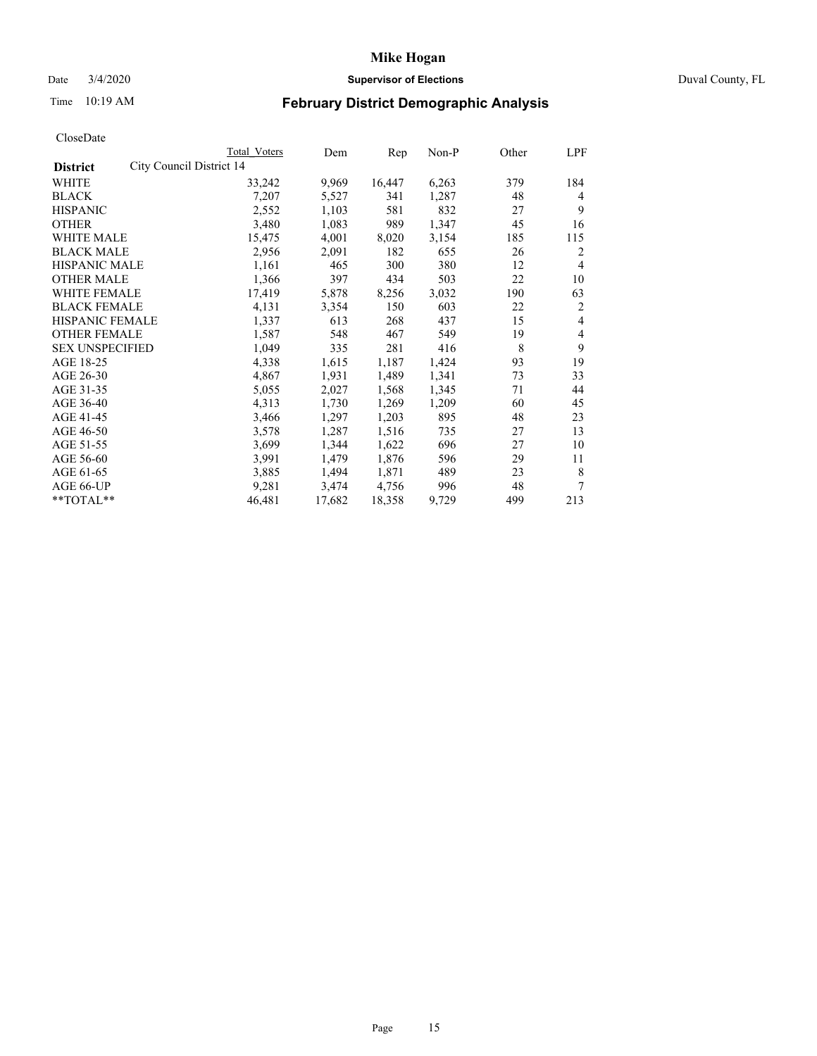## Date 3/4/2020 **Supervisor of Elections** Duval County, FL

# Time 10:19 AM **February District Demographic Analysis**

|                        |                          | Total Voters | Dem    | Rep    | $Non-P$ | Other | LPF            |
|------------------------|--------------------------|--------------|--------|--------|---------|-------|----------------|
| <b>District</b>        | City Council District 14 |              |        |        |         |       |                |
| WHITE                  |                          | 33,242       | 9,969  | 16,447 | 6,263   | 379   | 184            |
| <b>BLACK</b>           |                          | 7,207        | 5,527  | 341    | 1,287   | 48    | 4              |
| <b>HISPANIC</b>        |                          | 2,552        | 1,103  | 581    | 832     | 27    | 9              |
| <b>OTHER</b>           |                          | 3,480        | 1,083  | 989    | 1,347   | 45    | 16             |
| WHITE MALE             |                          | 15,475       | 4,001  | 8,020  | 3,154   | 185   | 115            |
| <b>BLACK MALE</b>      |                          | 2,956        | 2,091  | 182    | 655     | 26    | 2              |
| <b>HISPANIC MALE</b>   |                          | 1,161        | 465    | 300    | 380     | 12    | 4              |
| <b>OTHER MALE</b>      |                          | 1,366        | 397    | 434    | 503     | 22    | 10             |
| WHITE FEMALE           |                          | 17,419       | 5,878  | 8,256  | 3,032   | 190   | 63             |
| <b>BLACK FEMALE</b>    |                          | 4,131        | 3,354  | 150    | 603     | 22    | 2              |
| HISPANIC FEMALE        |                          | 1,337        | 613    | 268    | 437     | 15    | $\overline{4}$ |
| <b>OTHER FEMALE</b>    |                          | 1,587        | 548    | 467    | 549     | 19    | 4              |
| <b>SEX UNSPECIFIED</b> |                          | 1,049        | 335    | 281    | 416     | 8     | 9              |
| AGE 18-25              |                          | 4,338        | 1,615  | 1,187  | 1,424   | 93    | 19             |
| AGE 26-30              |                          | 4,867        | 1,931  | 1,489  | 1,341   | 73    | 33             |
| AGE 31-35              |                          | 5,055        | 2,027  | 1,568  | 1,345   | 71    | 44             |
| AGE 36-40              |                          | 4,313        | 1,730  | 1,269  | 1,209   | 60    | 45             |
| AGE 41-45              |                          | 3,466        | 1,297  | 1,203  | 895     | 48    | 23             |
| AGE 46-50              |                          | 3,578        | 1,287  | 1,516  | 735     | 27    | 13             |
| AGE 51-55              |                          | 3,699        | 1,344  | 1,622  | 696     | 27    | 10             |
| AGE 56-60              |                          | 3,991        | 1,479  | 1,876  | 596     | 29    | 11             |
| AGE 61-65              |                          | 3,885        | 1,494  | 1,871  | 489     | 23    | 8              |
| AGE 66-UP              |                          | 9,281        | 3,474  | 4,756  | 996     | 48    | 7              |
| **TOTAL**              |                          | 46,481       | 17,682 | 18,358 | 9,729   | 499   | 213            |
|                        |                          |              |        |        |         |       |                |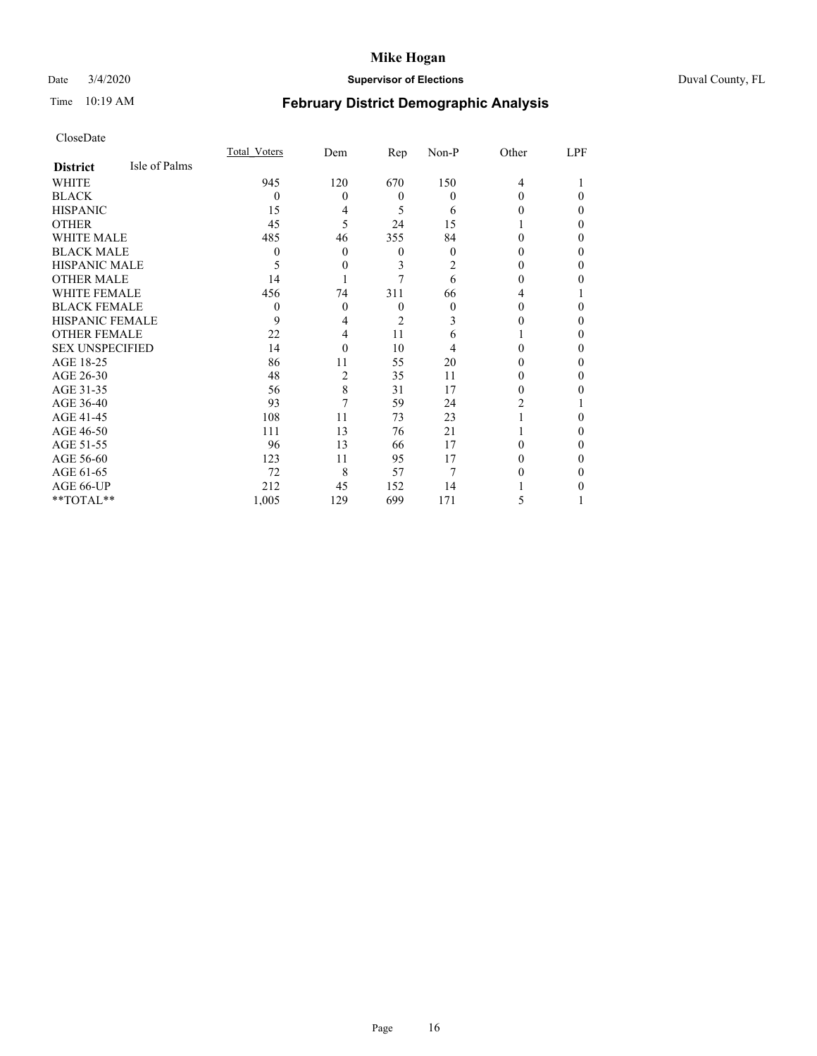## Date 3/4/2020 **Supervisor of Elections** Duval County, FL

# Time 10:19 AM **February District Demographic Analysis**

|                        |               | <b>Total Voters</b> | Dem      | Rep            | Non-P    | Other    | LPF |
|------------------------|---------------|---------------------|----------|----------------|----------|----------|-----|
| <b>District</b>        | Isle of Palms |                     |          |                |          |          |     |
| WHITE                  |               | 945                 | 120      | 670            | 150      | 4        |     |
| <b>BLACK</b>           |               | $\Omega$            | 0        | $\Omega$       | $\Omega$ | $\Omega$ | 0   |
| <b>HISPANIC</b>        |               | 15                  | 4        | 5              | 6        | 0        | 0   |
| <b>OTHER</b>           |               | 45                  | 5        | 24             | 15       |          | 0   |
| WHITE MALE             |               | 485                 | 46       | 355            | 84       | 0        | 0   |
| <b>BLACK MALE</b>      |               | 0                   | $\Omega$ | $\overline{0}$ | $\Omega$ | 0        | 0   |
| <b>HISPANIC MALE</b>   |               | 5                   | 0        | 3              | 2        | 0        | 0   |
| <b>OTHER MALE</b>      |               | 14                  |          |                | 6        | 0        | 0   |
| WHITE FEMALE           |               | 456                 | 74       | 311            | 66       | 4        |     |
| <b>BLACK FEMALE</b>    |               | $\Omega$            | 0        | $\theta$       | $\Omega$ | 0        | 0   |
| <b>HISPANIC FEMALE</b> |               | 9                   | 4        | $\overline{2}$ | 3        | 0        | 0   |
| <b>OTHER FEMALE</b>    |               | 22                  | 4        | 11             | 6        |          | 0   |
| <b>SEX UNSPECIFIED</b> |               | 14                  | $\theta$ | 10             | 4        | 0        | 0   |
| AGE 18-25              |               | 86                  | 11       | 55             | 20       | 0        | 0   |
| AGE 26-30              |               | 48                  | 2        | 35             | 11       | 0        | 0   |
| AGE 31-35              |               | 56                  | 8        | 31             | 17       | 0        | 0   |
| AGE 36-40              |               | 93                  | 7        | 59             | 24       | 2        |     |
| AGE 41-45              |               | 108                 | 11       | 73             | 23       |          | 0   |
| AGE 46-50              |               | 111                 | 13       | 76             | 21       |          | 0   |
| AGE 51-55              |               | 96                  | 13       | 66             | 17       | 0        | 0   |
| AGE 56-60              |               | 123                 | 11       | 95             | 17       | 0        | 0   |
| AGE 61-65              |               | 72                  | 8        | 57             | 7        | 0        | 0   |
| AGE 66-UP              |               | 212                 | 45       | 152            | 14       |          | 0   |
| **TOTAL**              |               | 1,005               | 129      | 699            | 171      | 5        |     |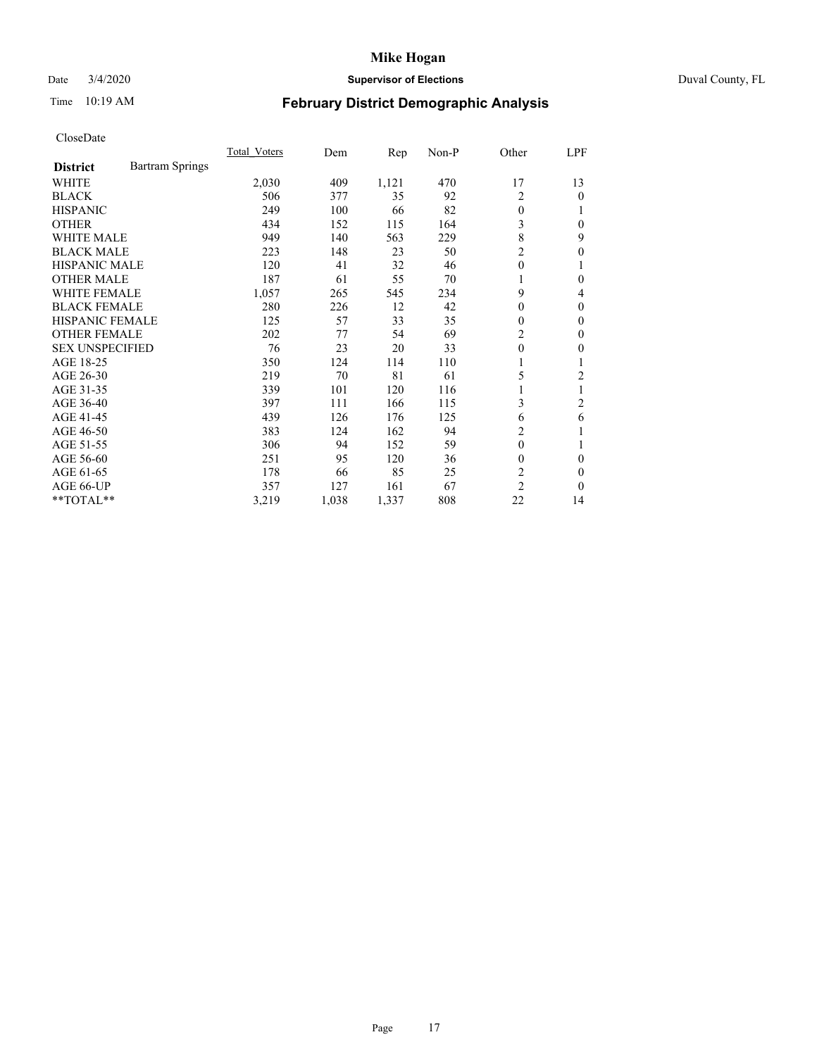## Date 3/4/2020 **Supervisor of Elections** Duval County, FL

# Time 10:19 AM **February District Demographic Analysis**

|                        |                        | <b>Total Voters</b> | Dem   | Rep   | $Non-P$ | Other          | <u>LPF</u>     |
|------------------------|------------------------|---------------------|-------|-------|---------|----------------|----------------|
| <b>District</b>        | <b>Bartram Springs</b> |                     |       |       |         |                |                |
| WHITE                  |                        | 2,030               | 409   | 1,121 | 470     | 17             | 13             |
| <b>BLACK</b>           |                        | 506                 | 377   | 35    | 92      | 2              | $\theta$       |
| <b>HISPANIC</b>        |                        | 249                 | 100   | 66    | 82      | $\theta$       |                |
| <b>OTHER</b>           |                        | 434                 | 152   | 115   | 164     | 3              | $\Omega$       |
| <b>WHITE MALE</b>      |                        | 949                 | 140   | 563   | 229     | 8              | 9              |
| <b>BLACK MALE</b>      |                        | 223                 | 148   | 23    | 50      | $\overline{2}$ | $\mathbf{0}$   |
| <b>HISPANIC MALE</b>   |                        | 120                 | 41    | 32    | 46      | $\theta$       |                |
| <b>OTHER MALE</b>      |                        | 187                 | 61    | 55    | 70      | 1              | $\theta$       |
| <b>WHITE FEMALE</b>    |                        | 1,057               | 265   | 545   | 234     | 9              | 4              |
| <b>BLACK FEMALE</b>    |                        | 280                 | 226   | 12    | 42      | $\Omega$       | $\Omega$       |
| <b>HISPANIC FEMALE</b> |                        | 125                 | 57    | 33    | 35      | $\theta$       | $\theta$       |
| <b>OTHER FEMALE</b>    |                        | 202                 | 77    | 54    | 69      | $\overline{c}$ | $\theta$       |
| <b>SEX UNSPECIFIED</b> |                        | 76                  | 23    | 20    | 33      | $\theta$       | 0              |
| AGE 18-25              |                        | 350                 | 124   | 114   | 110     | 1              |                |
| AGE 26-30              |                        | 219                 | 70    | 81    | 61      | 5              | $\overline{c}$ |
| AGE 31-35              |                        | 339                 | 101   | 120   | 116     | 1              |                |
| AGE 36-40              |                        | 397                 | 111   | 166   | 115     | 3              | 2              |
| AGE 41-45              |                        | 439                 | 126   | 176   | 125     | 6              | 6              |
| AGE 46-50              |                        | 383                 | 124   | 162   | 94      | 2              |                |
| AGE 51-55              |                        | 306                 | 94    | 152   | 59      | $\theta$       |                |
| AGE 56-60              |                        | 251                 | 95    | 120   | 36      | $\theta$       | $\theta$       |
| AGE 61-65              |                        | 178                 | 66    | 85    | 25      | $\overline{c}$ | $\Omega$       |
| AGE 66-UP              |                        | 357                 | 127   | 161   | 67      | $\overline{2}$ | $\theta$       |
| $*$ TOTAL $*$          |                        | 3,219               | 1,038 | 1,337 | 808     | 22             | 14             |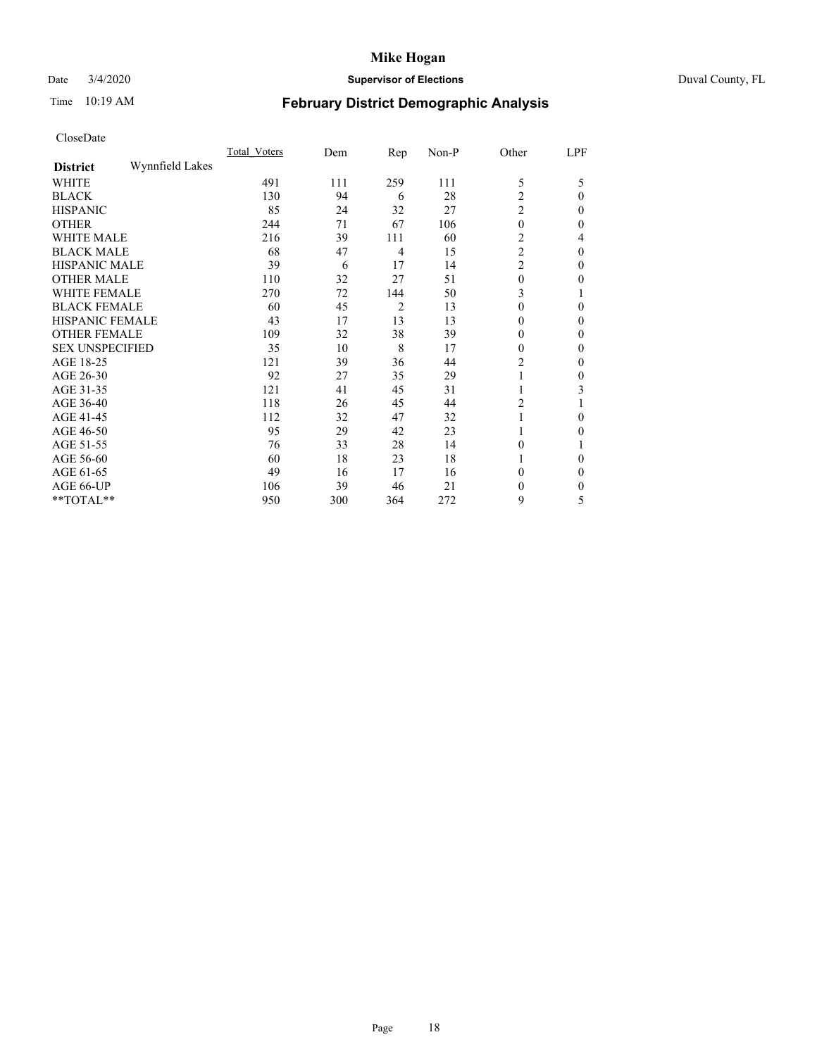## Date 3/4/2020 **Supervisor of Elections** Duval County, FL

# Time 10:19 AM **February District Demographic Analysis**

|                        |                 | <b>Total Voters</b> | Dem | Rep            | Non-P | Other          | LPF            |
|------------------------|-----------------|---------------------|-----|----------------|-------|----------------|----------------|
| <b>District</b>        | Wynnfield Lakes |                     |     |                |       |                |                |
| WHITE                  |                 | 491                 | 111 | 259            | 111   | 5              | 5              |
| <b>BLACK</b>           |                 | 130                 | 94  | 6              | 28    | $\overline{c}$ | $\theta$       |
| <b>HISPANIC</b>        |                 | 85                  | 24  | 32             | 27    | $\overline{c}$ | $\Omega$       |
| <b>OTHER</b>           |                 | 244                 | 71  | 67             | 106   | $\mathbf{0}$   | $\Omega$       |
| WHITE MALE             |                 | 216                 | 39  | 111            | 60    | 2              | 4              |
| <b>BLACK MALE</b>      |                 | 68                  | 47  | 4              | 15    | $\overline{c}$ | $\Omega$       |
| <b>HISPANIC MALE</b>   |                 | 39                  | 6   | 17             | 14    | $\overline{c}$ | 0              |
| <b>OTHER MALE</b>      |                 | 110                 | 32  | 27             | 51    | $\mathbf{0}$   | $\Omega$       |
| WHITE FEMALE           |                 | 270                 | 72  | 144            | 50    | 3              |                |
| <b>BLACK FEMALE</b>    |                 | 60                  | 45  | $\overline{c}$ | 13    | $\theta$       | $\Omega$       |
| HISPANIC FEMALE        |                 | 43                  | 17  | 13             | 13    | $\theta$       | $\Omega$       |
| <b>OTHER FEMALE</b>    |                 | 109                 | 32  | 38             | 39    | $\theta$       | $\Omega$       |
| <b>SEX UNSPECIFIED</b> |                 | 35                  | 10  | 8              | 17    | $\mathbf{0}$   | $\theta$       |
| AGE 18-25              |                 | 121                 | 39  | 36             | 44    | $\overline{c}$ | $\theta$       |
| AGE 26-30              |                 | 92                  | 27  | 35             | 29    | 1              | $\overline{0}$ |
| AGE 31-35              |                 | 121                 | 41  | 45             | 31    |                | 3              |
| AGE 36-40              |                 | 118                 | 26  | 45             | 44    | 2              |                |
| AGE 41-45              |                 | 112                 | 32  | 47             | 32    |                | 0              |
| AGE 46-50              |                 | 95                  | 29  | 42             | 23    | 1              | $\Omega$       |
| AGE 51-55              |                 | 76                  | 33  | 28             | 14    | $\theta$       |                |
| AGE 56-60              |                 | 60                  | 18  | 23             | 18    |                | $\Omega$       |
| AGE 61-65              |                 | 49                  | 16  | 17             | 16    | $\theta$       | $\Omega$       |
| AGE 66-UP              |                 | 106                 | 39  | 46             | 21    | $\theta$       | 0              |
| **TOTAL**              |                 | 950                 | 300 | 364            | 272   | 9              | 5              |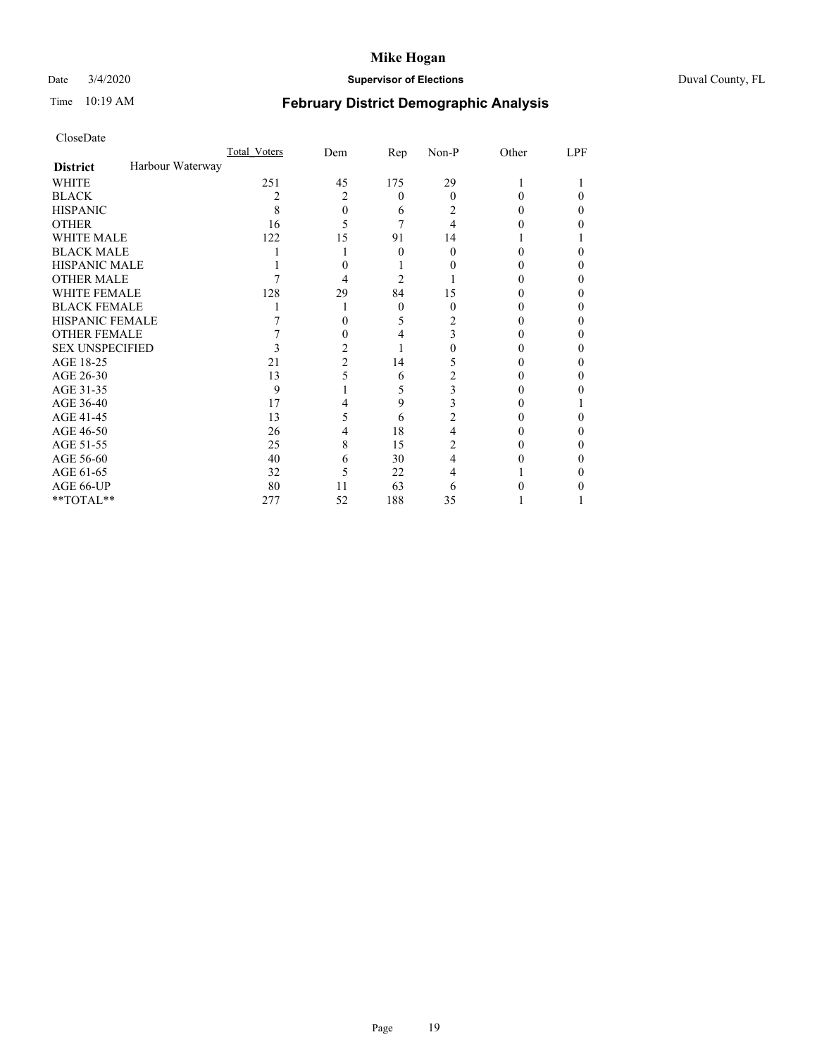# Date 3/4/2020 **Supervisor of Elections** Duval County, FL

# Time 10:19 AM **February District Demographic Analysis**

|                        |                  | <b>Total Voters</b> | Dem            | Rep      | Non-P | Other | LPF |
|------------------------|------------------|---------------------|----------------|----------|-------|-------|-----|
| <b>District</b>        | Harbour Waterway |                     |                |          |       |       |     |
| <b>WHITE</b>           |                  | 251                 | 45             | 175      | 29    |       |     |
| <b>BLACK</b>           |                  | 2                   | 2              | $\theta$ | 0     | 0     | 0   |
| <b>HISPANIC</b>        |                  | 8                   | 0              | 6        | 2     | 0     | 0   |
| <b>OTHER</b>           |                  | 16                  | 5              |          | 4     |       |     |
| WHITE MALE             |                  | 122                 | 15             | 91       | 14    |       |     |
| <b>BLACK MALE</b>      |                  |                     |                | 0        | 0     |       |     |
| <b>HISPANIC MALE</b>   |                  |                     |                |          |       |       |     |
| <b>OTHER MALE</b>      |                  |                     | 4              | 2        |       |       | 0   |
| WHITE FEMALE           |                  | 128                 | 29             | 84       | 15    |       |     |
| <b>BLACK FEMALE</b>    |                  |                     |                | $\Omega$ | 0     | 0     | 0   |
| HISPANIC FEMALE        |                  |                     |                | 5        | 2     |       |     |
| <b>OTHER FEMALE</b>    |                  |                     |                | 4        | 3     |       |     |
| <b>SEX UNSPECIFIED</b> |                  |                     | 2              |          |       |       |     |
| AGE 18-25              |                  | 21                  | $\overline{c}$ | 14       | 5     |       |     |
| AGE 26-30              |                  | 13                  |                | 6        | 2     |       | 0   |
| AGE 31-35              |                  | 9                   |                | 5        | 3     |       |     |
| AGE 36-40              |                  | 17                  | 4              | 9        | 3     |       |     |
| AGE 41-45              |                  | 13                  | 5              | 6        | 2     |       |     |
| AGE 46-50              |                  | 26                  | 4              | 18       | 4     |       |     |
| AGE 51-55              |                  | 25                  | 8              | 15       | 2     |       |     |
| AGE 56-60              |                  | 40                  | 6              | 30       | 4     |       |     |
| AGE 61-65              |                  | 32                  | 5              | 22       | 4     |       |     |
| AGE 66-UP              |                  | 80                  | 11             | 63       | 6     |       |     |
| **TOTAL**              |                  | 277                 | 52             | 188      | 35    |       |     |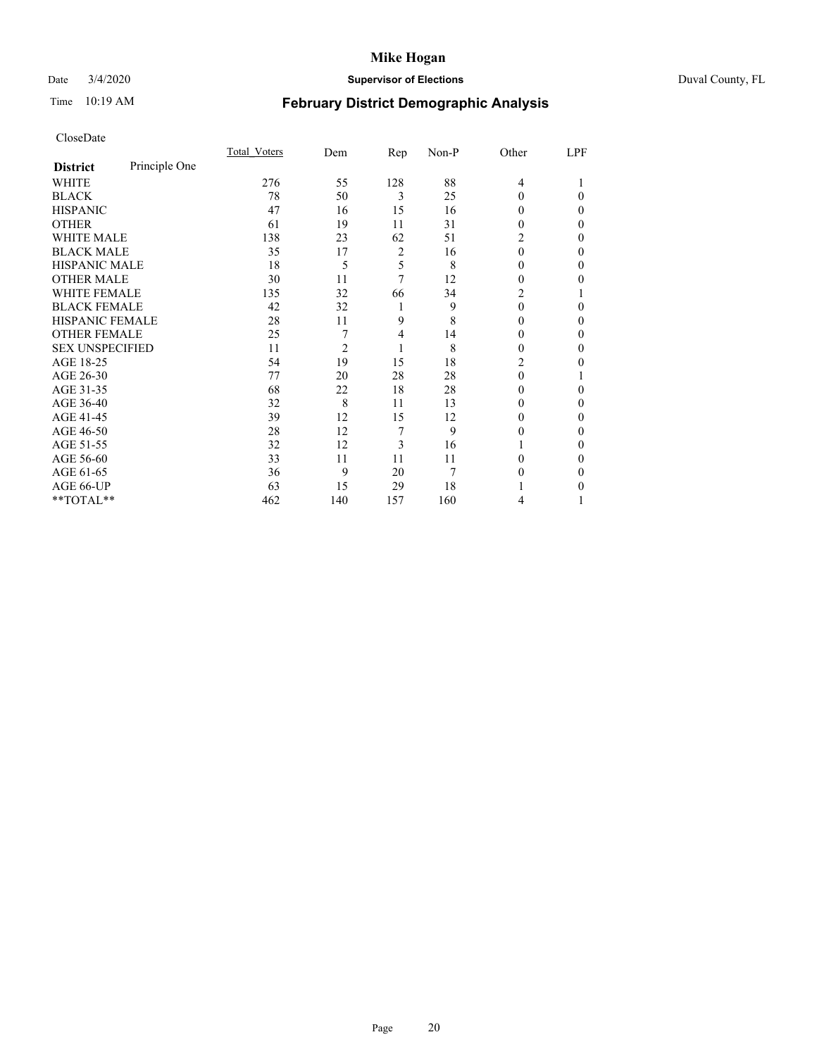## Date 3/4/2020 **Supervisor of Elections** Duval County, FL

# Time 10:19 AM **February District Demographic Analysis**

|                        |               | Total Voters | Dem            | Rep            | Non-P | Other    | LPF |
|------------------------|---------------|--------------|----------------|----------------|-------|----------|-----|
| <b>District</b>        | Principle One |              |                |                |       |          |     |
| WHITE                  |               | 276          | 55             | 128            | 88    | 4        |     |
| <b>BLACK</b>           |               | 78           | 50             | 3              | 25    | 0        | 0   |
| <b>HISPANIC</b>        |               | 47           | 16             | 15             | 16    | 0        | 0   |
| <b>OTHER</b>           |               | 61           | 19             | 11             | 31    | 0        | 0   |
| WHITE MALE             |               | 138          | 23             | 62             | 51    | 2        | 0   |
| <b>BLACK MALE</b>      |               | 35           | 17             | $\overline{2}$ | 16    | $\theta$ | 0   |
| <b>HISPANIC MALE</b>   |               | 18           | 5              | 5              | 8     | 0        | 0   |
| <b>OTHER MALE</b>      |               | 30           | 11             | 7              | 12    | 0        | 0   |
| WHITE FEMALE           |               | 135          | 32             | 66             | 34    | 2        |     |
| <b>BLACK FEMALE</b>    |               | 42           | 32             | 1              | 9     | 0        | 0   |
| <b>HISPANIC FEMALE</b> |               | 28           | 11             | 9              | 8     | 0        | 0   |
| <b>OTHER FEMALE</b>    |               | 25           | 7              | 4              | 14    | 0        | 0   |
| <b>SEX UNSPECIFIED</b> |               | 11           | $\overline{c}$ | 1              | 8     | 0        | 0   |
| AGE 18-25              |               | 54           | 19             | 15             | 18    | 2        | 0   |
| AGE 26-30              |               | 77           | 20             | 28             | 28    | $\theta$ |     |
| AGE 31-35              |               | 68           | 22             | 18             | 28    | 0        | 0   |
| AGE 36-40              |               | 32           | 8              | 11             | 13    | 0        | 0   |
| AGE 41-45              |               | 39           | 12             | 15             | 12    | 0        | 0   |
| AGE 46-50              |               | 28           | 12             | 7              | 9     | 0        | 0   |
| AGE 51-55              |               | 32           | 12             | 3              | 16    |          | 0   |
| AGE 56-60              |               | 33           | 11             | 11             | 11    | 0        | 0   |
| AGE 61-65              |               | 36           | 9              | 20             | 7     | 0        | 0   |
| AGE 66-UP              |               | 63           | 15             | 29             | 18    |          | 0   |
| **TOTAL**              |               | 462          | 140            | 157            | 160   | 4        |     |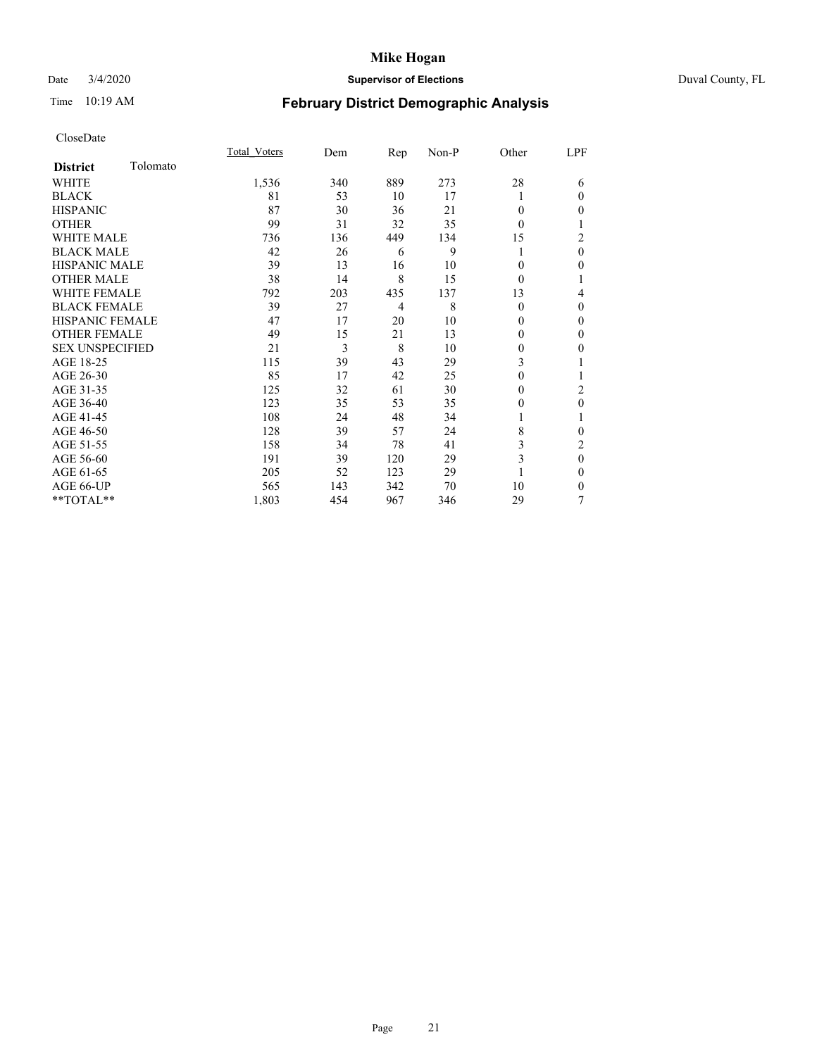## Date 3/4/2020 **Supervisor of Elections** Duval County, FL

# Time 10:19 AM **February District Demographic Analysis**

|                        |          | Total Voters | Dem | Rep | Non-P | Other    | LPF            |
|------------------------|----------|--------------|-----|-----|-------|----------|----------------|
| <b>District</b>        | Tolomato |              |     |     |       |          |                |
| WHITE                  |          | 1,536        | 340 | 889 | 273   | 28       | 6              |
| <b>BLACK</b>           |          | 81           | 53  | 10  | 17    |          | $\theta$       |
| <b>HISPANIC</b>        |          | 87           | 30  | 36  | 21    | $\theta$ | $\theta$       |
| <b>OTHER</b>           |          | 99           | 31  | 32  | 35    | 0        | 1              |
| WHITE MALE             |          | 736          | 136 | 449 | 134   | 15       | $\overline{c}$ |
| <b>BLACK MALE</b>      |          | 42           | 26  | 6   | 9     |          | $\mathbf{0}$   |
| <b>HISPANIC MALE</b>   |          | 39           | 13  | 16  | 10    | 0        | $\theta$       |
| <b>OTHER MALE</b>      |          | 38           | 14  | 8   | 15    | $\theta$ | 1              |
| <b>WHITE FEMALE</b>    |          | 792          | 203 | 435 | 137   | 13       | 4              |
| <b>BLACK FEMALE</b>    |          | 39           | 27  | 4   | 8     | $\theta$ | $\theta$       |
| HISPANIC FEMALE        |          | 47           | 17  | 20  | 10    | 0        | $\theta$       |
| <b>OTHER FEMALE</b>    |          | 49           | 15  | 21  | 13    | 0        | $\theta$       |
| <b>SEX UNSPECIFIED</b> |          | 21           | 3   | 8   | 10    | 0        | 0              |
| AGE 18-25              |          | 115          | 39  | 43  | 29    | 3        |                |
| AGE 26-30              |          | 85           | 17  | 42  | 25    | $\theta$ | 1              |
| AGE 31-35              |          | 125          | 32  | 61  | 30    | 0        | 2              |
| AGE 36-40              |          | 123          | 35  | 53  | 35    | 0        | $\mathbf{0}$   |
| AGE 41-45              |          | 108          | 24  | 48  | 34    |          |                |
| AGE 46-50              |          | 128          | 39  | 57  | 24    | 8        | $\theta$       |
| AGE 51-55              |          | 158          | 34  | 78  | 41    | 3        | 2              |
| AGE 56-60              |          | 191          | 39  | 120 | 29    | 3        | $\mathbf{0}$   |
| AGE 61-65              |          | 205          | 52  | 123 | 29    |          | $\theta$       |
| AGE 66-UP              |          | 565          | 143 | 342 | 70    | 10       | $\theta$       |
| $**TOTAL**$            |          | 1,803        | 454 | 967 | 346   | 29       | 7              |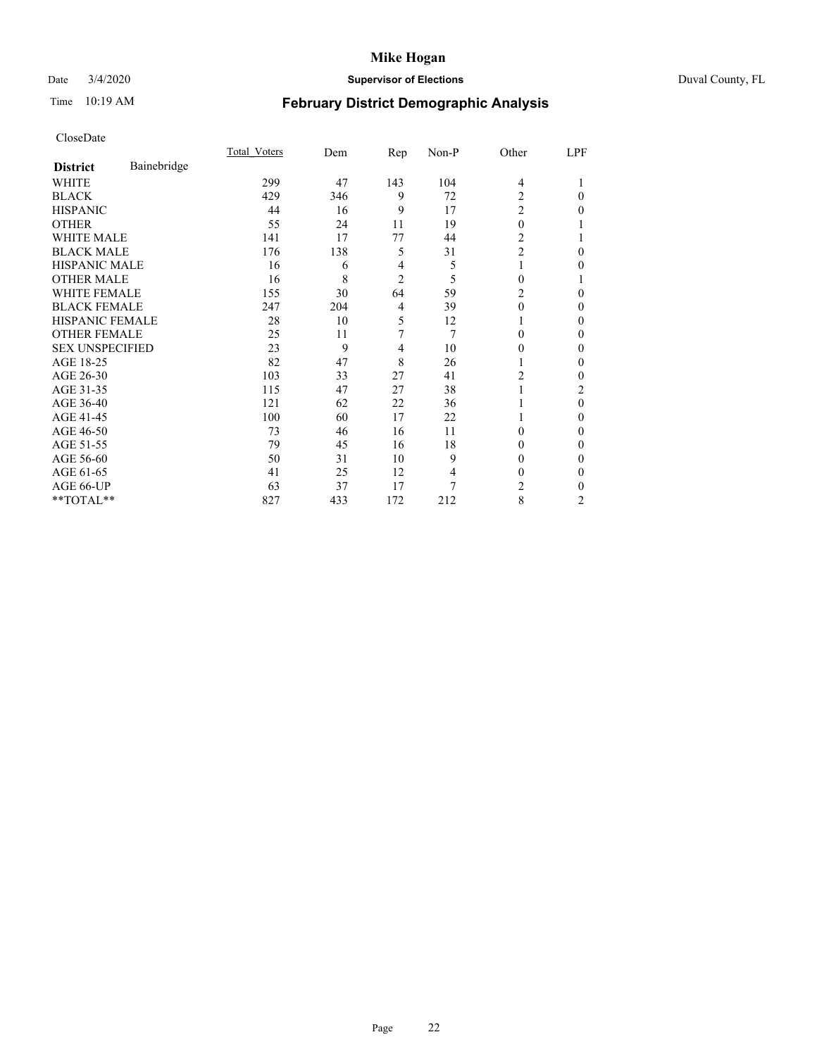## Date 3/4/2020 **Supervisor of Elections** Duval County, FL

# Time 10:19 AM **February District Demographic Analysis**

|                        |             | Total Voters | Dem | Rep            | Non-P | Other          | LPF            |
|------------------------|-------------|--------------|-----|----------------|-------|----------------|----------------|
| <b>District</b>        | Bainebridge |              |     |                |       |                |                |
| WHITE                  |             | 299          | 47  | 143            | 104   | $\overline{4}$ |                |
| <b>BLACK</b>           |             | 429          | 346 | 9              | 72    | $\overline{c}$ | $\Omega$       |
| <b>HISPANIC</b>        |             | 44           | 16  | 9              | 17    | $\overline{c}$ | 0              |
| <b>OTHER</b>           |             | 55           | 24  | 11             | 19    | $\theta$       |                |
| <b>WHITE MALE</b>      |             | 141          | 17  | 77             | 44    | 2              |                |
| <b>BLACK MALE</b>      |             | 176          | 138 | 5              | 31    | $\overline{2}$ | 0              |
| <b>HISPANIC MALE</b>   |             | 16           | 6   | 4              | 5     |                | 0              |
| <b>OTHER MALE</b>      |             | 16           | 8   | $\overline{c}$ | 5     | 0              |                |
| WHITE FEMALE           |             | 155          | 30  | 64             | 59    | 2              | 0              |
| <b>BLACK FEMALE</b>    |             | 247          | 204 | $\overline{4}$ | 39    | $\theta$       | 0              |
| HISPANIC FEMALE        |             | 28           | 10  | 5              | 12    |                | 0              |
| <b>OTHER FEMALE</b>    |             | 25           | 11  | 7              | 7     | 0              | 0              |
| <b>SEX UNSPECIFIED</b> |             | 23           | 9   | $\overline{4}$ | 10    | $\Omega$       | 0              |
| AGE 18-25              |             | 82           | 47  | 8              | 26    |                | 0              |
| AGE 26-30              |             | 103          | 33  | 27             | 41    | 2              | 0              |
| AGE 31-35              |             | 115          | 47  | 27             | 38    |                | 2              |
| AGE 36-40              |             | 121          | 62  | 22             | 36    |                | $\theta$       |
| AGE 41-45              |             | 100          | 60  | 17             | 22    |                | 0              |
| AGE 46-50              |             | 73           | 46  | 16             | 11    | 0              | 0              |
| AGE 51-55              |             | 79           | 45  | 16             | 18    | 0              | 0              |
| AGE 56-60              |             | 50           | 31  | 10             | 9     | 0              | 0              |
| AGE 61-65              |             | 41           | 25  | 12             | 4     | 0              | 0              |
| AGE 66-UP              |             | 63           | 37  | 17             | 7     | 2              | 0              |
| **TOTAL**              |             | 827          | 433 | 172            | 212   | 8              | $\overline{c}$ |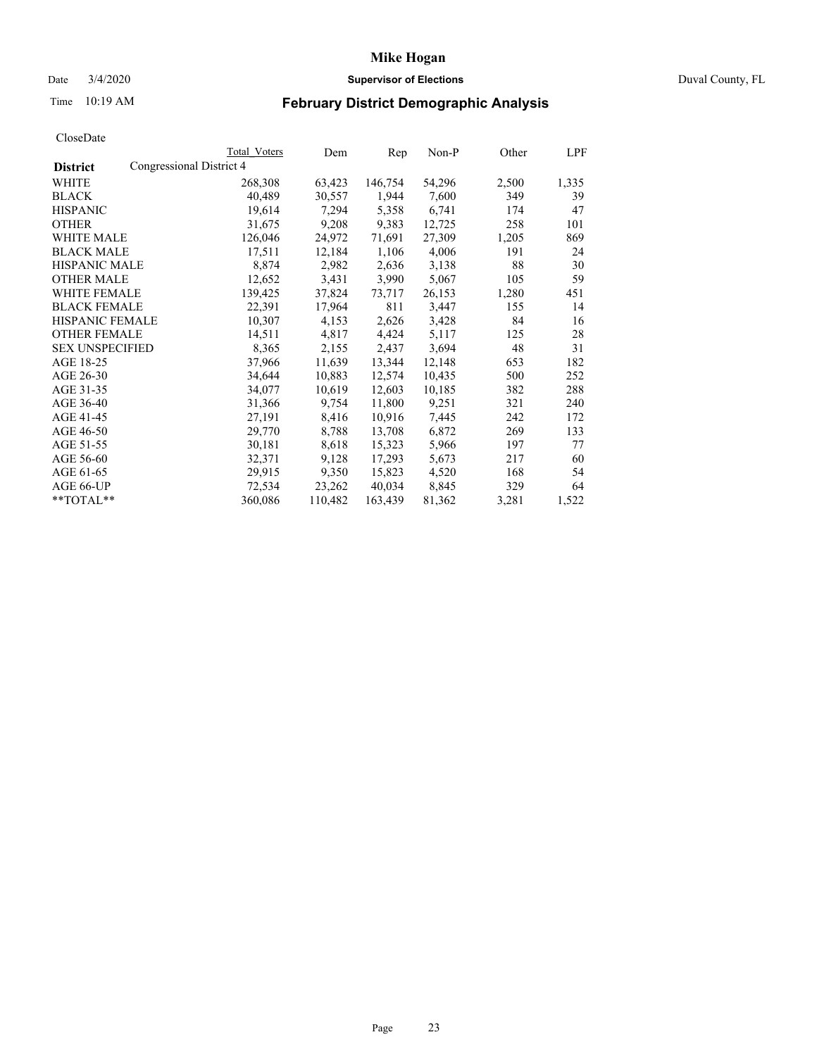### Date 3/4/2020 **Supervisor of Elections** Duval County, FL

# Time 10:19 AM **February District Demographic Analysis**

|                        | Total Voters             | Dem     | Rep     | Non-P  | Other | LPF   |
|------------------------|--------------------------|---------|---------|--------|-------|-------|
| <b>District</b>        | Congressional District 4 |         |         |        |       |       |
| WHITE                  | 268,308                  | 63,423  | 146,754 | 54,296 | 2,500 | 1,335 |
| <b>BLACK</b>           | 40,489                   | 30,557  | 1,944   | 7,600  | 349   | 39    |
| <b>HISPANIC</b>        | 19,614                   | 7,294   | 5,358   | 6,741  | 174   | 47    |
| <b>OTHER</b>           | 31,675                   | 9,208   | 9,383   | 12,725 | 258   | 101   |
| WHITE MALE             | 126,046                  | 24,972  | 71,691  | 27,309 | 1,205 | 869   |
| <b>BLACK MALE</b>      | 17,511                   | 12,184  | 1,106   | 4,006  | 191   | 24    |
| <b>HISPANIC MALE</b>   | 8,874                    | 2,982   | 2,636   | 3,138  | 88    | 30    |
| <b>OTHER MALE</b>      | 12,652                   | 3,431   | 3,990   | 5,067  | 105   | 59    |
| <b>WHITE FEMALE</b>    | 139,425                  | 37,824  | 73,717  | 26,153 | 1,280 | 451   |
| <b>BLACK FEMALE</b>    | 22,391                   | 17,964  | 811     | 3,447  | 155   | 14    |
| <b>HISPANIC FEMALE</b> | 10,307                   | 4,153   | 2,626   | 3,428  | 84    | 16    |
| <b>OTHER FEMALE</b>    | 14,511                   | 4,817   | 4,424   | 5,117  | 125   | 28    |
| <b>SEX UNSPECIFIED</b> | 8,365                    | 2,155   | 2,437   | 3,694  | 48    | 31    |
| AGE 18-25              | 37,966                   | 11,639  | 13,344  | 12,148 | 653   | 182   |
| AGE 26-30              | 34,644                   | 10,883  | 12,574  | 10,435 | 500   | 252   |
| AGE 31-35              | 34,077                   | 10,619  | 12,603  | 10,185 | 382   | 288   |
| AGE 36-40              | 31,366                   | 9,754   | 11,800  | 9,251  | 321   | 240   |
| AGE 41-45              | 27,191                   | 8,416   | 10,916  | 7,445  | 242   | 172   |
| AGE 46-50              | 29,770                   | 8,788   | 13,708  | 6,872  | 269   | 133   |
| AGE 51-55              | 30,181                   | 8,618   | 15,323  | 5,966  | 197   | 77    |
| AGE 56-60              | 32,371                   | 9,128   | 17,293  | 5,673  | 217   | 60    |
| AGE 61-65              | 29,915                   | 9,350   | 15,823  | 4,520  | 168   | 54    |
| AGE 66-UP              | 72,534                   | 23,262  | 40,034  | 8,845  | 329   | 64    |
| $*$ $TOTAL**$          | 360,086                  | 110,482 | 163,439 | 81,362 | 3,281 | 1,522 |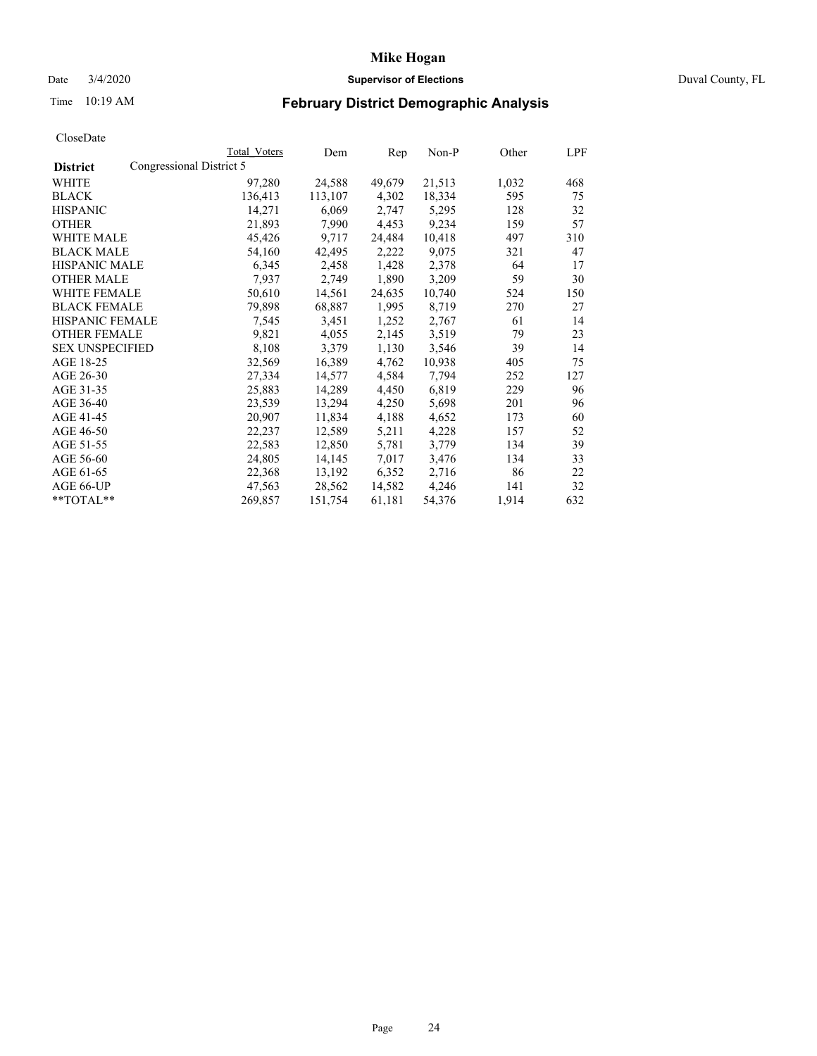## Date 3/4/2020 **Supervisor of Elections** Duval County, FL

# Time 10:19 AM **February District Demographic Analysis**

|                        |                          | Total Voters | Dem     | Rep    | Non-P  | Other | LPF |
|------------------------|--------------------------|--------------|---------|--------|--------|-------|-----|
| <b>District</b>        | Congressional District 5 |              |         |        |        |       |     |
| WHITE                  |                          | 97,280       | 24,588  | 49,679 | 21,513 | 1,032 | 468 |
| <b>BLACK</b>           |                          | 136,413      | 113,107 | 4,302  | 18,334 | 595   | 75  |
| <b>HISPANIC</b>        |                          | 14,271       | 6,069   | 2,747  | 5,295  | 128   | 32  |
| <b>OTHER</b>           |                          | 21,893       | 7,990   | 4,453  | 9,234  | 159   | 57  |
| WHITE MALE             |                          | 45,426       | 9,717   | 24,484 | 10,418 | 497   | 310 |
| <b>BLACK MALE</b>      |                          | 54,160       | 42,495  | 2,222  | 9,075  | 321   | 47  |
| <b>HISPANIC MALE</b>   |                          | 6,345        | 2,458   | 1,428  | 2,378  | 64    | 17  |
| <b>OTHER MALE</b>      |                          | 7,937        | 2,749   | 1,890  | 3,209  | 59    | 30  |
| <b>WHITE FEMALE</b>    |                          | 50,610       | 14,561  | 24,635 | 10,740 | 524   | 150 |
| <b>BLACK FEMALE</b>    |                          | 79,898       | 68,887  | 1,995  | 8,719  | 270   | 27  |
| HISPANIC FEMALE        |                          | 7,545        | 3,451   | 1,252  | 2,767  | 61    | 14  |
| <b>OTHER FEMALE</b>    |                          | 9,821        | 4,055   | 2,145  | 3,519  | 79    | 23  |
| <b>SEX UNSPECIFIED</b> |                          | 8,108        | 3,379   | 1,130  | 3,546  | 39    | 14  |
| AGE 18-25              |                          | 32,569       | 16,389  | 4,762  | 10,938 | 405   | 75  |
| AGE 26-30              |                          | 27,334       | 14,577  | 4,584  | 7,794  | 252   | 127 |
| AGE 31-35              |                          | 25,883       | 14,289  | 4,450  | 6,819  | 229   | 96  |
| AGE 36-40              |                          | 23,539       | 13,294  | 4,250  | 5,698  | 201   | 96  |
| AGE 41-45              |                          | 20,907       | 11,834  | 4,188  | 4,652  | 173   | 60  |
| AGE 46-50              |                          | 22,237       | 12,589  | 5,211  | 4,228  | 157   | 52  |
| AGE 51-55              |                          | 22,583       | 12,850  | 5,781  | 3,779  | 134   | 39  |
| AGE 56-60              |                          | 24,805       | 14,145  | 7,017  | 3,476  | 134   | 33  |
| AGE 61-65              |                          | 22,368       | 13,192  | 6,352  | 2,716  | 86    | 22  |
| AGE 66-UP              |                          | 47,563       | 28,562  | 14,582 | 4,246  | 141   | 32  |
| $*$ TOTAL $*$          |                          | 269,857      | 151,754 | 61,181 | 54,376 | 1,914 | 632 |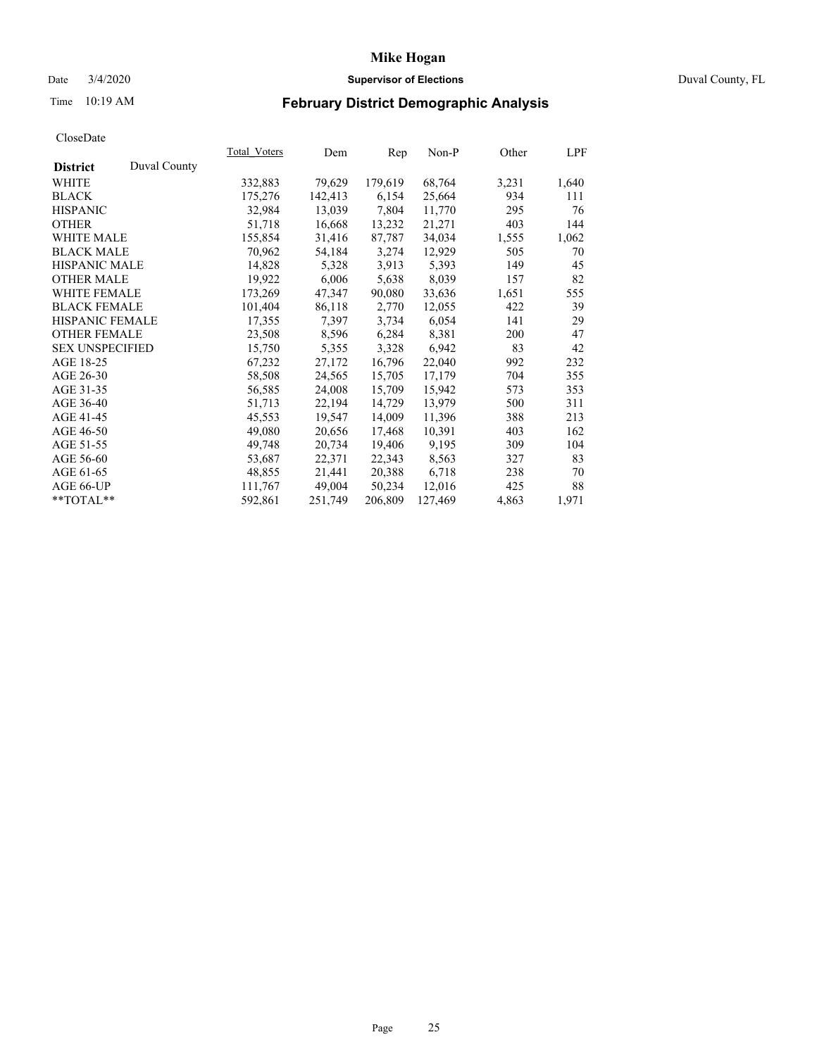## Date 3/4/2020 **Supervisor of Elections** Duval County, FL

# Time 10:19 AM **February District Demographic Analysis**

|                        |              | Total Voters | Dem     | Rep     | Non-P   | Other | LPF   |
|------------------------|--------------|--------------|---------|---------|---------|-------|-------|
| <b>District</b>        | Duval County |              |         |         |         |       |       |
| WHITE                  |              | 332,883      | 79,629  | 179,619 | 68,764  | 3,231 | 1,640 |
| <b>BLACK</b>           |              | 175,276      | 142,413 | 6,154   | 25,664  | 934   | 111   |
| <b>HISPANIC</b>        |              | 32,984       | 13,039  | 7,804   | 11,770  | 295   | 76    |
| <b>OTHER</b>           |              | 51,718       | 16,668  | 13,232  | 21,271  | 403   | 144   |
| WHITE MALE             |              | 155,854      | 31,416  | 87,787  | 34,034  | 1,555 | 1,062 |
| <b>BLACK MALE</b>      |              | 70,962       | 54,184  | 3,274   | 12,929  | 505   | 70    |
| <b>HISPANIC MALE</b>   |              | 14,828       | 5,328   | 3.913   | 5,393   | 149   | 45    |
| <b>OTHER MALE</b>      |              | 19,922       | 6,006   | 5,638   | 8,039   | 157   | 82    |
| <b>WHITE FEMALE</b>    |              | 173,269      | 47,347  | 90,080  | 33,636  | 1,651 | 555   |
| <b>BLACK FEMALE</b>    |              | 101,404      | 86,118  | 2,770   | 12,055  | 422   | 39    |
| HISPANIC FEMALE        |              | 17,355       | 7,397   | 3,734   | 6,054   | 141   | 29    |
| <b>OTHER FEMALE</b>    |              | 23,508       | 8,596   | 6,284   | 8,381   | 200   | 47    |
| <b>SEX UNSPECIFIED</b> |              | 15,750       | 5,355   | 3,328   | 6,942   | 83    | 42    |
| AGE 18-25              |              | 67,232       | 27,172  | 16,796  | 22,040  | 992   | 232   |
| AGE 26-30              |              | 58,508       | 24,565  | 15,705  | 17,179  | 704   | 355   |
| AGE 31-35              |              | 56,585       | 24,008  | 15,709  | 15,942  | 573   | 353   |
| AGE 36-40              |              | 51,713       | 22,194  | 14,729  | 13,979  | 500   | 311   |
| AGE 41-45              |              | 45,553       | 19,547  | 14,009  | 11,396  | 388   | 213   |
| AGE 46-50              |              | 49,080       | 20,656  | 17,468  | 10,391  | 403   | 162   |
| AGE 51-55              |              | 49,748       | 20,734  | 19,406  | 9,195   | 309   | 104   |
| AGE 56-60              |              | 53,687       | 22,371  | 22,343  | 8,563   | 327   | 83    |
| AGE 61-65              |              | 48,855       | 21,441  | 20,388  | 6,718   | 238   | 70    |
| AGE 66-UP              |              | 111,767      | 49,004  | 50,234  | 12,016  | 425   | 88    |
| $*$ TOTAL $*$          |              | 592,861      | 251,749 | 206,809 | 127,469 | 4,863 | 1,971 |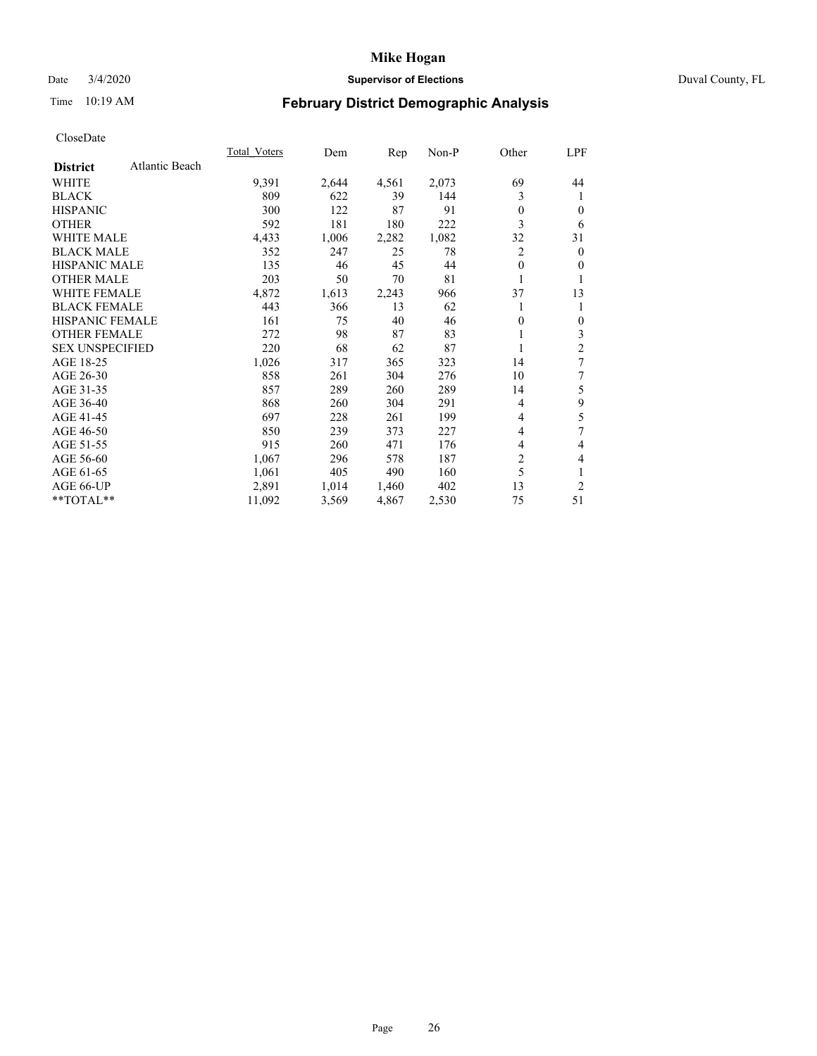## Date 3/4/2020 **Supervisor of Elections** Duval County, FL

# Time 10:19 AM **February District Demographic Analysis**

| Atlantic Beach<br><b>District</b><br>69<br>WHITE<br>9,391<br>4,561<br>2,073<br>2,644<br>3<br><b>BLACK</b><br>809<br>39<br>622<br>144<br><b>HISPANIC</b><br>300<br>87<br>122<br>91<br>$\Omega$<br>3<br>592<br><b>OTHER</b><br>181<br>180<br>222<br><b>WHITE MALE</b><br>2,282<br>1,082<br>32<br>4,433<br>1,006<br><b>BLACK MALE</b><br>352<br>2<br>247<br>25<br>78<br><b>HISPANIC MALE</b><br>135<br>45<br>46<br>44<br>$\theta$<br><b>OTHER MALE</b><br>203<br>50<br>81<br>70<br><b>WHITE FEMALE</b><br>4,872<br>37<br>1,613<br>2,243<br>966<br><b>BLACK FEMALE</b><br>443<br>13<br>366<br>62<br>HISPANIC FEMALE<br>40<br>161<br>75<br>46<br>0<br><b>OTHER FEMALE</b><br>272<br>87<br>98<br>83<br><b>SEX UNSPECIFIED</b><br>68<br>220<br>62<br>87<br>AGE 18-25<br>1,026<br>323<br>317<br>365<br>14<br>AGE 26-30<br>858<br>304<br>276<br>261<br>10<br>AGE 31-35<br>857<br>289<br>260<br>289<br>14<br>868<br>AGE 36-40<br>304<br>291<br>260<br>4<br>697<br>AGE 41-45<br>228<br>261<br>199<br>4<br>AGE 46-50<br>850<br>239<br>373<br>227<br>4 |           | <b>Total Voters</b> | Dem | Rep | Non-P | Other | LPF          |
|-------------------------------------------------------------------------------------------------------------------------------------------------------------------------------------------------------------------------------------------------------------------------------------------------------------------------------------------------------------------------------------------------------------------------------------------------------------------------------------------------------------------------------------------------------------------------------------------------------------------------------------------------------------------------------------------------------------------------------------------------------------------------------------------------------------------------------------------------------------------------------------------------------------------------------------------------------------------------------------------------------------------------------------------|-----------|---------------------|-----|-----|-------|-------|--------------|
|                                                                                                                                                                                                                                                                                                                                                                                                                                                                                                                                                                                                                                                                                                                                                                                                                                                                                                                                                                                                                                           |           |                     |     |     |       |       |              |
|                                                                                                                                                                                                                                                                                                                                                                                                                                                                                                                                                                                                                                                                                                                                                                                                                                                                                                                                                                                                                                           |           |                     |     |     |       |       | 44           |
|                                                                                                                                                                                                                                                                                                                                                                                                                                                                                                                                                                                                                                                                                                                                                                                                                                                                                                                                                                                                                                           |           |                     |     |     |       |       | 1            |
|                                                                                                                                                                                                                                                                                                                                                                                                                                                                                                                                                                                                                                                                                                                                                                                                                                                                                                                                                                                                                                           |           |                     |     |     |       |       | $\theta$     |
|                                                                                                                                                                                                                                                                                                                                                                                                                                                                                                                                                                                                                                                                                                                                                                                                                                                                                                                                                                                                                                           |           |                     |     |     |       |       | 6            |
|                                                                                                                                                                                                                                                                                                                                                                                                                                                                                                                                                                                                                                                                                                                                                                                                                                                                                                                                                                                                                                           |           |                     |     |     |       |       | 31           |
|                                                                                                                                                                                                                                                                                                                                                                                                                                                                                                                                                                                                                                                                                                                                                                                                                                                                                                                                                                                                                                           |           |                     |     |     |       |       | $\mathbf{0}$ |
|                                                                                                                                                                                                                                                                                                                                                                                                                                                                                                                                                                                                                                                                                                                                                                                                                                                                                                                                                                                                                                           |           |                     |     |     |       |       | $\mathbf{0}$ |
|                                                                                                                                                                                                                                                                                                                                                                                                                                                                                                                                                                                                                                                                                                                                                                                                                                                                                                                                                                                                                                           |           |                     |     |     |       |       |              |
|                                                                                                                                                                                                                                                                                                                                                                                                                                                                                                                                                                                                                                                                                                                                                                                                                                                                                                                                                                                                                                           |           |                     |     |     |       |       | 13           |
|                                                                                                                                                                                                                                                                                                                                                                                                                                                                                                                                                                                                                                                                                                                                                                                                                                                                                                                                                                                                                                           |           |                     |     |     |       |       |              |
|                                                                                                                                                                                                                                                                                                                                                                                                                                                                                                                                                                                                                                                                                                                                                                                                                                                                                                                                                                                                                                           |           |                     |     |     |       |       | $\mathbf{0}$ |
|                                                                                                                                                                                                                                                                                                                                                                                                                                                                                                                                                                                                                                                                                                                                                                                                                                                                                                                                                                                                                                           |           |                     |     |     |       |       | 3            |
|                                                                                                                                                                                                                                                                                                                                                                                                                                                                                                                                                                                                                                                                                                                                                                                                                                                                                                                                                                                                                                           |           |                     |     |     |       |       | 2            |
|                                                                                                                                                                                                                                                                                                                                                                                                                                                                                                                                                                                                                                                                                                                                                                                                                                                                                                                                                                                                                                           |           |                     |     |     |       |       | 7            |
|                                                                                                                                                                                                                                                                                                                                                                                                                                                                                                                                                                                                                                                                                                                                                                                                                                                                                                                                                                                                                                           |           |                     |     |     |       |       | 7            |
|                                                                                                                                                                                                                                                                                                                                                                                                                                                                                                                                                                                                                                                                                                                                                                                                                                                                                                                                                                                                                                           |           |                     |     |     |       |       | 5            |
|                                                                                                                                                                                                                                                                                                                                                                                                                                                                                                                                                                                                                                                                                                                                                                                                                                                                                                                                                                                                                                           |           |                     |     |     |       |       | 9            |
|                                                                                                                                                                                                                                                                                                                                                                                                                                                                                                                                                                                                                                                                                                                                                                                                                                                                                                                                                                                                                                           |           |                     |     |     |       |       | 5            |
|                                                                                                                                                                                                                                                                                                                                                                                                                                                                                                                                                                                                                                                                                                                                                                                                                                                                                                                                                                                                                                           |           |                     |     |     |       |       | 7            |
|                                                                                                                                                                                                                                                                                                                                                                                                                                                                                                                                                                                                                                                                                                                                                                                                                                                                                                                                                                                                                                           | AGE 51-55 | 915                 | 260 | 471 | 176   | 4     | 4            |
| $\overline{c}$<br>AGE 56-60<br>1,067<br>296<br>578<br>187                                                                                                                                                                                                                                                                                                                                                                                                                                                                                                                                                                                                                                                                                                                                                                                                                                                                                                                                                                                 |           |                     |     |     |       |       | 4            |
| 5<br>490<br>AGE 61-65<br>1,061<br>405<br>160                                                                                                                                                                                                                                                                                                                                                                                                                                                                                                                                                                                                                                                                                                                                                                                                                                                                                                                                                                                              |           |                     |     |     |       |       |              |
| 2,891<br>13<br>AGE 66-UP<br>1,014<br>1,460<br>402                                                                                                                                                                                                                                                                                                                                                                                                                                                                                                                                                                                                                                                                                                                                                                                                                                                                                                                                                                                         |           |                     |     |     |       |       | 2            |
| **TOTAL**<br>11,092<br>4,867<br>2,530<br>75<br>3,569                                                                                                                                                                                                                                                                                                                                                                                                                                                                                                                                                                                                                                                                                                                                                                                                                                                                                                                                                                                      |           |                     |     |     |       |       | 51           |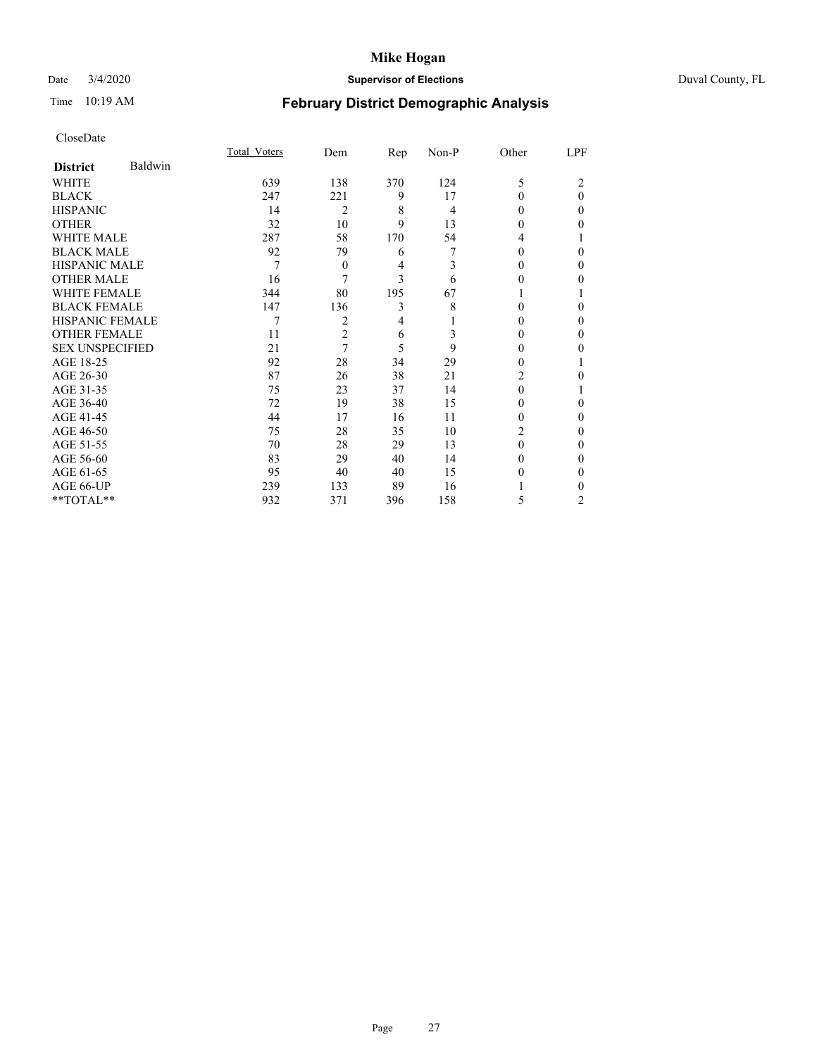## Date 3/4/2020 **Supervisor of Elections** Duval County, FL

# Time 10:19 AM **February District Demographic Analysis**

|                        |         | Total Voters | Dem            | Rep | Non-P | Other    | LPF      |
|------------------------|---------|--------------|----------------|-----|-------|----------|----------|
| <b>District</b>        | Baldwin |              |                |     |       |          |          |
| WHITE                  |         | 639          | 138            | 370 | 124   | 5        | 2        |
| <b>BLACK</b>           |         | 247          | 221            | 9   | 17    | $\Omega$ | $\theta$ |
| <b>HISPANIC</b>        |         | 14           | $\overline{2}$ | 8   | 4     | $\Omega$ | $\Omega$ |
| <b>OTHER</b>           |         | 32           | 10             | 9   | 13    | 0        | 0        |
| WHITE MALE             |         | 287          | 58             | 170 | 54    | 4        |          |
| <b>BLACK MALE</b>      |         | 92           | 79             | 6   | 7     | 0        | 0        |
| <b>HISPANIC MALE</b>   |         | 7            | $\theta$       | 4   | 3     | $_{0}$   | 0        |
| <b>OTHER MALE</b>      |         | 16           | 7              | 3   | 6     | 0        | 0        |
| WHITE FEMALE           |         | 344          | 80             | 195 | 67    |          |          |
| <b>BLACK FEMALE</b>    |         | 147          | 136            | 3   | 8     | 0        | $\Omega$ |
| <b>HISPANIC FEMALE</b> |         | 7            | 2              | 4   |       | 0        | 0        |
| <b>OTHER FEMALE</b>    |         | 11           | $\overline{c}$ | 6   | 3     | 0        | 0        |
| <b>SEX UNSPECIFIED</b> |         | 21           | 7              | 5   | 9     | 0        | 0        |
| AGE 18-25              |         | 92           | 28             | 34  | 29    | 0        |          |
| AGE 26-30              |         | 87           | 26             | 38  | 21    | 2        | 0        |
| AGE 31-35              |         | 75           | 23             | 37  | 14    | 0        |          |
| AGE 36-40              |         | 72           | 19             | 38  | 15    | 0        | 0        |
| AGE 41-45              |         | 44           | 17             | 16  | 11    | 0        | 0        |
| AGE 46-50              |         | 75           | 28             | 35  | 10    | 2        | 0        |
| AGE 51-55              |         | 70           | 28             | 29  | 13    | $\Omega$ | 0        |
| AGE 56-60              |         | 83           | 29             | 40  | 14    | 0        | 0        |
| AGE 61-65              |         | 95           | 40             | 40  | 15    | 0        | 0        |
| AGE 66-UP              |         | 239          | 133            | 89  | 16    |          | 0        |
| **TOTAL**              |         | 932          | 371            | 396 | 158   | 5        | 2        |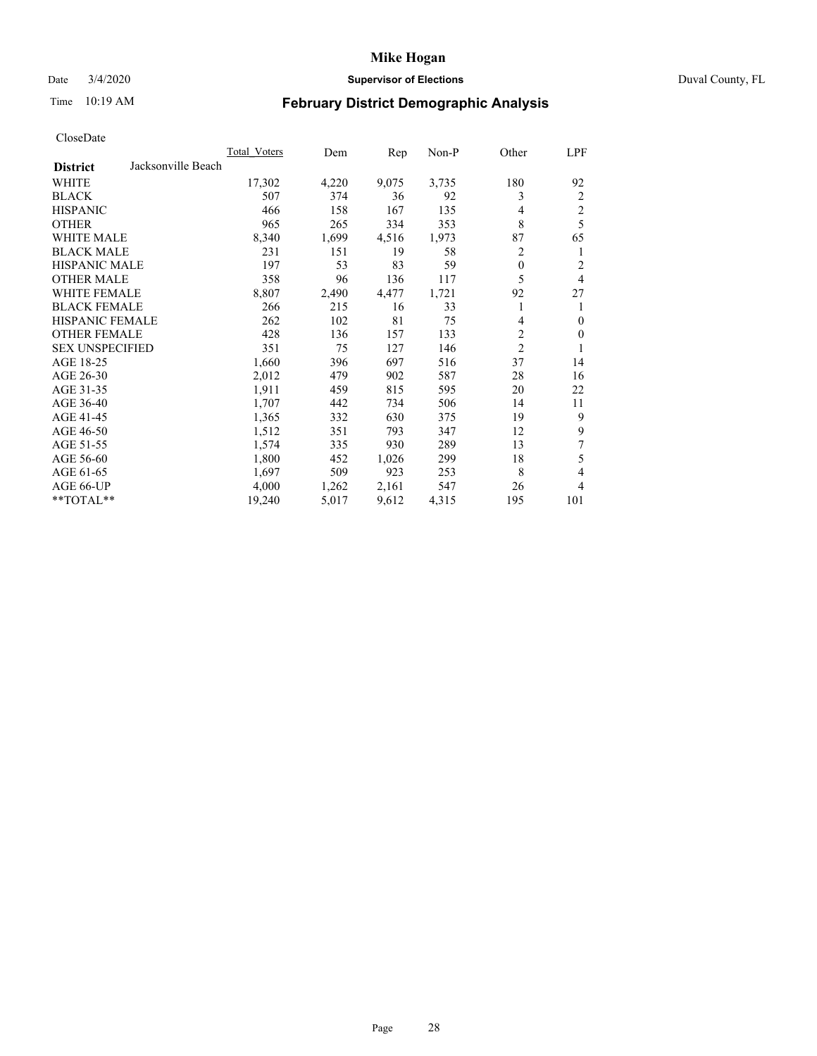## Date 3/4/2020 **Supervisor of Elections** Duval County, FL

# Time 10:19 AM **February District Demographic Analysis**

| Total Voters | Dem                | Rep   | Non-P | Other          | LPF                     |
|--------------|--------------------|-------|-------|----------------|-------------------------|
|              |                    |       |       |                |                         |
| 17,302       | 4,220              | 9,075 | 3,735 | 180            | 92                      |
| 507          | 374                | 36    | 92    | 3              | 2                       |
| 466          | 158                | 167   | 135   | $\overline{4}$ | $\overline{\mathbf{c}}$ |
| 965          | 265                | 334   | 353   | 8              | 5                       |
| 8,340        | 1,699              | 4,516 | 1,973 | 87             | 65                      |
| 231          | 151                | 19    | 58    | 2              | 1                       |
| 197          | 53                 | 83    | 59    | $\mathbf{0}$   | 2                       |
| 358          | 96                 | 136   | 117   | 5              | $\overline{4}$          |
| 8,807        | 2,490              | 4,477 | 1,721 | 92             | 27                      |
| 266          | 215                | 16    | 33    |                | 1                       |
| 262          | 102                | 81    | 75    | 4              | $\mathbf{0}$            |
| 428          | 136                | 157   | 133   | 2              | $\mathbf{0}$            |
| 351          | 75                 | 127   | 146   | $\overline{c}$ | 1                       |
| 1,660        | 396                | 697   | 516   | 37             | 14                      |
| 2,012        | 479                | 902   | 587   | 28             | 16                      |
| 1,911        | 459                | 815   | 595   | 20             | 22                      |
| 1,707        | 442                | 734   | 506   | 14             | 11                      |
| 1,365        | 332                | 630   | 375   | 19             | 9                       |
| 1,512        | 351                | 793   | 347   | 12             | 9                       |
| 1,574        | 335                | 930   | 289   | 13             | 7                       |
| 1,800        | 452                | 1,026 | 299   | 18             | 5                       |
| 1,697        | 509                | 923   | 253   | 8              | $\overline{4}$          |
| 4,000        | 1,262              | 2,161 | 547   | 26             | 4                       |
| 19,240       | 5,017              | 9,612 | 4,315 | 195            | 101                     |
|              | Jacksonville Beach |       |       |                |                         |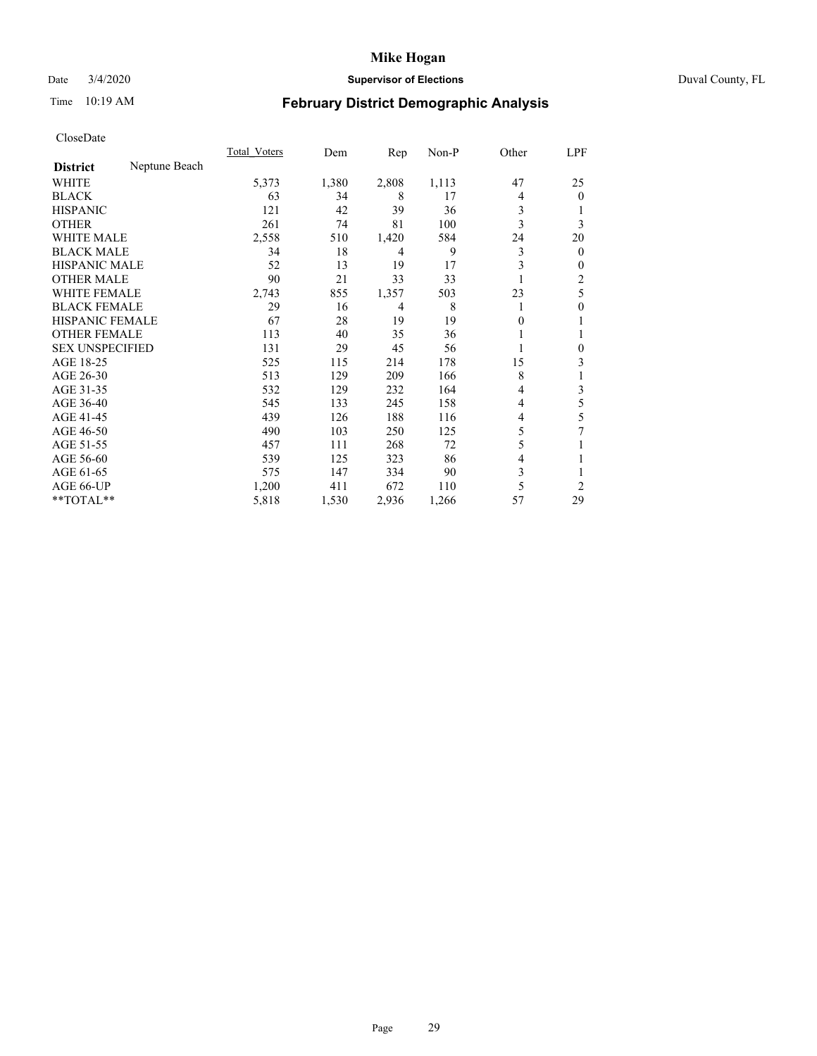# Date 3/4/2020 **Supervisor of Elections** Duval County, FL

# Time 10:19 AM **February District Demographic Analysis**

|                        |               | Total Voters | Dem   | Rep   | Non-P | Other | LPF            |
|------------------------|---------------|--------------|-------|-------|-------|-------|----------------|
| <b>District</b>        | Neptune Beach |              |       |       |       |       |                |
| WHITE                  |               | 5,373        | 1,380 | 2,808 | 1,113 | 47    | 25             |
| <b>BLACK</b>           |               | 63           | 34    | 8     | 17    | 4     | $\overline{0}$ |
| <b>HISPANIC</b>        |               | 121          | 42    | 39    | 36    | 3     |                |
| <b>OTHER</b>           |               | 261          | 74    | 81    | 100   | 3     | 3              |
| WHITE MALE             |               | 2,558        | 510   | 1,420 | 584   | 24    | 20             |
| <b>BLACK MALE</b>      |               | 34           | 18    | 4     | 9     | 3     | $\overline{0}$ |
| <b>HISPANIC MALE</b>   |               | 52           | 13    | 19    | 17    | 3     | 0              |
| <b>OTHER MALE</b>      |               | 90           | 21    | 33    | 33    |       | 2              |
| <b>WHITE FEMALE</b>    |               | 2,743        | 855   | 1,357 | 503   | 23    | 5              |
| <b>BLACK FEMALE</b>    |               | 29           | 16    | 4     | 8     |       | 0              |
| <b>HISPANIC FEMALE</b> |               | 67           | 28    | 19    | 19    | 0     | 1              |
| <b>OTHER FEMALE</b>    |               | 113          | 40    | 35    | 36    |       |                |
| <b>SEX UNSPECIFIED</b> |               | 131          | 29    | 45    | 56    |       | 0              |
| AGE 18-25              |               | 525          | 115   | 214   | 178   | 15    | 3              |
| AGE 26-30              |               | 513          | 129   | 209   | 166   | 8     | 1              |
| AGE 31-35              |               | 532          | 129   | 232   | 164   | 4     | 3              |
| AGE 36-40              |               | 545          | 133   | 245   | 158   | 4     | 5              |
| AGE 41-45              |               | 439          | 126   | 188   | 116   | 4     | 5              |
| AGE 46-50              |               | 490          | 103   | 250   | 125   | 5     | 7              |
| AGE 51-55              |               | 457          | 111   | 268   | 72    | 5     |                |
| AGE 56-60              |               | 539          | 125   | 323   | 86    | 4     |                |
| AGE 61-65              |               | 575          | 147   | 334   | 90    | 3     |                |
| AGE 66-UP              |               | 1,200        | 411   | 672   | 110   | 5     | $\overline{c}$ |
| $**TOTAL**$            |               | 5,818        | 1,530 | 2,936 | 1,266 | 57    | 29             |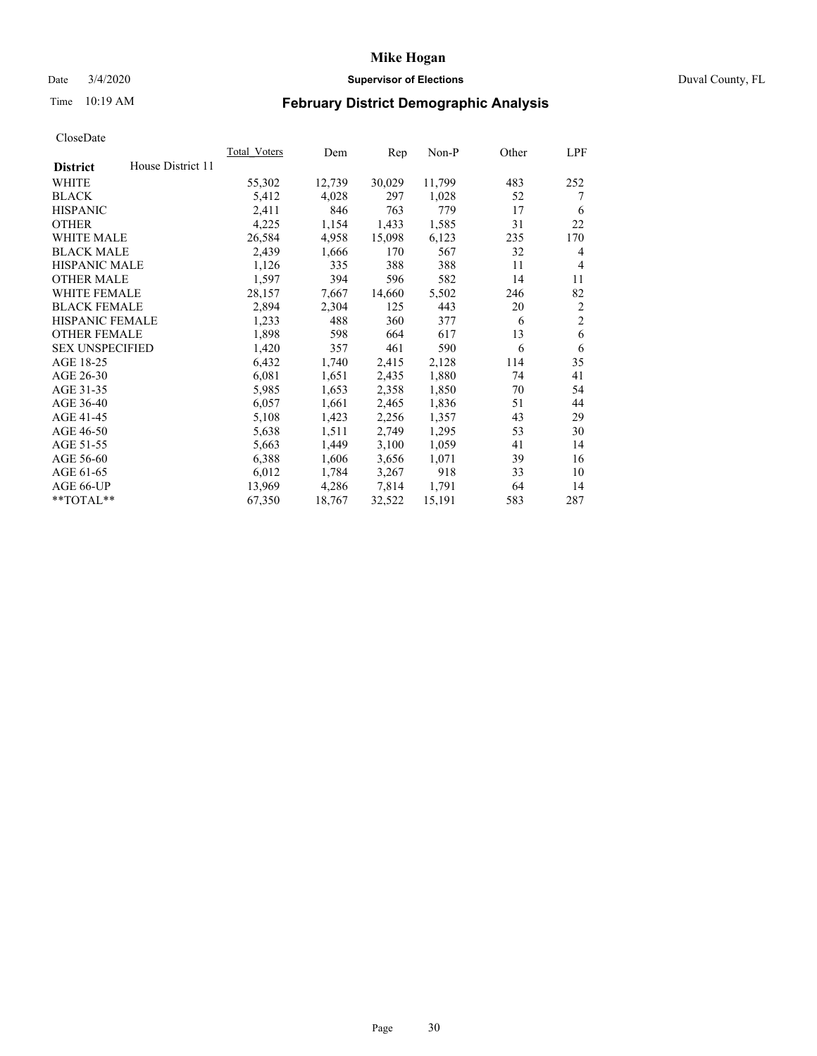## Date 3/4/2020 **Supervisor of Elections** Duval County, FL

# Time 10:19 AM **February District Demographic Analysis**

|                                      | Total Voters | Dem    | Rep    | Non-P  | Other | LPF            |
|--------------------------------------|--------------|--------|--------|--------|-------|----------------|
| House District 11<br><b>District</b> |              |        |        |        |       |                |
| WHITE                                | 55,302       | 12,739 | 30,029 | 11,799 | 483   | 252            |
| <b>BLACK</b>                         | 5,412        | 4,028  | 297    | 1,028  | 52    | 7              |
| <b>HISPANIC</b>                      | 2,411        | 846    | 763    | 779    | 17    | 6              |
| <b>OTHER</b>                         | 4,225        | 1,154  | 1,433  | 1,585  | 31    | 22             |
| WHITE MALE                           | 26,584       | 4,958  | 15,098 | 6,123  | 235   | 170            |
| <b>BLACK MALE</b>                    | 2,439        | 1,666  | 170    | 567    | 32    | 4              |
| <b>HISPANIC MALE</b>                 | 1,126        | 335    | 388    | 388    | 11    | 4              |
| <b>OTHER MALE</b>                    | 1,597        | 394    | 596    | 582    | 14    | 11             |
| <b>WHITE FEMALE</b>                  | 28,157       | 7,667  | 14,660 | 5,502  | 246   | 82             |
| <b>BLACK FEMALE</b>                  | 2,894        | 2,304  | 125    | 443    | 20    | $\overline{c}$ |
| HISPANIC FEMALE                      | 1,233        | 488    | 360    | 377    | 6     | $\overline{2}$ |
| <b>OTHER FEMALE</b>                  | 1,898        | 598    | 664    | 617    | 13    | 6              |
| <b>SEX UNSPECIFIED</b>               | 1,420        | 357    | 461    | 590    | 6     | 6              |
| AGE 18-25                            | 6,432        | 1,740  | 2,415  | 2,128  | 114   | 35             |
| AGE 26-30                            | 6,081        | 1,651  | 2,435  | 1,880  | 74    | 41             |
| AGE 31-35                            | 5,985        | 1,653  | 2,358  | 1,850  | 70    | 54             |
| AGE 36-40                            | 6,057        | 1,661  | 2,465  | 1,836  | 51    | 44             |
| AGE 41-45                            | 5,108        | 1,423  | 2,256  | 1,357  | 43    | 29             |
| AGE 46-50                            | 5,638        | 1,511  | 2,749  | 1,295  | 53    | 30             |
| AGE 51-55                            | 5,663        | 1,449  | 3,100  | 1,059  | 41    | 14             |
| AGE 56-60                            | 6,388        | 1,606  | 3,656  | 1,071  | 39    | 16             |
| AGE 61-65                            | 6,012        | 1,784  | 3,267  | 918    | 33    | 10             |
| AGE 66-UP                            | 13,969       | 4,286  | 7,814  | 1,791  | 64    | 14             |
| **TOTAL**                            | 67,350       | 18,767 | 32,522 | 15,191 | 583   | 287            |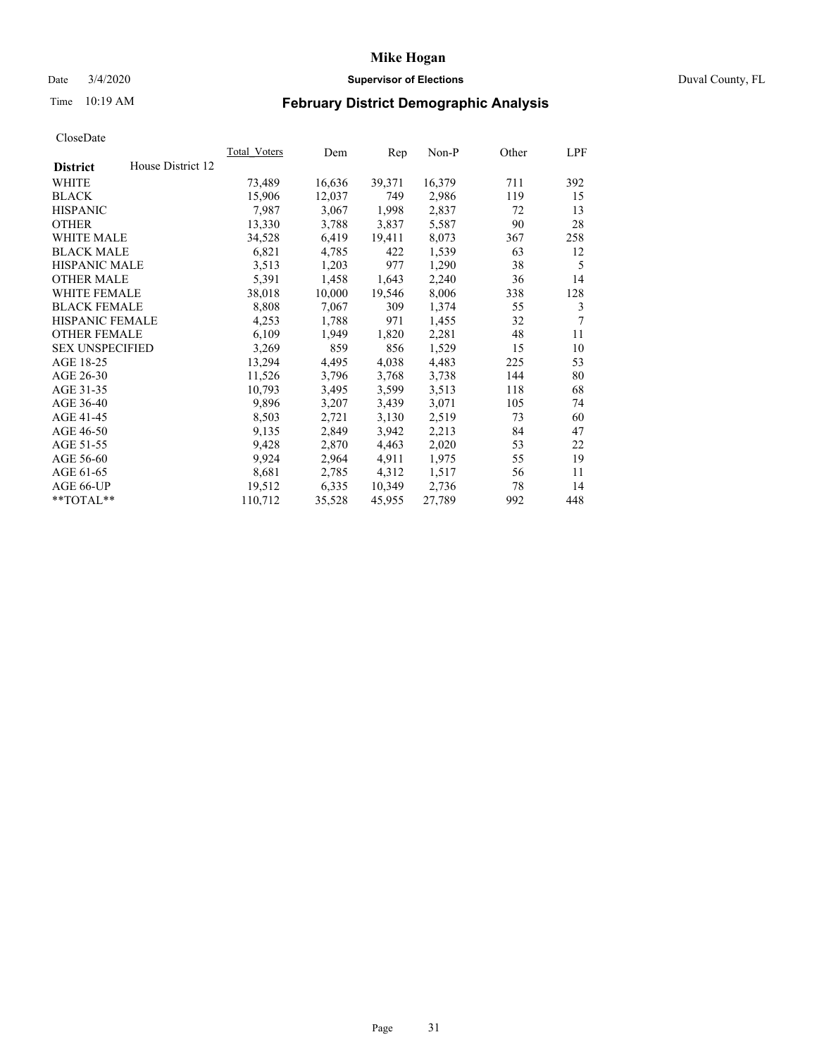## Date 3/4/2020 **Supervisor of Elections** Duval County, FL

# Time 10:19 AM **February District Demographic Analysis**

|                                      | <b>Total Voters</b> | Dem    | Rep    | $Non-P$ | Other | LPF |
|--------------------------------------|---------------------|--------|--------|---------|-------|-----|
| House District 12<br><b>District</b> |                     |        |        |         |       |     |
| WHITE                                | 73,489              | 16,636 | 39,371 | 16,379  | 711   | 392 |
| <b>BLACK</b>                         | 15,906              | 12,037 | 749    | 2,986   | 119   | 15  |
| <b>HISPANIC</b>                      | 7,987               | 3,067  | 1,998  | 2,837   | 72    | 13  |
| <b>OTHER</b>                         | 13,330              | 3,788  | 3,837  | 5,587   | 90    | 28  |
| WHITE MALE                           | 34,528              | 6,419  | 19,411 | 8,073   | 367   | 258 |
| <b>BLACK MALE</b>                    | 6,821               | 4,785  | 422    | 1,539   | 63    | 12  |
| <b>HISPANIC MALE</b>                 | 3,513               | 1,203  | 977    | 1,290   | 38    | 5   |
| <b>OTHER MALE</b>                    | 5,391               | 1,458  | 1,643  | 2,240   | 36    | 14  |
| <b>WHITE FEMALE</b>                  | 38,018              | 10,000 | 19,546 | 8,006   | 338   | 128 |
| <b>BLACK FEMALE</b>                  | 8,808               | 7,067  | 309    | 1,374   | 55    | 3   |
| HISPANIC FEMALE                      | 4,253               | 1,788  | 971    | 1,455   | 32    | 7   |
| <b>OTHER FEMALE</b>                  | 6,109               | 1,949  | 1,820  | 2,281   | 48    | 11  |
| <b>SEX UNSPECIFIED</b>               | 3,269               | 859    | 856    | 1,529   | 15    | 10  |
| AGE 18-25                            | 13,294              | 4,495  | 4,038  | 4,483   | 225   | 53  |
| AGE 26-30                            | 11,526              | 3,796  | 3,768  | 3,738   | 144   | 80  |
| AGE 31-35                            | 10,793              | 3,495  | 3,599  | 3,513   | 118   | 68  |
| AGE 36-40                            | 9,896               | 3,207  | 3,439  | 3,071   | 105   | 74  |
| AGE 41-45                            | 8,503               | 2,721  | 3,130  | 2,519   | 73    | 60  |
| AGE 46-50                            | 9,135               | 2,849  | 3,942  | 2,213   | 84    | 47  |
| AGE 51-55                            | 9,428               | 2,870  | 4,463  | 2,020   | 53    | 22  |
| AGE 56-60                            | 9,924               | 2,964  | 4,911  | 1,975   | 55    | 19  |
| AGE 61-65                            | 8,681               | 2,785  | 4,312  | 1,517   | 56    | 11  |
| AGE 66-UP                            | 19,512              | 6,335  | 10,349 | 2,736   | 78    | 14  |
| **TOTAL**                            | 110,712             | 35,528 | 45,955 | 27,789  | 992   | 448 |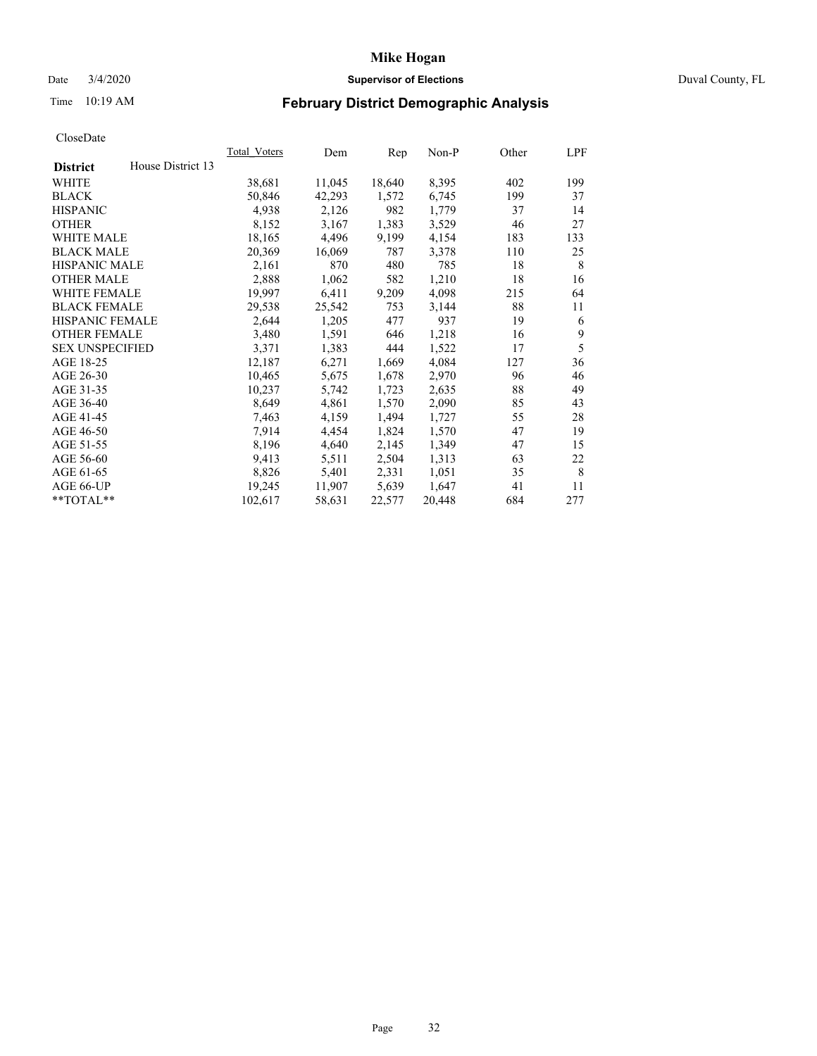## Date 3/4/2020 **Supervisor of Elections** Duval County, FL

# Time 10:19 AM **February District Demographic Analysis**

|                        |                   | <b>Total Voters</b> | Dem    | Rep    | $Non-P$ | Other | LPF |
|------------------------|-------------------|---------------------|--------|--------|---------|-------|-----|
| <b>District</b>        | House District 13 |                     |        |        |         |       |     |
| WHITE                  |                   | 38,681              | 11,045 | 18,640 | 8,395   | 402   | 199 |
| <b>BLACK</b>           |                   | 50,846              | 42,293 | 1,572  | 6,745   | 199   | 37  |
| <b>HISPANIC</b>        |                   | 4,938               | 2,126  | 982    | 1,779   | 37    | 14  |
| <b>OTHER</b>           |                   | 8,152               | 3,167  | 1,383  | 3,529   | 46    | 27  |
| WHITE MALE             |                   | 18,165              | 4,496  | 9,199  | 4,154   | 183   | 133 |
| <b>BLACK MALE</b>      |                   | 20,369              | 16,069 | 787    | 3,378   | 110   | 25  |
| <b>HISPANIC MALE</b>   |                   | 2,161               | 870    | 480    | 785     | 18    | 8   |
| <b>OTHER MALE</b>      |                   | 2,888               | 1,062  | 582    | 1,210   | 18    | 16  |
| WHITE FEMALE           |                   | 19,997              | 6,411  | 9,209  | 4,098   | 215   | 64  |
| <b>BLACK FEMALE</b>    |                   | 29,538              | 25,542 | 753    | 3,144   | 88    | 11  |
| HISPANIC FEMALE        |                   | 2,644               | 1,205  | 477    | 937     | 19    | 6   |
| <b>OTHER FEMALE</b>    |                   | 3,480               | 1,591  | 646    | 1,218   | 16    | 9   |
| <b>SEX UNSPECIFIED</b> |                   | 3,371               | 1,383  | 444    | 1,522   | 17    | 5   |
| AGE 18-25              |                   | 12,187              | 6,271  | 1,669  | 4,084   | 127   | 36  |
| AGE 26-30              |                   | 10,465              | 5,675  | 1,678  | 2,970   | 96    | 46  |
| AGE 31-35              |                   | 10,237              | 5,742  | 1,723  | 2,635   | 88    | 49  |
| AGE 36-40              |                   | 8,649               | 4,861  | 1,570  | 2,090   | 85    | 43  |
| AGE 41-45              |                   | 7,463               | 4,159  | 1,494  | 1,727   | 55    | 28  |
| AGE 46-50              |                   | 7,914               | 4,454  | 1,824  | 1,570   | 47    | 19  |
| AGE 51-55              |                   | 8,196               | 4,640  | 2,145  | 1,349   | 47    | 15  |
| AGE 56-60              |                   | 9,413               | 5,511  | 2,504  | 1,313   | 63    | 22  |
| AGE 61-65              |                   | 8,826               | 5,401  | 2,331  | 1,051   | 35    | 8   |
| AGE 66-UP              |                   | 19,245              | 11,907 | 5,639  | 1,647   | 41    | 11  |
| $*$ TOTAL $*$          |                   | 102,617             | 58,631 | 22,577 | 20,448  | 684   | 277 |
|                        |                   |                     |        |        |         |       |     |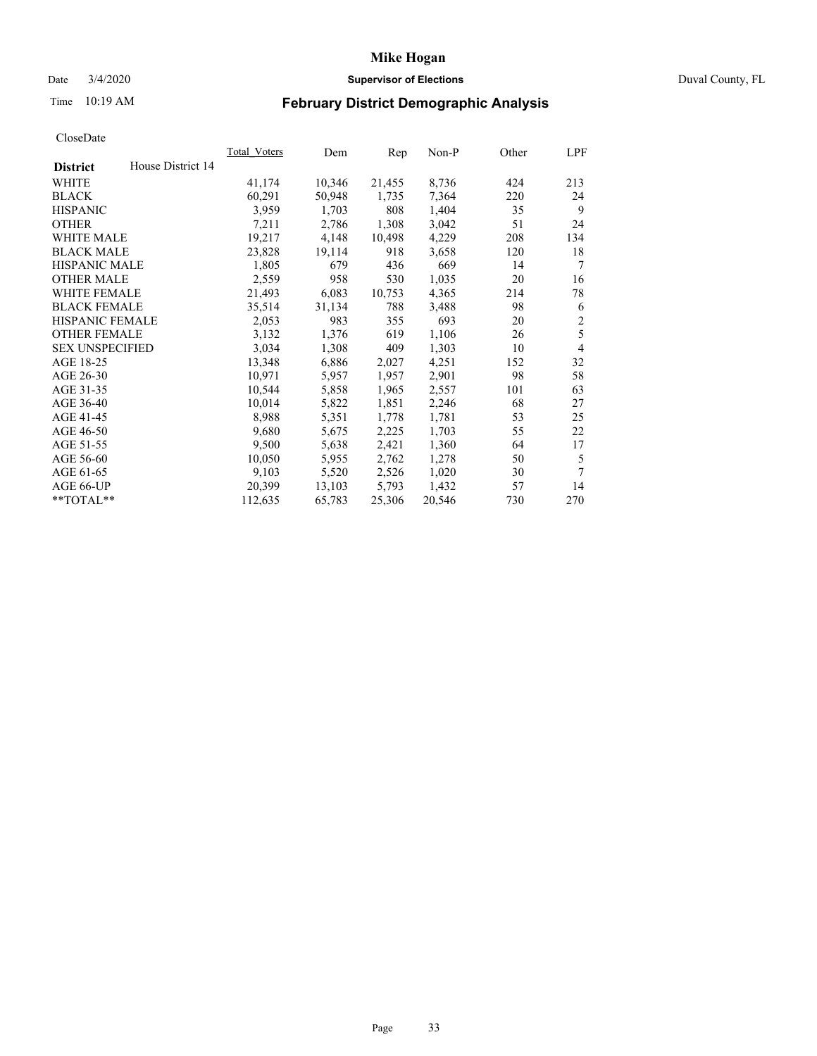## Date 3/4/2020 **Supervisor of Elections** Duval County, FL

# Time 10:19 AM **February District Demographic Analysis**

|                                      | Total Voters | Dem    | Rep    | Non-P  | Other | LPF            |
|--------------------------------------|--------------|--------|--------|--------|-------|----------------|
| House District 14<br><b>District</b> |              |        |        |        |       |                |
| <b>WHITE</b>                         | 41,174       | 10,346 | 21,455 | 8,736  | 424   | 213            |
| <b>BLACK</b>                         | 60,291       | 50,948 | 1,735  | 7.364  | 220   | 24             |
| <b>HISPANIC</b>                      | 3,959        | 1,703  | 808    | 1,404  | 35    | 9              |
| <b>OTHER</b>                         | 7.211        | 2,786  | 1,308  | 3,042  | 51    | 24             |
| WHITE MALE                           | 19,217       | 4,148  | 10,498 | 4,229  | 208   | 134            |
| <b>BLACK MALE</b>                    | 23,828       | 19,114 | 918    | 3,658  | 120   | 18             |
| <b>HISPANIC MALE</b>                 | 1,805        | 679    | 436    | 669    | 14    | 7              |
| <b>OTHER MALE</b>                    | 2,559        | 958    | 530    | 1,035  | 20    | 16             |
| <b>WHITE FEMALE</b>                  | 21,493       | 6,083  | 10,753 | 4,365  | 214   | 78             |
| <b>BLACK FEMALE</b>                  | 35,514       | 31,134 | 788    | 3,488  | 98    | 6              |
| HISPANIC FEMALE                      | 2,053        | 983    | 355    | 693    | 20    | $\overline{c}$ |
| <b>OTHER FEMALE</b>                  | 3,132        | 1,376  | 619    | 1,106  | 26    | 5              |
| <b>SEX UNSPECIFIED</b>               | 3,034        | 1,308  | 409    | 1,303  | 10    | $\overline{4}$ |
| AGE 18-25                            | 13,348       | 6,886  | 2,027  | 4,251  | 152   | 32             |
| AGE 26-30                            | 10,971       | 5,957  | 1,957  | 2,901  | 98    | 58             |
| AGE 31-35                            | 10,544       | 5,858  | 1,965  | 2,557  | 101   | 63             |
| AGE 36-40                            | 10,014       | 5,822  | 1,851  | 2,246  | 68    | 27             |
| AGE 41-45                            | 8,988        | 5,351  | 1,778  | 1,781  | 53    | 25             |
| AGE 46-50                            | 9,680        | 5,675  | 2,225  | 1,703  | 55    | 22             |
| AGE 51-55                            | 9,500        | 5,638  | 2,421  | 1,360  | 64    | 17             |
| AGE 56-60                            | 10,050       | 5,955  | 2,762  | 1,278  | 50    | 5              |
| AGE 61-65                            | 9,103        | 5,520  | 2,526  | 1,020  | 30    | 7              |
| AGE 66-UP                            | 20,399       | 13,103 | 5,793  | 1,432  | 57    | 14             |
| **TOTAL**                            | 112,635      | 65,783 | 25,306 | 20,546 | 730   | 270            |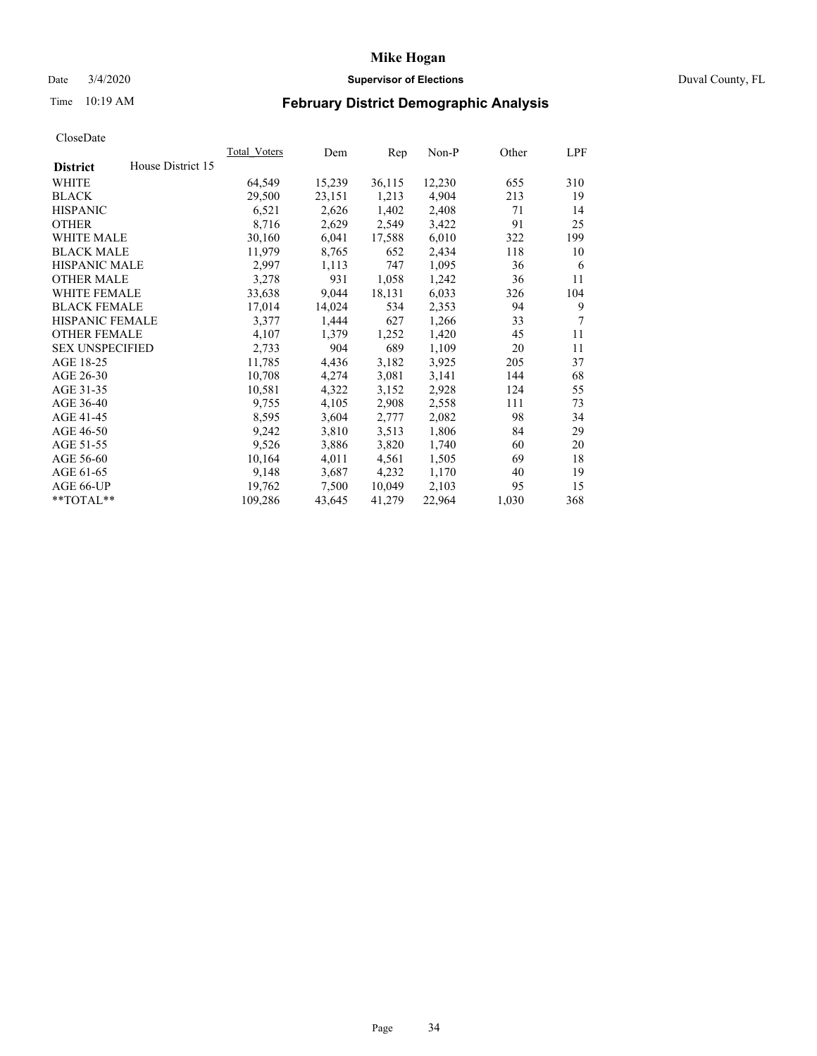### Date 3/4/2020 **Supervisor of Elections** Duval County, FL

# Time 10:19 AM **February District Demographic Analysis**

|                                      | Total Voters | Dem    | Rep    | Non-P  | Other | LPF |
|--------------------------------------|--------------|--------|--------|--------|-------|-----|
| House District 15<br><b>District</b> |              |        |        |        |       |     |
| <b>WHITE</b>                         | 64,549       | 15,239 | 36,115 | 12,230 | 655   | 310 |
| <b>BLACK</b>                         | 29,500       | 23,151 | 1,213  | 4,904  | 213   | 19  |
| <b>HISPANIC</b>                      | 6,521        | 2,626  | 1,402  | 2,408  | 71    | 14  |
| <b>OTHER</b>                         | 8,716        | 2,629  | 2,549  | 3,422  | 91    | 25  |
| WHITE MALE                           | 30,160       | 6,041  | 17,588 | 6,010  | 322   | 199 |
| <b>BLACK MALE</b>                    | 11,979       | 8,765  | 652    | 2,434  | 118   | 10  |
| <b>HISPANIC MALE</b>                 | 2,997        | 1,113  | 747    | 1,095  | 36    | 6   |
| <b>OTHER MALE</b>                    | 3,278        | 931    | 1,058  | 1,242  | 36    | 11  |
| <b>WHITE FEMALE</b>                  | 33,638       | 9,044  | 18,131 | 6,033  | 326   | 104 |
| <b>BLACK FEMALE</b>                  | 17,014       | 14,024 | 534    | 2,353  | 94    | 9   |
| <b>HISPANIC FEMALE</b>               | 3,377        | 1,444  | 627    | 1,266  | 33    | 7   |
| <b>OTHER FEMALE</b>                  | 4,107        | 1,379  | 1,252  | 1,420  | 45    | 11  |
| <b>SEX UNSPECIFIED</b>               | 2,733        | 904    | 689    | 1,109  | 20    | 11  |
| AGE 18-25                            | 11,785       | 4,436  | 3,182  | 3,925  | 205   | 37  |
| AGE 26-30                            | 10,708       | 4,274  | 3,081  | 3,141  | 144   | 68  |
| AGE 31-35                            | 10,581       | 4,322  | 3,152  | 2,928  | 124   | 55  |
| AGE 36-40                            | 9,755        | 4,105  | 2,908  | 2,558  | 111   | 73  |
| AGE 41-45                            | 8,595        | 3,604  | 2,777  | 2,082  | 98    | 34  |
| AGE 46-50                            | 9,242        | 3,810  | 3,513  | 1,806  | 84    | 29  |
| AGE 51-55                            | 9,526        | 3,886  | 3,820  | 1,740  | 60    | 20  |
| AGE 56-60                            | 10,164       | 4,011  | 4,561  | 1,505  | 69    | 18  |
| AGE 61-65                            | 9,148        | 3,687  | 4,232  | 1,170  | 40    | 19  |
| AGE 66-UP                            | 19,762       | 7,500  | 10,049 | 2,103  | 95    | 15  |
| **TOTAL**                            | 109,286      | 43,645 | 41,279 | 22,964 | 1,030 | 368 |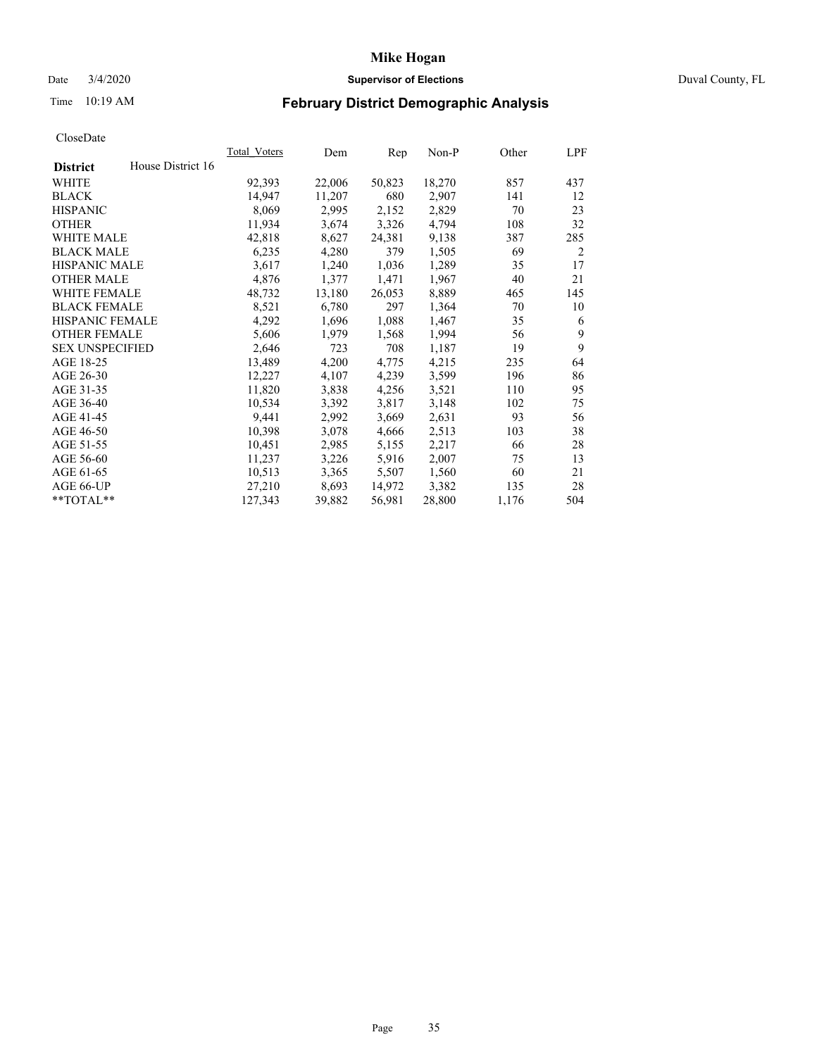## Date 3/4/2020 **Supervisor of Elections** Duval County, FL

# Time 10:19 AM **February District Demographic Analysis**

|                        |                   | Total Voters | Dem    | Rep    | Non-P  | Other | LPF |
|------------------------|-------------------|--------------|--------|--------|--------|-------|-----|
| <b>District</b>        | House District 16 |              |        |        |        |       |     |
| WHITE                  |                   | 92,393       | 22,006 | 50,823 | 18,270 | 857   | 437 |
| <b>BLACK</b>           |                   | 14,947       | 11,207 | 680    | 2,907  | 141   | 12  |
| <b>HISPANIC</b>        |                   | 8,069        | 2,995  | 2,152  | 2,829  | 70    | 23  |
| <b>OTHER</b>           |                   | 11,934       | 3,674  | 3,326  | 4,794  | 108   | 32  |
| WHITE MALE             |                   | 42,818       | 8,627  | 24,381 | 9,138  | 387   | 285 |
| <b>BLACK MALE</b>      |                   | 6,235        | 4,280  | 379    | 1,505  | 69    | 2   |
| <b>HISPANIC MALE</b>   |                   | 3,617        | 1,240  | 1,036  | 1,289  | 35    | 17  |
| <b>OTHER MALE</b>      |                   | 4,876        | 1,377  | 1,471  | 1,967  | 40    | 21  |
| <b>WHITE FEMALE</b>    |                   | 48,732       | 13,180 | 26,053 | 8,889  | 465   | 145 |
| <b>BLACK FEMALE</b>    |                   | 8,521        | 6,780  | 297    | 1,364  | 70    | 10  |
| <b>HISPANIC FEMALE</b> |                   | 4,292        | 1,696  | 1,088  | 1,467  | 35    | 6   |
| <b>OTHER FEMALE</b>    |                   | 5,606        | 1,979  | 1,568  | 1,994  | 56    | 9   |
| <b>SEX UNSPECIFIED</b> |                   | 2,646        | 723    | 708    | 1,187  | 19    | 9   |
| AGE 18-25              |                   | 13,489       | 4,200  | 4,775  | 4,215  | 235   | 64  |
| AGE 26-30              |                   | 12,227       | 4,107  | 4,239  | 3,599  | 196   | 86  |
| AGE 31-35              |                   | 11,820       | 3,838  | 4,256  | 3,521  | 110   | 95  |
| AGE 36-40              |                   | 10,534       | 3,392  | 3,817  | 3,148  | 102   | 75  |
| AGE 41-45              |                   | 9,441        | 2,992  | 3,669  | 2,631  | 93    | 56  |
| AGE 46-50              |                   | 10,398       | 3,078  | 4,666  | 2,513  | 103   | 38  |
| AGE 51-55              |                   | 10,451       | 2,985  | 5,155  | 2,217  | 66    | 28  |
| AGE 56-60              |                   | 11,237       | 3,226  | 5,916  | 2,007  | 75    | 13  |
| AGE 61-65              |                   | 10,513       | 3,365  | 5,507  | 1,560  | 60    | 21  |
| AGE 66-UP              |                   | 27,210       | 8,693  | 14,972 | 3,382  | 135   | 28  |
| **TOTAL**              |                   | 127,343      | 39,882 | 56,981 | 28,800 | 1,176 | 504 |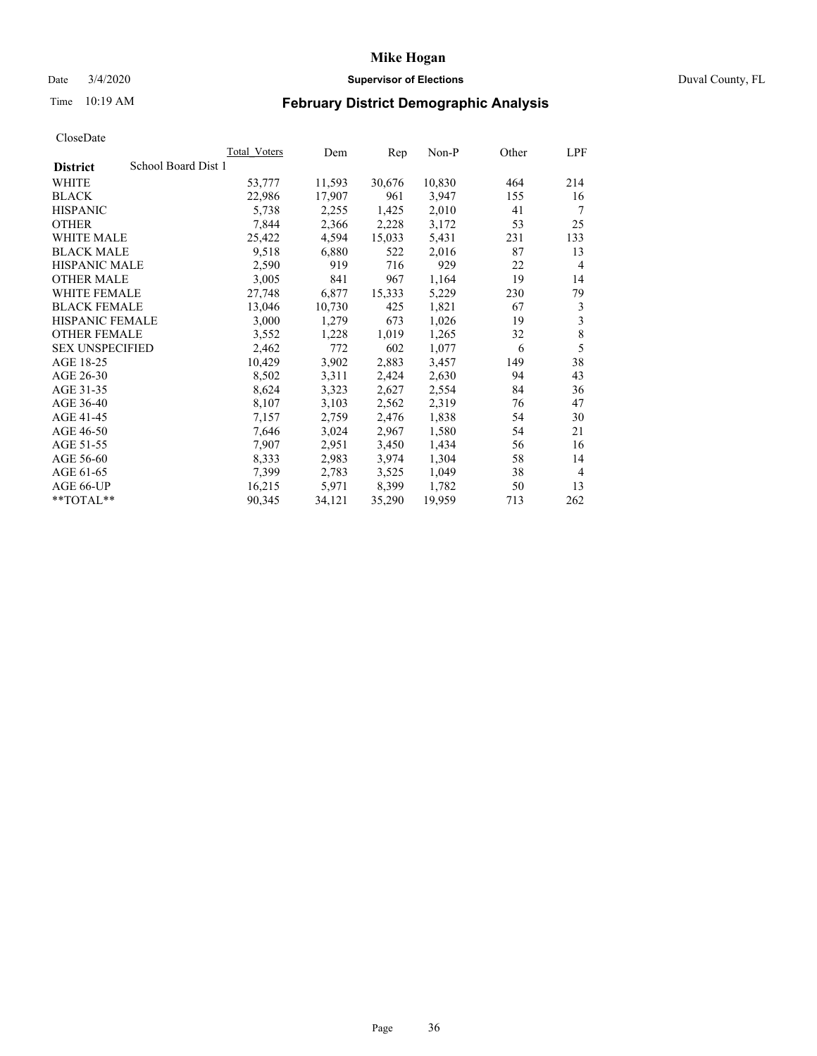## Date 3/4/2020 **Supervisor of Elections** Duval County, FL

# Time 10:19 AM **February District Demographic Analysis**

|                        |                     | <b>Total Voters</b> | Dem    | Rep    | $Non-P$ | Other | LPF            |
|------------------------|---------------------|---------------------|--------|--------|---------|-------|----------------|
| <b>District</b>        | School Board Dist 1 |                     |        |        |         |       |                |
| WHITE                  |                     | 53,777              | 11,593 | 30,676 | 10,830  | 464   | 214            |
| <b>BLACK</b>           |                     | 22,986              | 17,907 | 961    | 3,947   | 155   | 16             |
| <b>HISPANIC</b>        |                     | 5,738               | 2,255  | 1,425  | 2,010   | 41    | 7              |
| <b>OTHER</b>           |                     | 7,844               | 2,366  | 2,228  | 3,172   | 53    | 25             |
| WHITE MALE             |                     | 25,422              | 4,594  | 15,033 | 5,431   | 231   | 133            |
| <b>BLACK MALE</b>      |                     | 9,518               | 6,880  | 522    | 2,016   | 87    | 13             |
| <b>HISPANIC MALE</b>   |                     | 2,590               | 919    | 716    | 929     | 22    | 4              |
| <b>OTHER MALE</b>      |                     | 3,005               | 841    | 967    | 1,164   | 19    | 14             |
| <b>WHITE FEMALE</b>    |                     | 27,748              | 6,877  | 15,333 | 5,229   | 230   | 79             |
| <b>BLACK FEMALE</b>    |                     | 13,046              | 10,730 | 425    | 1,821   | 67    | 3              |
| HISPANIC FEMALE        |                     | 3,000               | 1,279  | 673    | 1,026   | 19    | 3              |
| <b>OTHER FEMALE</b>    |                     | 3,552               | 1,228  | 1,019  | 1,265   | 32    | 8              |
| <b>SEX UNSPECIFIED</b> |                     | 2,462               | 772    | 602    | 1,077   | 6     | 5              |
| AGE 18-25              |                     | 10,429              | 3,902  | 2,883  | 3,457   | 149   | 38             |
| AGE 26-30              |                     | 8,502               | 3,311  | 2,424  | 2,630   | 94    | 43             |
| AGE 31-35              |                     | 8,624               | 3,323  | 2,627  | 2,554   | 84    | 36             |
| AGE 36-40              |                     | 8,107               | 3,103  | 2,562  | 2,319   | 76    | 47             |
| AGE 41-45              |                     | 7,157               | 2,759  | 2,476  | 1,838   | 54    | 30             |
| AGE 46-50              |                     | 7,646               | 3,024  | 2,967  | 1,580   | 54    | 21             |
| AGE 51-55              |                     | 7,907               | 2,951  | 3,450  | 1,434   | 56    | 16             |
| AGE 56-60              |                     | 8,333               | 2,983  | 3,974  | 1,304   | 58    | 14             |
| AGE 61-65              |                     | 7,399               | 2,783  | 3,525  | 1,049   | 38    | $\overline{4}$ |
| AGE 66-UP              |                     | 16,215              | 5,971  | 8.399  | 1,782   | 50    | 13             |
| **TOTAL**              |                     | 90,345              | 34,121 | 35,290 | 19,959  | 713   | 262            |
|                        |                     |                     |        |        |         |       |                |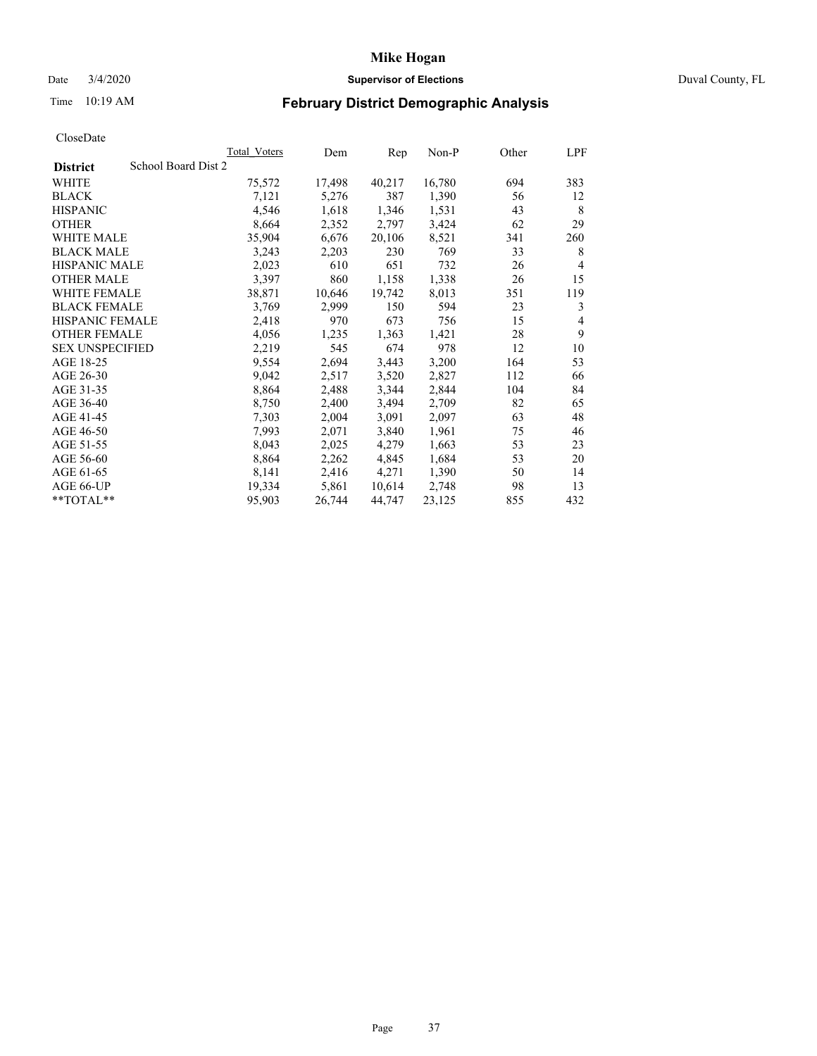## Date 3/4/2020 **Supervisor of Elections** Duval County, FL

# Time 10:19 AM **February District Demographic Analysis**

|                                        | Total Voters | Dem    | Rep    | Non-P  | Other | LPF            |
|----------------------------------------|--------------|--------|--------|--------|-------|----------------|
| School Board Dist 2<br><b>District</b> |              |        |        |        |       |                |
| WHITE                                  | 75,572       | 17,498 | 40,217 | 16,780 | 694   | 383            |
| <b>BLACK</b>                           | 7,121        | 5,276  | 387    | 1,390  | 56    | 12             |
| <b>HISPANIC</b>                        | 4,546        | 1,618  | 1,346  | 1,531  | 43    | 8              |
| <b>OTHER</b>                           | 8,664        | 2,352  | 2,797  | 3,424  | 62    | 29             |
| WHITE MALE                             | 35,904       | 6,676  | 20,106 | 8,521  | 341   | 260            |
| <b>BLACK MALE</b>                      | 3,243        | 2,203  | 230    | 769    | 33    | 8              |
| <b>HISPANIC MALE</b>                   | 2,023        | 610    | 651    | 732    | 26    | $\overline{4}$ |
| <b>OTHER MALE</b>                      | 3,397        | 860    | 1,158  | 1,338  | 26    | 15             |
| <b>WHITE FEMALE</b>                    | 38,871       | 10,646 | 19,742 | 8,013  | 351   | 119            |
| <b>BLACK FEMALE</b>                    | 3,769        | 2,999  | 150    | 594    | 23    | 3              |
| <b>HISPANIC FEMALE</b>                 | 2,418        | 970    | 673    | 756    | 15    | 4              |
| <b>OTHER FEMALE</b>                    | 4,056        | 1,235  | 1,363  | 1,421  | 28    | 9              |
| <b>SEX UNSPECIFIED</b>                 | 2,219        | 545    | 674    | 978    | 12    | 10             |
| AGE 18-25                              | 9,554        | 2,694  | 3,443  | 3,200  | 164   | 53             |
| AGE 26-30                              | 9,042        | 2,517  | 3,520  | 2,827  | 112   | 66             |
| AGE 31-35                              | 8,864        | 2,488  | 3,344  | 2,844  | 104   | 84             |
| AGE 36-40                              | 8,750        | 2,400  | 3,494  | 2,709  | 82    | 65             |
| AGE 41-45                              | 7,303        | 2,004  | 3,091  | 2,097  | 63    | 48             |
| AGE 46-50                              | 7,993        | 2,071  | 3,840  | 1,961  | 75    | 46             |
| AGE 51-55                              | 8,043        | 2,025  | 4,279  | 1,663  | 53    | 23             |
| AGE 56-60                              | 8,864        | 2,262  | 4,845  | 1,684  | 53    | 20             |
| AGE 61-65                              | 8,141        | 2,416  | 4,271  | 1,390  | 50    | 14             |
| AGE 66-UP                              | 19,334       | 5,861  | 10,614 | 2,748  | 98    | 13             |
| $*$ $TOTAL**$                          | 95,903       | 26,744 | 44,747 | 23,125 | 855   | 432            |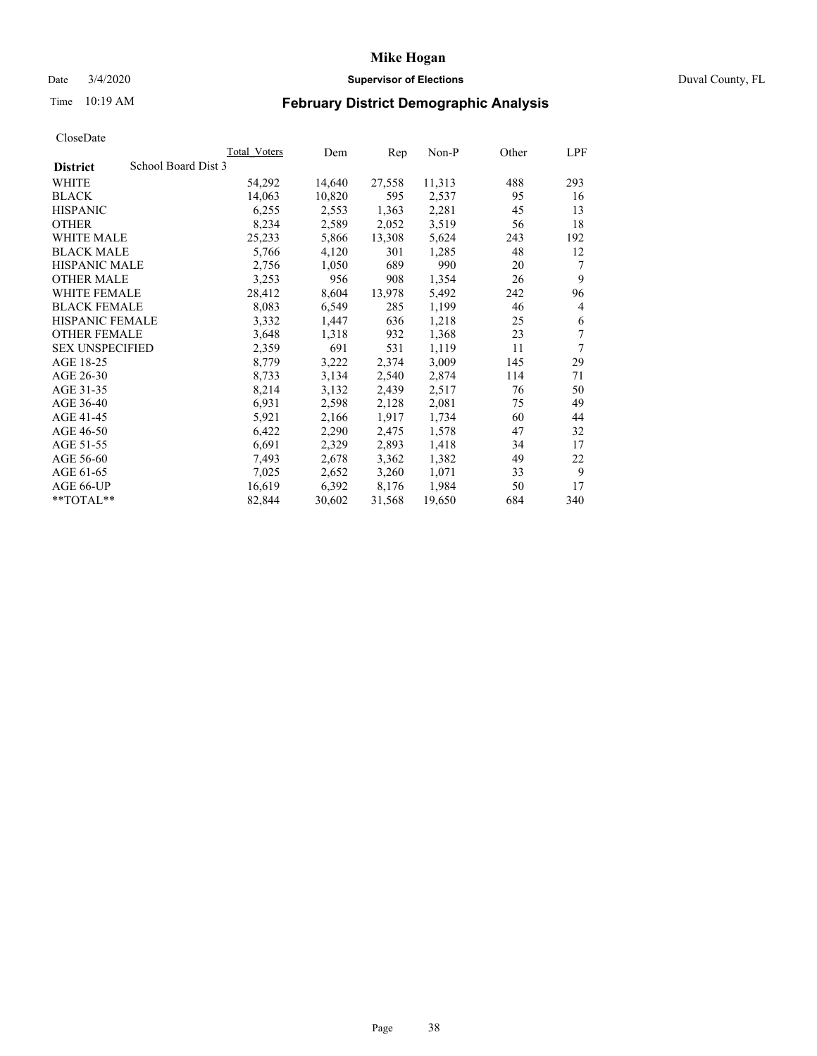## Date 3/4/2020 **Supervisor of Elections** Duval County, FL

# Time 10:19 AM **February District Demographic Analysis**

|                                        | Total Voters | Dem    | Rep    | Non-P  | Other | LPF |
|----------------------------------------|--------------|--------|--------|--------|-------|-----|
| School Board Dist 3<br><b>District</b> |              |        |        |        |       |     |
| WHITE                                  | 54,292       | 14,640 | 27,558 | 11,313 | 488   | 293 |
| <b>BLACK</b>                           | 14,063       | 10,820 | 595    | 2,537  | 95    | 16  |
| <b>HISPANIC</b>                        | 6,255        | 2,553  | 1,363  | 2,281  | 45    | 13  |
| <b>OTHER</b>                           | 8,234        | 2,589  | 2,052  | 3,519  | 56    | 18  |
| WHITE MALE                             | 25,233       | 5,866  | 13,308 | 5,624  | 243   | 192 |
| <b>BLACK MALE</b>                      | 5,766        | 4,120  | 301    | 1,285  | 48    | 12  |
| <b>HISPANIC MALE</b>                   | 2,756        | 1,050  | 689    | 990    | 20    | 7   |
| <b>OTHER MALE</b>                      | 3,253        | 956    | 908    | 1,354  | 26    | 9   |
| <b>WHITE FEMALE</b>                    | 28,412       | 8,604  | 13,978 | 5,492  | 242   | 96  |
| <b>BLACK FEMALE</b>                    | 8,083        | 6,549  | 285    | 1,199  | 46    | 4   |
| HISPANIC FEMALE                        | 3,332        | 1,447  | 636    | 1,218  | 25    | 6   |
| <b>OTHER FEMALE</b>                    | 3,648        | 1,318  | 932    | 1,368  | 23    | 7   |
| <b>SEX UNSPECIFIED</b>                 | 2,359        | 691    | 531    | 1,119  | 11    | 7   |
| AGE 18-25                              | 8,779        | 3,222  | 2,374  | 3,009  | 145   | 29  |
| AGE 26-30                              | 8,733        | 3,134  | 2,540  | 2,874  | 114   | 71  |
| AGE 31-35                              | 8,214        | 3,132  | 2,439  | 2,517  | 76    | 50  |
| AGE 36-40                              | 6,931        | 2,598  | 2,128  | 2,081  | 75    | 49  |
| AGE 41-45                              | 5,921        | 2,166  | 1,917  | 1,734  | 60    | 44  |
| AGE 46-50                              | 6,422        | 2,290  | 2,475  | 1,578  | 47    | 32  |
| AGE 51-55                              | 6,691        | 2,329  | 2,893  | 1,418  | 34    | 17  |
| AGE 56-60                              | 7,493        | 2,678  | 3,362  | 1,382  | 49    | 22  |
| AGE 61-65                              | 7,025        | 2,652  | 3,260  | 1,071  | 33    | 9   |
| AGE 66-UP                              | 16,619       | 6,392  | 8,176  | 1,984  | 50    | 17  |
| **TOTAL**                              | 82,844       | 30,602 | 31,568 | 19,650 | 684   | 340 |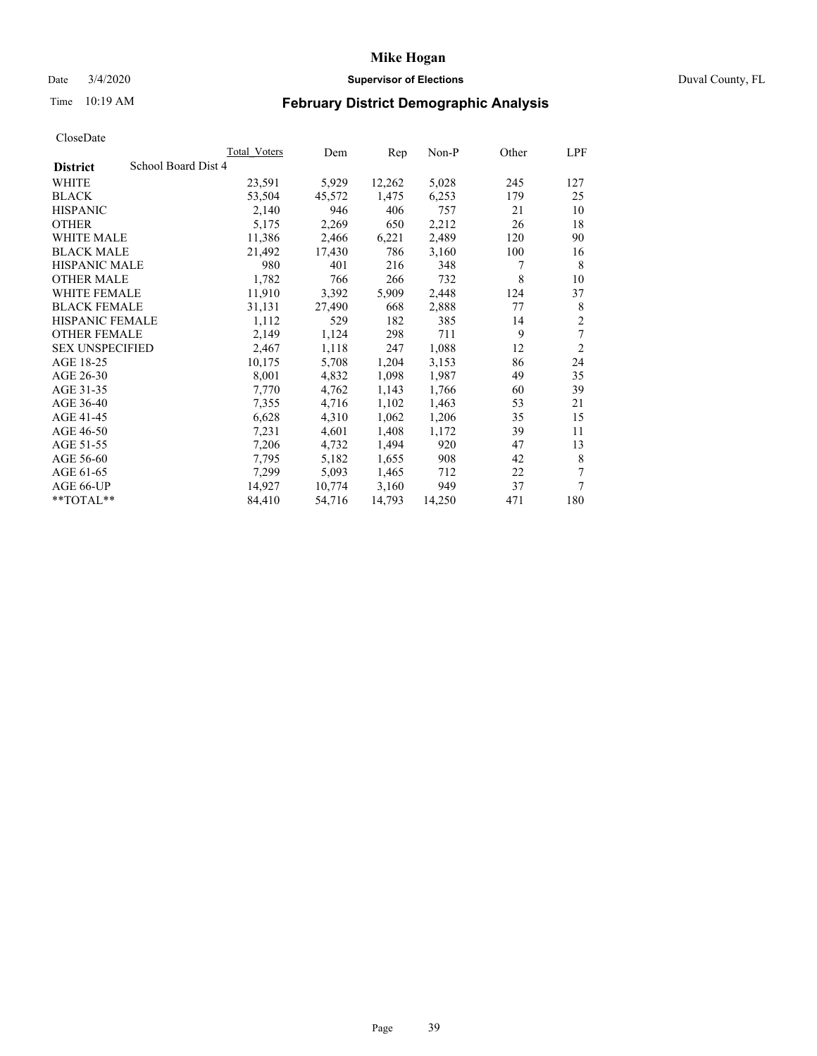## Date 3/4/2020 **Supervisor of Elections** Duval County, FL

# Time 10:19 AM **February District Demographic Analysis**

| <b>Total Voters</b> | Dem    | Rep    | Non-P  | Other | LPF            |
|---------------------|--------|--------|--------|-------|----------------|
| School Board Dist 4 |        |        |        |       |                |
| 23,591              | 5,929  | 12,262 | 5,028  | 245   | 127            |
| 53,504              | 45,572 | 1,475  | 6,253  | 179   | 25             |
| 2,140               | 946    | 406    | 757    | 21    | 10             |
| 5,175               | 2,269  | 650    | 2,212  | 26    | 18             |
| 11,386              | 2,466  | 6,221  | 2,489  | 120   | 90             |
| 21,492              | 17,430 | 786    | 3,160  | 100   | 16             |
| 980                 | 401    | 216    | 348    | 7     | 8              |
| 1,782               | 766    | 266    | 732    | 8     | 10             |
| 11,910              | 3,392  | 5,909  | 2,448  | 124   | 37             |
| 31,131              | 27,490 | 668    | 2,888  | 77    | 8              |
| 1,112               | 529    | 182    | 385    | 14    | $\overline{c}$ |
| 2,149               | 1,124  | 298    | 711    | 9     | 7              |
| 2,467               | 1,118  | 247    | 1,088  | 12    | $\overline{2}$ |
| 10,175              | 5,708  | 1,204  | 3,153  | 86    | 24             |
| 8,001               | 4,832  | 1,098  | 1,987  | 49    | 35             |
| 7,770               | 4,762  | 1,143  | 1,766  | 60    | 39             |
| 7,355               | 4,716  | 1,102  | 1,463  | 53    | 21             |
| 6,628               | 4,310  | 1,062  | 1,206  | 35    | 15             |
| 7,231               | 4,601  | 1,408  | 1,172  | 39    | 11             |
| 7,206               | 4,732  | 1,494  | 920    | 47    | 13             |
| 7,795               | 5,182  | 1,655  | 908    | 42    | 8              |
| 7,299               | 5,093  | 1,465  | 712    | 22    | 7              |
| 14,927              | 10,774 | 3,160  | 949    | 37    | 7              |
| 84,410              | 54,716 | 14,793 | 14,250 | 471   | 180            |
|                     |        |        |        |       |                |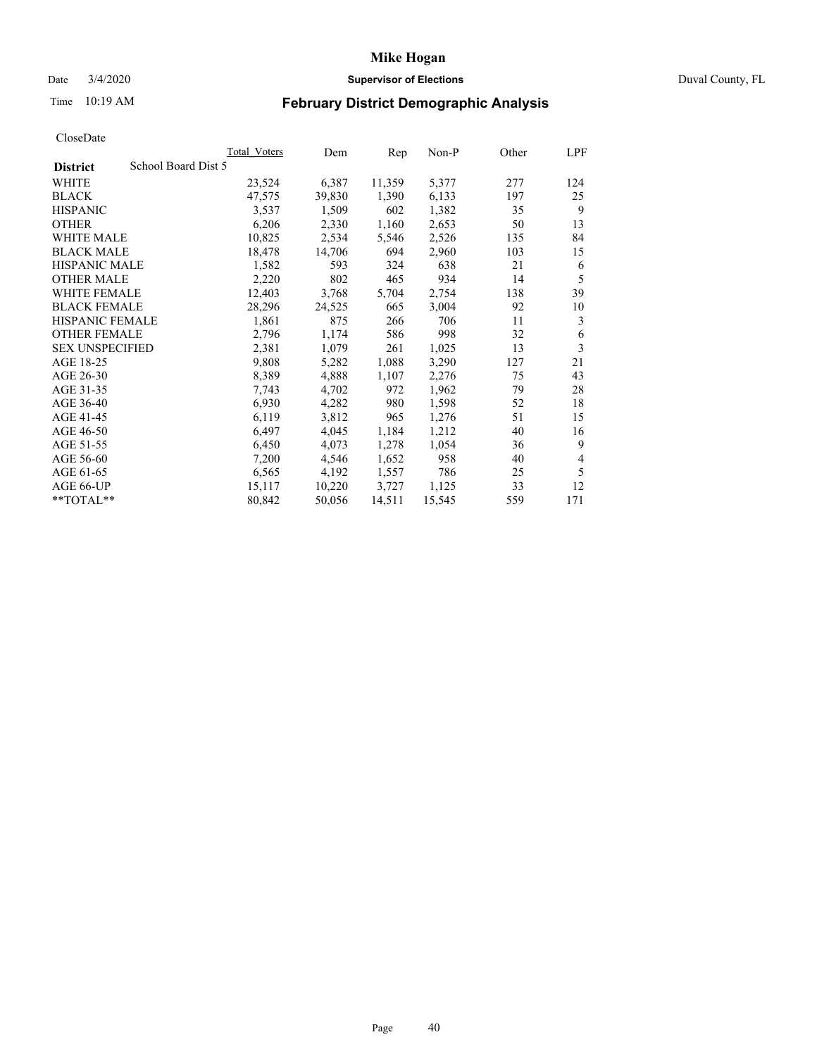## Date 3/4/2020 **Supervisor of Elections** Duval County, FL

# Time 10:19 AM **February District Demographic Analysis**

|                                        | Total Voters | Dem    | Rep    | Non-P  | Other | LPF |
|----------------------------------------|--------------|--------|--------|--------|-------|-----|
| School Board Dist 5<br><b>District</b> |              |        |        |        |       |     |
| WHITE                                  | 23,524       | 6,387  | 11,359 | 5,377  | 277   | 124 |
| <b>BLACK</b>                           | 47,575       | 39,830 | 1,390  | 6,133  | 197   | 25  |
| <b>HISPANIC</b>                        | 3,537        | 1,509  | 602    | 1,382  | 35    | 9   |
| <b>OTHER</b>                           | 6,206        | 2,330  | 1,160  | 2,653  | 50    | 13  |
| WHITE MALE                             | 10,825       | 2,534  | 5,546  | 2,526  | 135   | 84  |
| <b>BLACK MALE</b>                      | 18,478       | 14,706 | 694    | 2,960  | 103   | 15  |
| <b>HISPANIC MALE</b>                   | 1,582        | 593    | 324    | 638    | 21    | 6   |
| <b>OTHER MALE</b>                      | 2,220        | 802    | 465    | 934    | 14    | 5   |
| WHITE FEMALE                           | 12,403       | 3,768  | 5,704  | 2,754  | 138   | 39  |
| <b>BLACK FEMALE</b>                    | 28,296       | 24,525 | 665    | 3,004  | 92    | 10  |
| HISPANIC FEMALE                        | 1,861        | 875    | 266    | 706    | 11    | 3   |
| <b>OTHER FEMALE</b>                    | 2,796        | 1,174  | 586    | 998    | 32    | 6   |
| <b>SEX UNSPECIFIED</b>                 | 2,381        | 1,079  | 261    | 1,025  | 13    | 3   |
| AGE 18-25                              | 9,808        | 5,282  | 1,088  | 3,290  | 127   | 21  |
| AGE 26-30                              | 8,389        | 4,888  | 1,107  | 2,276  | 75    | 43  |
| AGE 31-35                              | 7,743        | 4,702  | 972    | 1,962  | 79    | 28  |
| AGE 36-40                              | 6,930        | 4,282  | 980    | 1,598  | 52    | 18  |
| AGE 41-45                              | 6,119        | 3,812  | 965    | 1,276  | 51    | 15  |
| AGE 46-50                              | 6,497        | 4,045  | 1,184  | 1,212  | 40    | 16  |
| AGE 51-55                              | 6,450        | 4,073  | 1,278  | 1,054  | 36    | 9   |
| AGE 56-60                              | 7,200        | 4,546  | 1,652  | 958    | 40    | 4   |
| AGE 61-65                              | 6,565        | 4,192  | 1,557  | 786    | 25    | 5   |
| AGE 66-UP                              | 15,117       | 10,220 | 3,727  | 1,125  | 33    | 12  |
| **TOTAL**                              | 80,842       | 50,056 | 14,511 | 15,545 | 559   | 171 |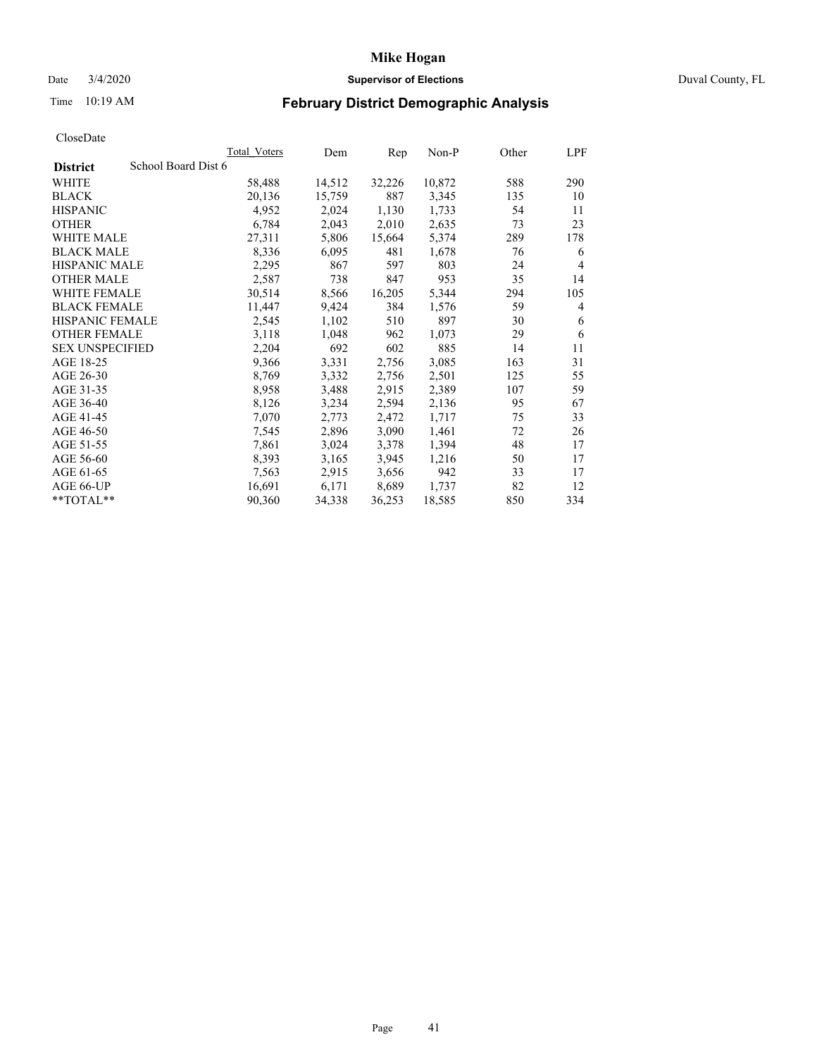## Date 3/4/2020 **Supervisor of Elections** Duval County, FL

# Time 10:19 AM **February District Demographic Analysis**

|                        |                     | Total Voters | Dem    | Rep    | $Non-P$ | Other | LPF            |
|------------------------|---------------------|--------------|--------|--------|---------|-------|----------------|
| <b>District</b>        | School Board Dist 6 |              |        |        |         |       |                |
| WHITE                  |                     | 58,488       | 14,512 | 32,226 | 10,872  | 588   | 290            |
| <b>BLACK</b>           |                     | 20,136       | 15,759 | 887    | 3,345   | 135   | 10             |
| <b>HISPANIC</b>        |                     | 4,952        | 2,024  | 1,130  | 1,733   | 54    | 11             |
| <b>OTHER</b>           |                     | 6,784        | 2,043  | 2,010  | 2,635   | 73    | 23             |
| WHITE MALE             |                     | 27,311       | 5,806  | 15,664 | 5,374   | 289   | 178            |
| <b>BLACK MALE</b>      |                     | 8,336        | 6,095  | 481    | 1,678   | 76    | 6              |
| <b>HISPANIC MALE</b>   |                     | 2,295        | 867    | 597    | 803     | 24    | $\overline{4}$ |
| <b>OTHER MALE</b>      |                     | 2,587        | 738    | 847    | 953     | 35    | 14             |
| <b>WHITE FEMALE</b>    |                     | 30,514       | 8,566  | 16,205 | 5,344   | 294   | 105            |
| <b>BLACK FEMALE</b>    |                     | 11,447       | 9,424  | 384    | 1,576   | 59    | $\overline{4}$ |
| HISPANIC FEMALE        |                     | 2,545        | 1,102  | 510    | 897     | 30    | 6              |
| <b>OTHER FEMALE</b>    |                     | 3,118        | 1,048  | 962    | 1,073   | 29    | 6              |
| <b>SEX UNSPECIFIED</b> |                     | 2,204        | 692    | 602    | 885     | 14    | 11             |
| AGE 18-25              |                     | 9,366        | 3,331  | 2,756  | 3,085   | 163   | 31             |
| AGE 26-30              |                     | 8,769        | 3,332  | 2,756  | 2,501   | 125   | 55             |
| AGE 31-35              |                     | 8,958        | 3,488  | 2,915  | 2,389   | 107   | 59             |
| AGE 36-40              |                     | 8,126        | 3,234  | 2,594  | 2,136   | 95    | 67             |
| AGE 41-45              |                     | 7,070        | 2,773  | 2,472  | 1,717   | 75    | 33             |
| AGE 46-50              |                     | 7,545        | 2,896  | 3,090  | 1,461   | 72    | 26             |
| AGE 51-55              |                     | 7,861        | 3,024  | 3,378  | 1,394   | 48    | 17             |
| AGE 56-60              |                     | 8,393        | 3,165  | 3,945  | 1,216   | 50    | 17             |
| AGE 61-65              |                     | 7,563        | 2,915  | 3,656  | 942     | 33    | 17             |
| AGE 66-UP              |                     | 16,691       | 6,171  | 8,689  | 1,737   | 82    | 12             |
| **TOTAL**              |                     | 90,360       | 34,338 | 36,253 | 18,585  | 850   | 334            |
|                        |                     |              |        |        |         |       |                |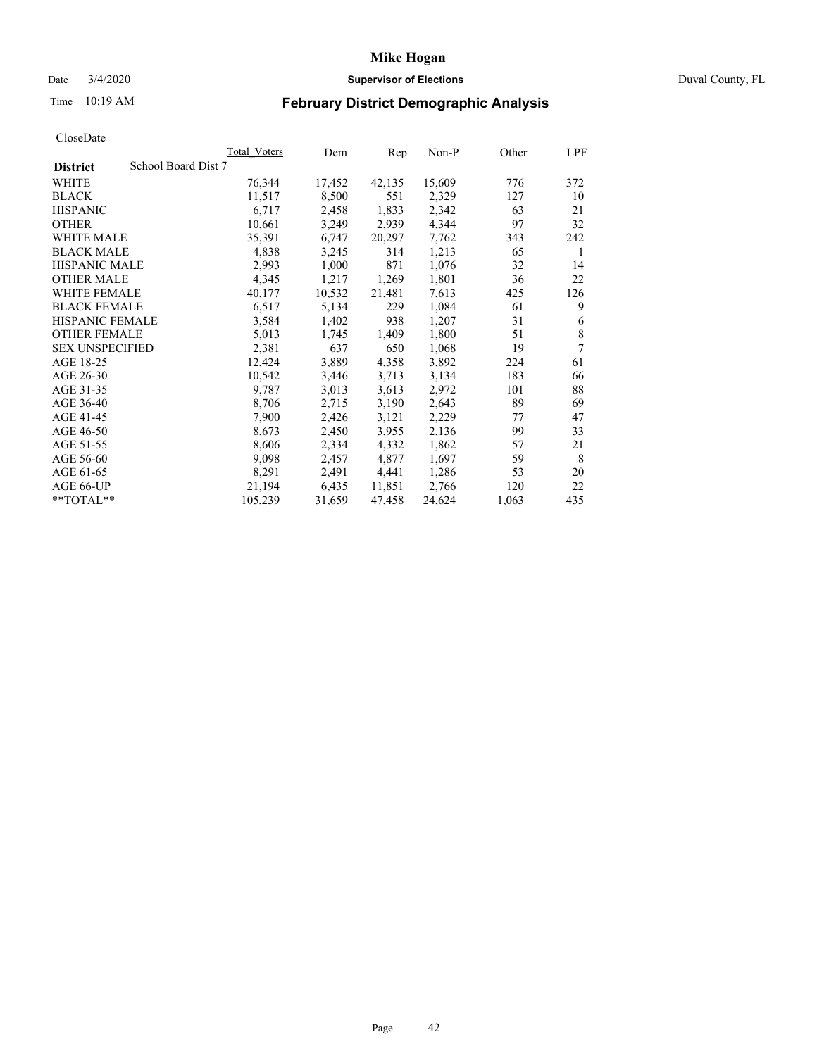## Date 3/4/2020 **Supervisor of Elections** Duval County, FL

# Time 10:19 AM **February District Demographic Analysis**

|                                        | Total Voters | Dem    | Rep    | Non-P  | Other | LPF         |
|----------------------------------------|--------------|--------|--------|--------|-------|-------------|
| School Board Dist 7<br><b>District</b> |              |        |        |        |       |             |
| WHITE                                  | 76,344       | 17,452 | 42,135 | 15,609 | 776   | 372         |
| <b>BLACK</b>                           | 11,517       | 8,500  | 551    | 2,329  | 127   | 10          |
| <b>HISPANIC</b>                        | 6,717        | 2,458  | 1,833  | 2,342  | 63    | 21          |
| <b>OTHER</b>                           | 10,661       | 3,249  | 2,939  | 4,344  | 97    | 32          |
| WHITE MALE                             | 35,391       | 6,747  | 20,297 | 7.762  | 343   | 242         |
| <b>BLACK MALE</b>                      | 4,838        | 3,245  | 314    | 1,213  | 65    | 1           |
| <b>HISPANIC MALE</b>                   | 2,993        | 1,000  | 871    | 1,076  | 32    | 14          |
| <b>OTHER MALE</b>                      | 4,345        | 1,217  | 1,269  | 1,801  | 36    | 22          |
| <b>WHITE FEMALE</b>                    | 40,177       | 10,532 | 21,481 | 7,613  | 425   | 126         |
| <b>BLACK FEMALE</b>                    | 6,517        | 5,134  | 229    | 1,084  | 61    | 9           |
| HISPANIC FEMALE                        | 3,584        | 1,402  | 938    | 1,207  | 31    | 6           |
| <b>OTHER FEMALE</b>                    | 5,013        | 1,745  | 1,409  | 1,800  | 51    | $\,$ 8 $\,$ |
| <b>SEX UNSPECIFIED</b>                 | 2,381        | 637    | 650    | 1,068  | 19    | 7           |
| AGE 18-25                              | 12,424       | 3,889  | 4,358  | 3,892  | 224   | 61          |
| AGE 26-30                              | 10,542       | 3,446  | 3,713  | 3,134  | 183   | 66          |
| AGE 31-35                              | 9,787        | 3,013  | 3,613  | 2,972  | 101   | 88          |
| AGE 36-40                              | 8,706        | 2,715  | 3,190  | 2,643  | 89    | 69          |
| AGE 41-45                              | 7,900        | 2,426  | 3,121  | 2,229  | 77    | 47          |
| AGE 46-50                              | 8,673        | 2,450  | 3,955  | 2,136  | 99    | 33          |
| AGE 51-55                              | 8,606        | 2,334  | 4,332  | 1,862  | 57    | 21          |
| AGE 56-60                              | 9,098        | 2,457  | 4,877  | 1,697  | 59    | 8           |
| AGE 61-65                              | 8,291        | 2,491  | 4,441  | 1,286  | 53    | 20          |
| AGE 66-UP                              | 21,194       | 6,435  | 11,851 | 2,766  | 120   | 22          |
| **TOTAL**                              | 105,239      | 31,659 | 47,458 | 24,624 | 1,063 | 435         |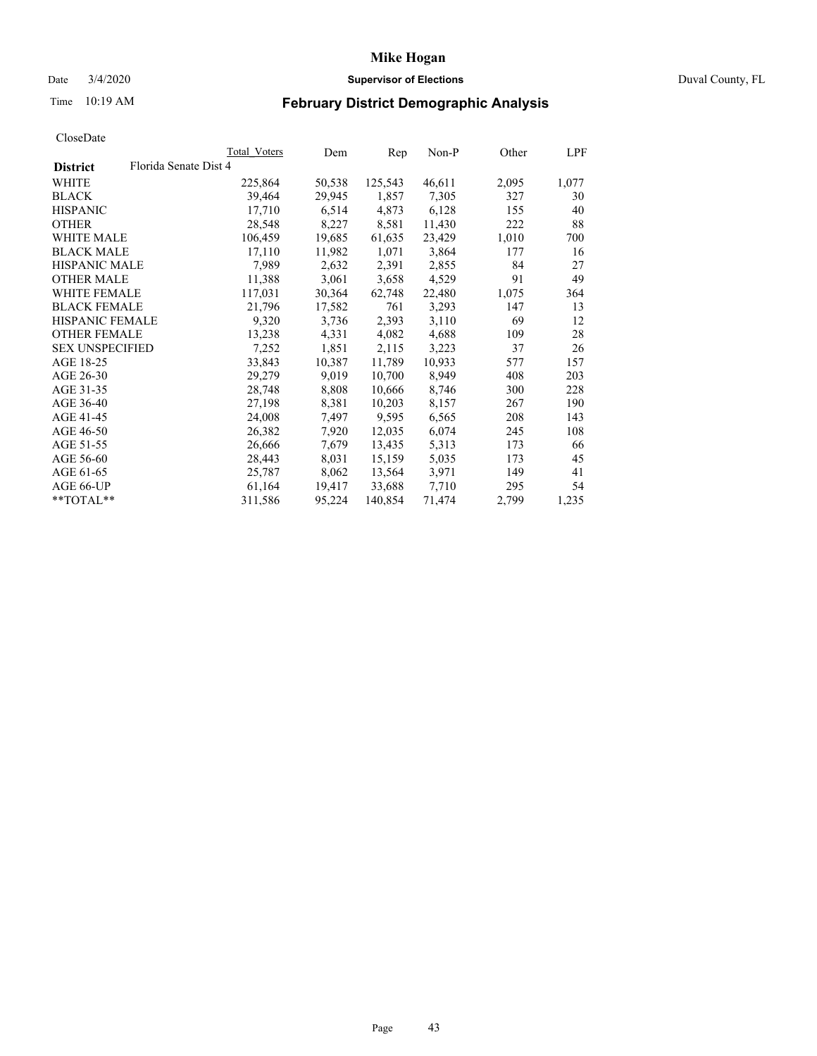### Date 3/4/2020 **Supervisor of Elections** Duval County, FL

# Time 10:19 AM **February District Demographic Analysis**

|                        |                       | <b>Total Voters</b> | Dem    | Rep     | $Non-P$ | Other | LPF   |
|------------------------|-----------------------|---------------------|--------|---------|---------|-------|-------|
| <b>District</b>        | Florida Senate Dist 4 |                     |        |         |         |       |       |
| WHITE                  |                       | 225,864             | 50,538 | 125,543 | 46,611  | 2,095 | 1,077 |
| <b>BLACK</b>           |                       | 39,464              | 29,945 | 1,857   | 7,305   | 327   | 30    |
| <b>HISPANIC</b>        |                       | 17,710              | 6,514  | 4,873   | 6,128   | 155   | 40    |
| <b>OTHER</b>           |                       | 28,548              | 8,227  | 8,581   | 11,430  | 222   | 88    |
| <b>WHITE MALE</b>      |                       | 106,459             | 19,685 | 61,635  | 23,429  | 1,010 | 700   |
| <b>BLACK MALE</b>      |                       | 17,110              | 11,982 | 1,071   | 3,864   | 177   | 16    |
| HISPANIC MALE          |                       | 7,989               | 2,632  | 2,391   | 2,855   | 84    | 27    |
| <b>OTHER MALE</b>      |                       | 11,388              | 3,061  | 3,658   | 4,529   | 91    | 49    |
| <b>WHITE FEMALE</b>    |                       | 117,031             | 30,364 | 62,748  | 22,480  | 1,075 | 364   |
| <b>BLACK FEMALE</b>    |                       | 21,796              | 17,582 | 761     | 3,293   | 147   | 13    |
| HISPANIC FEMALE        |                       | 9,320               | 3,736  | 2,393   | 3,110   | 69    | 12    |
| <b>OTHER FEMALE</b>    |                       | 13,238              | 4,331  | 4,082   | 4,688   | 109   | 28    |
| <b>SEX UNSPECIFIED</b> |                       | 7,252               | 1,851  | 2,115   | 3,223   | 37    | 26    |
| AGE 18-25              |                       | 33,843              | 10,387 | 11,789  | 10,933  | 577   | 157   |
| AGE 26-30              |                       | 29,279              | 9,019  | 10,700  | 8,949   | 408   | 203   |
| AGE 31-35              |                       | 28,748              | 8,808  | 10,666  | 8,746   | 300   | 228   |
| AGE 36-40              |                       | 27,198              | 8,381  | 10,203  | 8,157   | 267   | 190   |
| AGE 41-45              |                       | 24,008              | 7,497  | 9,595   | 6,565   | 208   | 143   |
| AGE 46-50              |                       | 26,382              | 7,920  | 12,035  | 6,074   | 245   | 108   |
| AGE 51-55              |                       | 26,666              | 7,679  | 13,435  | 5,313   | 173   | 66    |
| AGE 56-60              |                       | 28,443              | 8,031  | 15,159  | 5,035   | 173   | 45    |
| AGE 61-65              |                       | 25,787              | 8,062  | 13,564  | 3,971   | 149   | 41    |
| AGE 66-UP              |                       | 61,164              | 19,417 | 33,688  | 7,710   | 295   | 54    |
| $*$ TOTAL $*$          |                       | 311,586             | 95,224 | 140,854 | 71,474  | 2,799 | 1,235 |
|                        |                       |                     |        |         |         |       |       |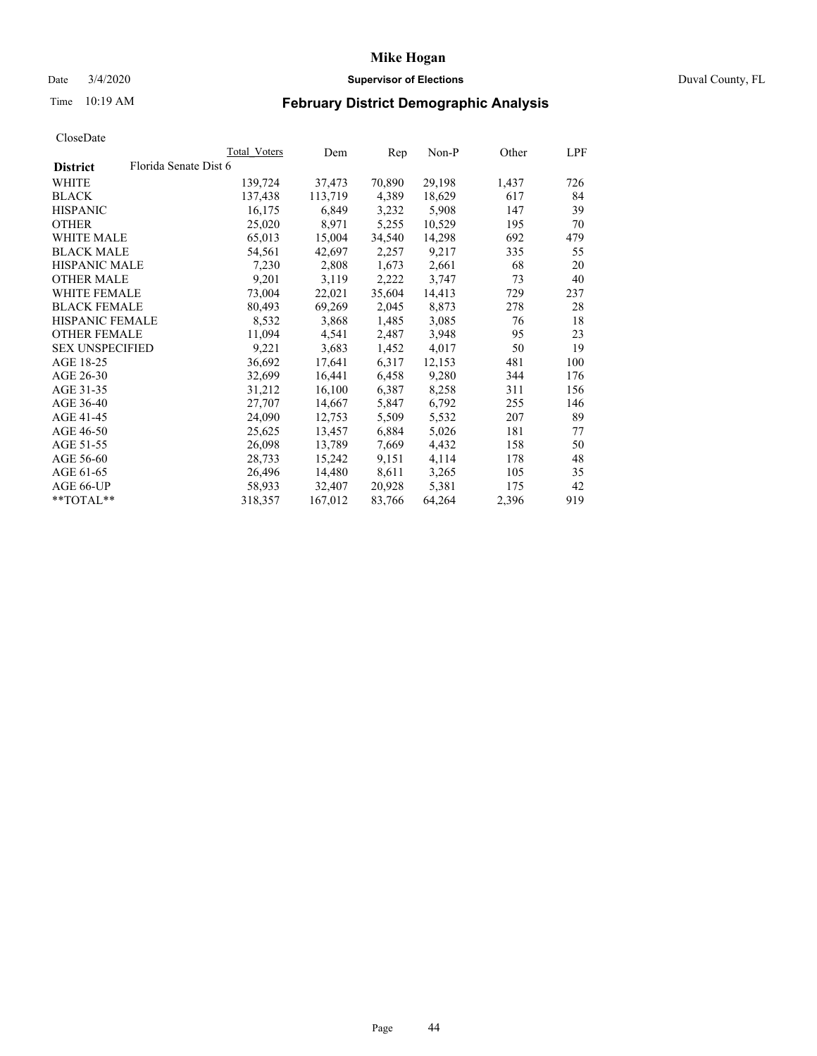## Date 3/4/2020 **Supervisor of Elections** Duval County, FL

# Time 10:19 AM **February District Demographic Analysis**

|                        | Total Voters          | Dem     | Rep    | $Non-P$ | Other | LPF  |
|------------------------|-----------------------|---------|--------|---------|-------|------|
| <b>District</b>        | Florida Senate Dist 6 |         |        |         |       |      |
| WHITE                  | 139,724               | 37,473  | 70,890 | 29,198  | 1,437 | 726  |
| <b>BLACK</b>           | 137,438               | 113,719 | 4,389  | 18,629  | 617   | 84   |
| <b>HISPANIC</b>        | 16,175                | 6,849   | 3,232  | 5,908   | 147   | 39   |
| <b>OTHER</b>           | 25,020                | 8,971   | 5,255  | 10,529  | 195   | 70   |
| WHITE MALE             | 65,013                | 15,004  | 34,540 | 14,298  | 692   | 479. |
| <b>BLACK MALE</b>      | 54,561                | 42,697  | 2,257  | 9,217   | 335   | 55   |
| <b>HISPANIC MALE</b>   | 7,230                 | 2,808   | 1,673  | 2,661   | 68    | 20   |
| <b>OTHER MALE</b>      | 9,201                 | 3,119   | 2,222  | 3,747   | 73    | 40   |
| WHITE FEMALE           | 73,004                | 22,021  | 35,604 | 14,413  | 729   | 237  |
| <b>BLACK FEMALE</b>    | 80,493                | 69,269  | 2,045  | 8,873   | 278   | 28   |
| <b>HISPANIC FEMALE</b> | 8,532                 | 3,868   | 1,485  | 3,085   | 76    | 18   |
| <b>OTHER FEMALE</b>    | 11,094                | 4,541   | 2,487  | 3,948   | 95    | 23   |
| <b>SEX UNSPECIFIED</b> | 9,221                 | 3,683   | 1,452  | 4,017   | 50    | 19   |
| AGE 18-25              | 36,692                | 17,641  | 6,317  | 12,153  | 481   | 100  |
| AGE 26-30              | 32,699                | 16,441  | 6,458  | 9,280   | 344   | 176  |
| AGE 31-35              | 31,212                | 16,100  | 6,387  | 8,258   | 311   | 156  |
| AGE 36-40              | 27,707                | 14,667  | 5,847  | 6,792   | 255   | 146  |
| AGE 41-45              | 24,090                | 12,753  | 5,509  | 5,532   | 207   | 89   |
| AGE 46-50              | 25,625                | 13,457  | 6,884  | 5,026   | 181   | 77   |
| AGE 51-55              | 26,098                | 13,789  | 7,669  | 4,432   | 158   | 50   |
| AGE 56-60              | 28,733                | 15,242  | 9,151  | 4,114   | 178   | 48   |
| AGE 61-65              | 26,496                | 14,480  | 8,611  | 3,265   | 105   | 35   |
| AGE 66-UP              | 58,933                | 32,407  | 20,928 | 5,381   | 175   | 42   |
| $*$ TOTAL $*$          | 318,357               | 167,012 | 83,766 | 64,264  | 2,396 | 919  |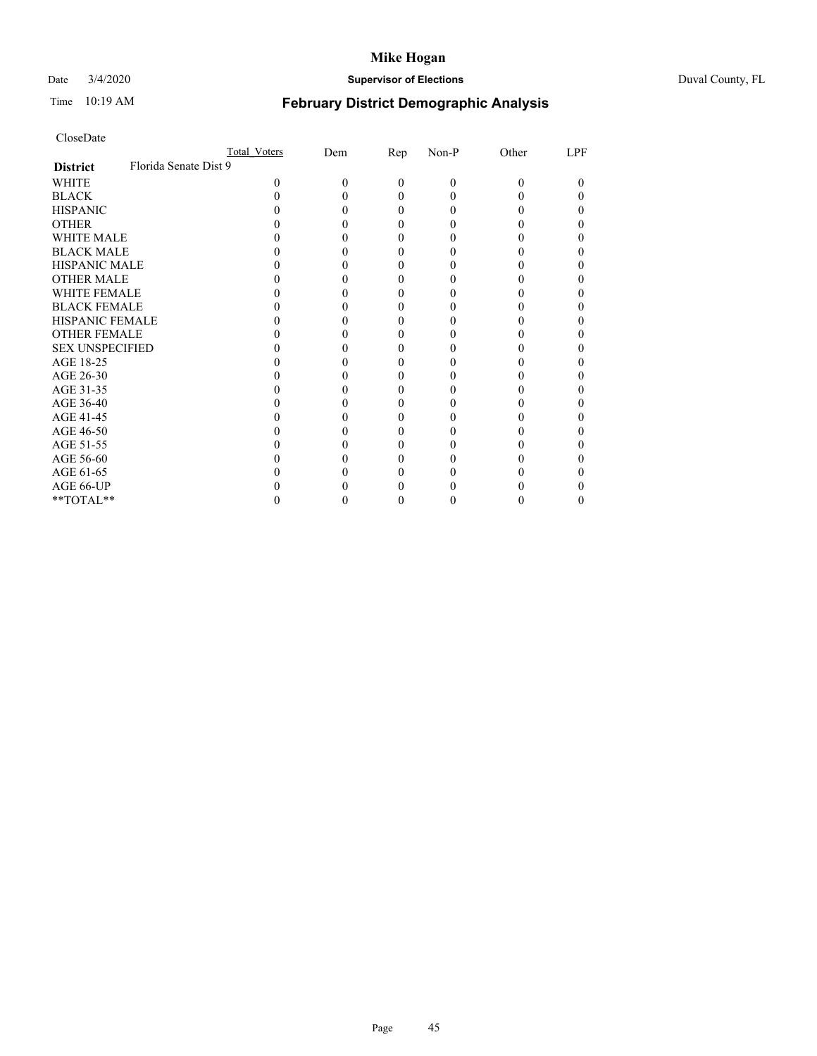## Date 3/4/2020 **Supervisor of Elections** Duval County, FL

# Time 10:19 AM **February District Demographic Analysis**

| CloseDate |
|-----------|
|-----------|

|                                          | Total Voters | Dem | Rep | Non-P | Other | LPF |
|------------------------------------------|--------------|-----|-----|-------|-------|-----|
| Florida Senate Dist 9<br><b>District</b> |              |     |     |       |       |     |
| WHITE                                    | 0            | 0   | 0   | 0     |       | 0   |
| <b>BLACK</b>                             |              |     | 0   |       |       |     |
| <b>HISPANIC</b>                          |              |     | 0   |       |       |     |
| <b>OTHER</b>                             |              |     |     |       |       |     |
| <b>WHITE MALE</b>                        |              |     |     |       |       |     |
| <b>BLACK MALE</b>                        |              |     |     |       |       |     |
| <b>HISPANIC MALE</b>                     |              |     |     |       |       |     |
| <b>OTHER MALE</b>                        |              |     |     |       |       |     |
| <b>WHITE FEMALE</b>                      |              |     |     |       |       |     |
| <b>BLACK FEMALE</b>                      |              |     |     |       |       |     |
| <b>HISPANIC FEMALE</b>                   |              |     |     |       |       |     |
| <b>OTHER FEMALE</b>                      |              |     |     |       |       |     |
| <b>SEX UNSPECIFIED</b>                   |              |     |     |       |       |     |
| AGE 18-25                                |              |     |     |       |       |     |
| AGE 26-30                                |              |     |     |       |       |     |
| AGE 31-35                                |              |     |     |       |       |     |
| AGE 36-40                                |              |     |     |       |       |     |
| AGE 41-45                                |              |     |     |       |       |     |
| AGE 46-50                                |              |     |     |       |       |     |
| AGE 51-55                                |              |     |     |       |       |     |
| AGE 56-60                                |              |     |     |       |       |     |
| AGE 61-65                                |              |     |     |       |       |     |
| AGE 66-UP                                |              |     |     |       |       |     |
| **TOTAL**                                |              |     |     |       |       |     |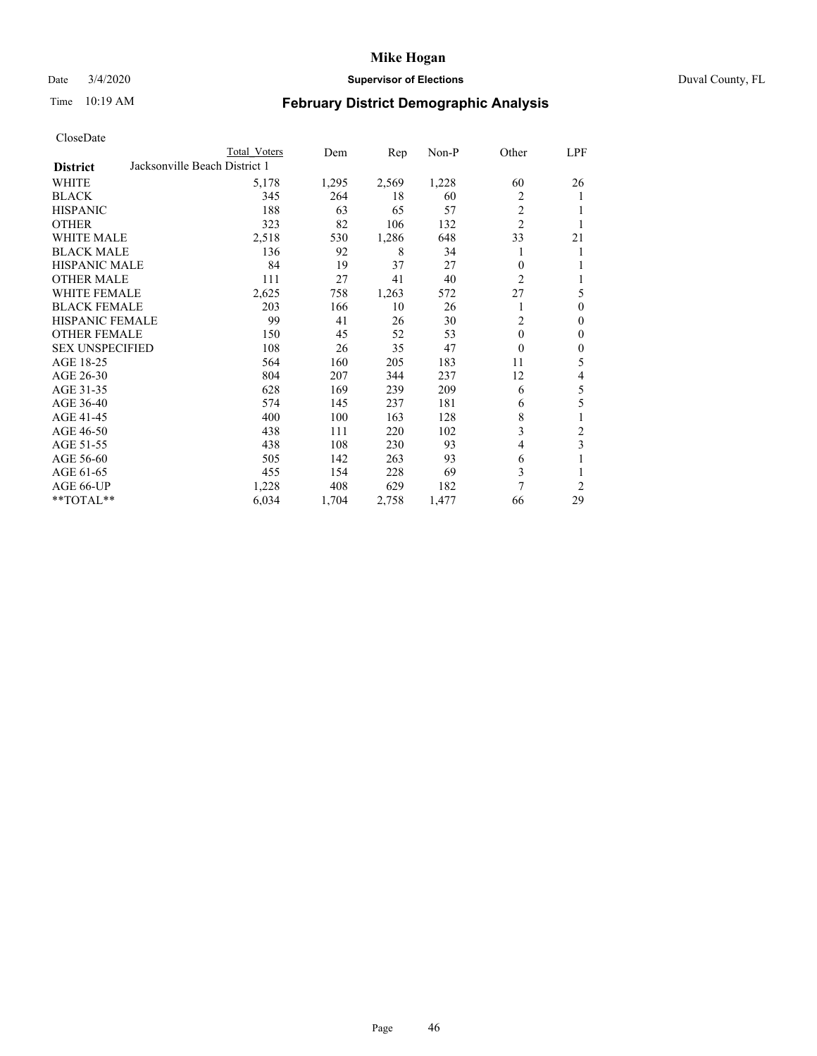# Date 3/4/2020 **Supervisor of Elections** Duval County, FL

# Time 10:19 AM **February District Demographic Analysis**

|                        | Total Voters                  | Dem   | Rep   | Non-P | Other          | LPF            |
|------------------------|-------------------------------|-------|-------|-------|----------------|----------------|
| <b>District</b>        | Jacksonville Beach District 1 |       |       |       |                |                |
| WHITE                  | 5,178                         | 1,295 | 2,569 | 1,228 | 60             | 26             |
| <b>BLACK</b>           | 345                           | 264   | 18    | 60    | 2              | 1              |
| <b>HISPANIC</b>        | 188                           | 63    | 65    | 57    | $\overline{c}$ |                |
| <b>OTHER</b>           | 323                           | 82    | 106   | 132   | $\overline{2}$ | 1              |
| WHITE MALE             | 2,518                         | 530   | 1,286 | 648   | 33             | 21             |
| <b>BLACK MALE</b>      | 136                           | 92    | 8     | 34    |                | 1              |
| <b>HISPANIC MALE</b>   | 84                            | 19    | 37    | 27    | 0              | 1              |
| <b>OTHER MALE</b>      | 111                           | 27    | 41    | 40    | $\overline{c}$ | 1              |
| WHITE FEMALE           | 2,625                         | 758   | 1,263 | 572   | 27             | 5              |
| <b>BLACK FEMALE</b>    | 203                           | 166   | 10    | 26    |                | $\mathbf{0}$   |
| <b>HISPANIC FEMALE</b> | 99                            | 41    | 26    | 30    | $\overline{c}$ | $\mathbf{0}$   |
| <b>OTHER FEMALE</b>    | 150                           | 45    | 52    | 53    | $\theta$       | $\theta$       |
| <b>SEX UNSPECIFIED</b> | 108                           | 26    | 35    | 47    | $\theta$       | $\mathbf{0}$   |
| AGE 18-25              | 564                           | 160   | 205   | 183   | 11             | 5              |
| AGE 26-30              | 804                           | 207   | 344   | 237   | 12             | 4              |
| AGE 31-35              | 628                           | 169   | 239   | 209   | 6              | 5              |
| AGE 36-40              | 574                           | 145   | 237   | 181   | 6              | 5              |
| AGE 41-45              | 400                           | 100   | 163   | 128   | 8              | 1              |
| AGE 46-50              | 438                           | 111   | 220   | 102   | 3              | 2              |
| AGE 51-55              | 438                           | 108   | 230   | 93    | 4              | 3              |
| AGE 56-60              | 505                           | 142   | 263   | 93    | 6              |                |
| AGE 61-65              | 455                           | 154   | 228   | 69    | 3              | 1              |
| AGE 66-UP              | 1,228                         | 408   | 629   | 182   | 7              | $\overline{c}$ |
| **TOTAL**              | 6,034                         | 1,704 | 2,758 | 1,477 | 66             | 29             |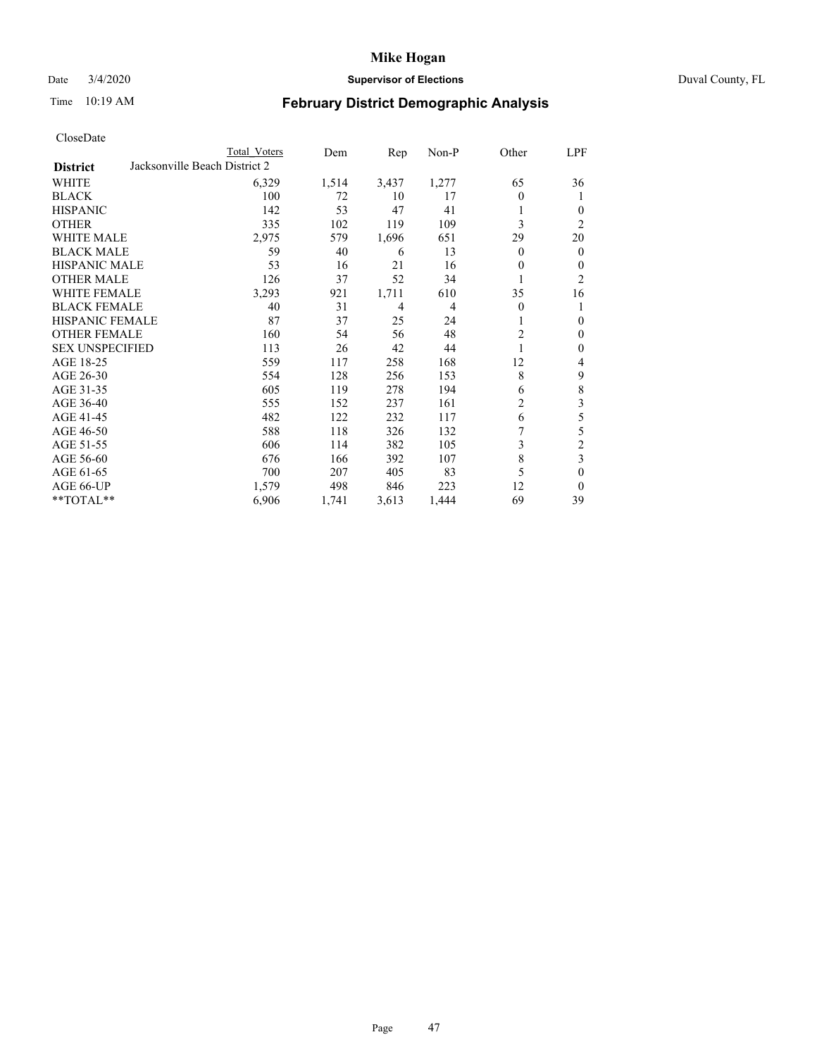## Date 3/4/2020 **Supervisor of Elections** Duval County, FL

# Time 10:19 AM **February District Demographic Analysis**

|  | CloseDate |
|--|-----------|
|  |           |

|                        |                               | <b>Total Voters</b> | Dem   | Rep   | Non-P | Other          | LPF            |
|------------------------|-------------------------------|---------------------|-------|-------|-------|----------------|----------------|
| <b>District</b>        | Jacksonville Beach District 2 |                     |       |       |       |                |                |
| WHITE                  |                               | 6,329               | 1,514 | 3,437 | 1,277 | 65             | 36             |
| <b>BLACK</b>           |                               | 100                 | 72    | 10    | 17    | 0              | 1              |
| <b>HISPANIC</b>        |                               | 142                 | 53    | 47    | 41    |                | $\theta$       |
| <b>OTHER</b>           |                               | 335                 | 102   | 119   | 109   | 3              | 2              |
| WHITE MALE             |                               | 2,975               | 579   | 1,696 | 651   | 29             | 20             |
| <b>BLACK MALE</b>      |                               | 59                  | 40    | 6     | 13    | 0              | $\mathbf{0}$   |
| <b>HISPANIC MALE</b>   |                               | 53                  | 16    | 21    | 16    | 0              | $\mathbf{0}$   |
| <b>OTHER MALE</b>      |                               | 126                 | 37    | 52    | 34    |                | $\overline{c}$ |
| <b>WHITE FEMALE</b>    |                               | 3,293               | 921   | 1,711 | 610   | 35             | 16             |
| <b>BLACK FEMALE</b>    |                               | 40                  | 31    | 4     | 4     | 0              | 1              |
| <b>HISPANIC FEMALE</b> |                               | 87                  | 37    | 25    | 24    |                | $\theta$       |
| <b>OTHER FEMALE</b>    |                               | 160                 | 54    | 56    | 48    | 2              | $\theta$       |
| <b>SEX UNSPECIFIED</b> |                               | 113                 | 26    | 42    | 44    |                | $\mathbf{0}$   |
| AGE 18-25              |                               | 559                 | 117   | 258   | 168   | 12             | 4              |
| AGE 26-30              |                               | 554                 | 128   | 256   | 153   | 8              | 9              |
| AGE 31-35              |                               | 605                 | 119   | 278   | 194   | 6              | 8              |
| AGE 36-40              |                               | 555                 | 152   | 237   | 161   | $\overline{c}$ | 3              |
| AGE 41-45              |                               | 482                 | 122   | 232   | 117   | 6              | 5              |
| AGE 46-50              |                               | 588                 | 118   | 326   | 132   |                | 5              |
| AGE 51-55              |                               | 606                 | 114   | 382   | 105   | 3              | $\overline{c}$ |
| AGE 56-60              |                               | 676                 | 166   | 392   | 107   | 8              | 3              |
| AGE 61-65              |                               | 700                 | 207   | 405   | 83    | 5              | $\mathbf{0}$   |
| AGE 66-UP              |                               | 1,579               | 498   | 846   | 223   | 12             | $\theta$       |
| **TOTAL**              |                               | 6,906               | 1,741 | 3,613 | 1,444 | 69             | 39             |